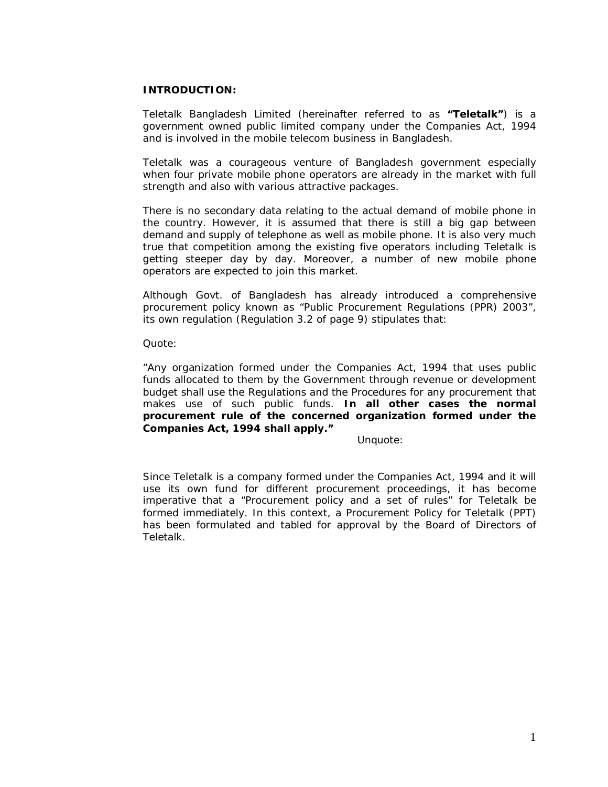## **INTRODUCTION:**

Teletalk Bangladesh Limited (hereinafter referred to as **"Teletalk"**) is a government owned public limited company under the Companies Act, 1994 and is involved in the mobile telecom business in Bangladesh.

Teletalk was a courageous venture of Bangladesh government especially when four private mobile phone operators are already in the market with full strength and also with various attractive packages.

There is no secondary data relating to the actual demand of mobile phone in the country. However, it is assumed that there is still a big gap between demand and supply of telephone as well as mobile phone. It is also very much true that competition among the existing five operators including Teletalk is getting steeper day by day. Moreover, a number of new mobile phone operators are expected to join this market.

Although Govt. of Bangladesh has already introduced a comprehensive procurement policy known as "Public Procurement Regulations (PPR) 2003", its own regulation (Regulation 3.2 of page 9) stipulates that:

Quote:

*"Any organization formed under the Companies Act, 1994 that uses public funds allocated to them by the Government through revenue or development budget shall use the Regulations and the Procedures for any procurement that makes use of such public funds. In all other cases the normal procurement rule of the concerned organization formed under the Companies Act, 1994 shall apply."*

Unquote:

Since Teletalk is a company formed under the Companies Act, 1994 and it will use its own fund for different procurement proceedings, it has become imperative that a "Procurement policy and a set of rules" for Teletalk be formed immediately. In this context, a Procurement Policy for Teletalk (PPT) has been formulated and tabled for approval by the Board of Directors of Teletalk.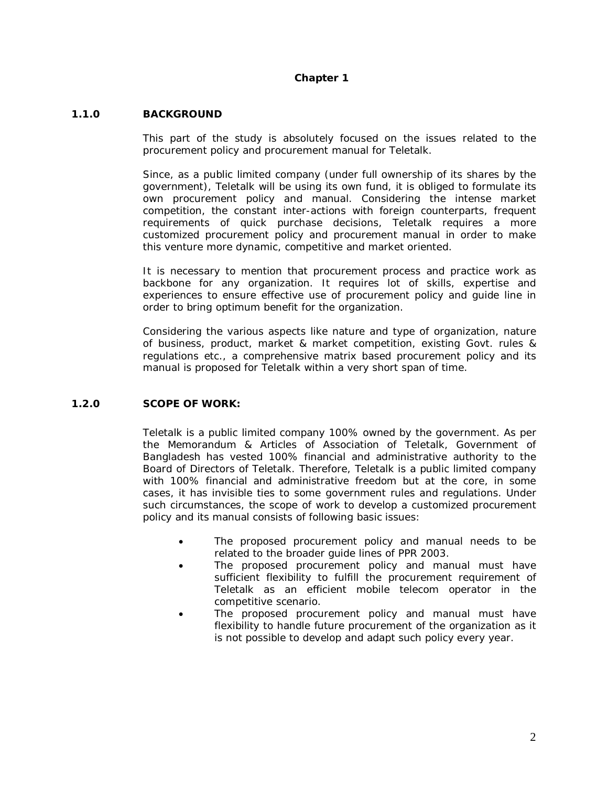# **Chapter 1**

# **1.1.0 BACKGROUND**

This part of the study is absolutely focused on the issues related to the procurement policy and procurement manual for Teletalk.

Since, as a public limited company (under full ownership of its shares by the government), Teletalk will be using its own fund, it is obliged to formulate its own procurement policy and manual. Considering the intense market competition, the constant inter-actions with foreign counterparts, frequent requirements of quick purchase decisions, Teletalk requires a more customized procurement policy and procurement manual in order to make this venture more dynamic, competitive and market oriented.

It is necessary to mention that procurement process and practice work as backbone for any organization. It requires lot of skills, expertise and experiences to ensure effective use of procurement policy and guide line in order to bring optimum benefit for the organization.

Considering the various aspects like nature and type of organization, nature of business, product, market & market competition, existing Govt. rules & regulations etc., a comprehensive matrix based procurement policy and its manual is proposed for Teletalk within a very short span of time.

## **1.2.0 SCOPE OF WORK:**

Teletalk is a public limited company 100% owned by the government. As per the Memorandum & Articles of Association of Teletalk, Government of Bangladesh has vested 100% financial and administrative authority to the Board of Directors of Teletalk. Therefore, Teletalk is a public limited company with 100% financial and administrative freedom but at the core, in some cases, it has invisible ties to some government rules and regulations. Under such circumstances, the scope of work to develop a customized procurement policy and its manual consists of following basic issues:

- The proposed procurement policy and manual needs to be related to the broader guide lines of PPR 2003.
- The proposed procurement policy and manual must have sufficient flexibility to fulfill the procurement requirement of Teletalk as an efficient mobile telecom operator in the competitive scenario.
- The proposed procurement policy and manual must have flexibility to handle future procurement of the organization as it is not possible to develop and adapt such policy every year.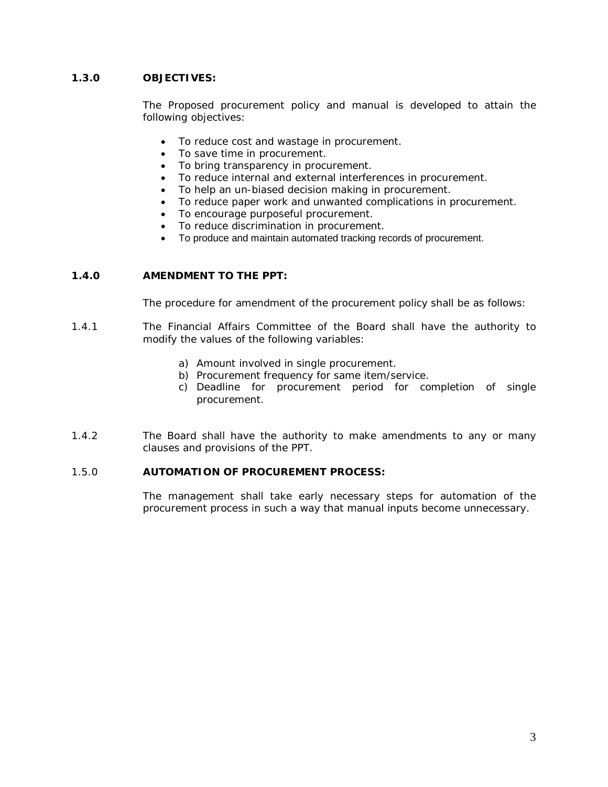# **1.3.0 OBJECTIVES:**

The Proposed procurement policy and manual is developed to attain the following objectives:

- To reduce cost and wastage in procurement.
- To save time in procurement.
- To bring transparency in procurement.
- To reduce internal and external interferences in procurement.
- To help an un-biased decision making in procurement.
- To reduce paper work and unwanted complications in procurement.
- To encourage purposeful procurement.
- To reduce discrimination in procurement.
- To produce and maintain automated tracking records of procurement.

# **1.4.0 AMENDMENT TO THE PPT:**

The procedure for amendment of the procurement policy shall be as follows:

- 1.4.1 The Financial Affairs Committee of the Board shall have the authority to modify the values of the following variables:
	- a) Amount involved in single procurement.
	- b) Procurement frequency for same item/service.
	- c) Deadline for procurement period for completion of single procurement.
- 1.4.2 The Board shall have the authority to make amendments to any or many clauses and provisions of the PPT.

## 1.5.0 **AUTOMATION OF PROCUREMENT PROCESS:**

The management shall take early necessary steps for automation of the procurement process in such a way that manual inputs become unnecessary.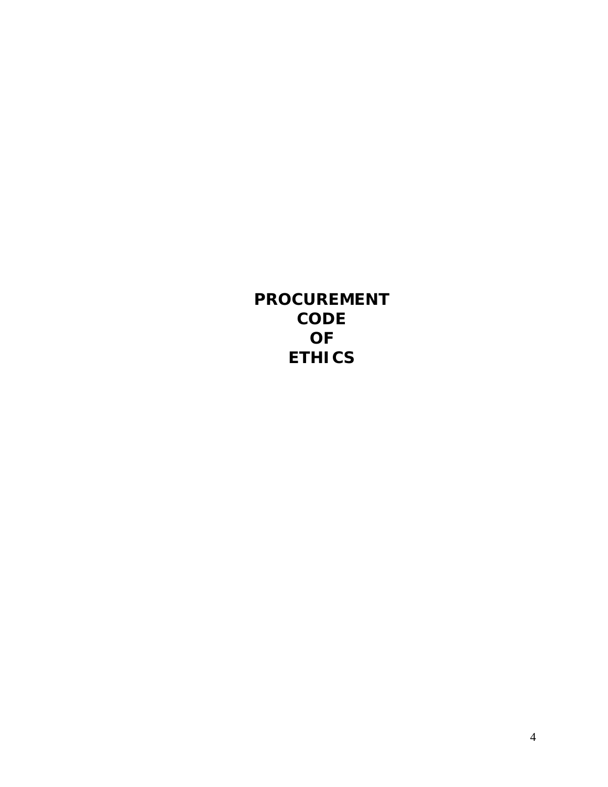**PROCUREMENT CODE OF ETHICS**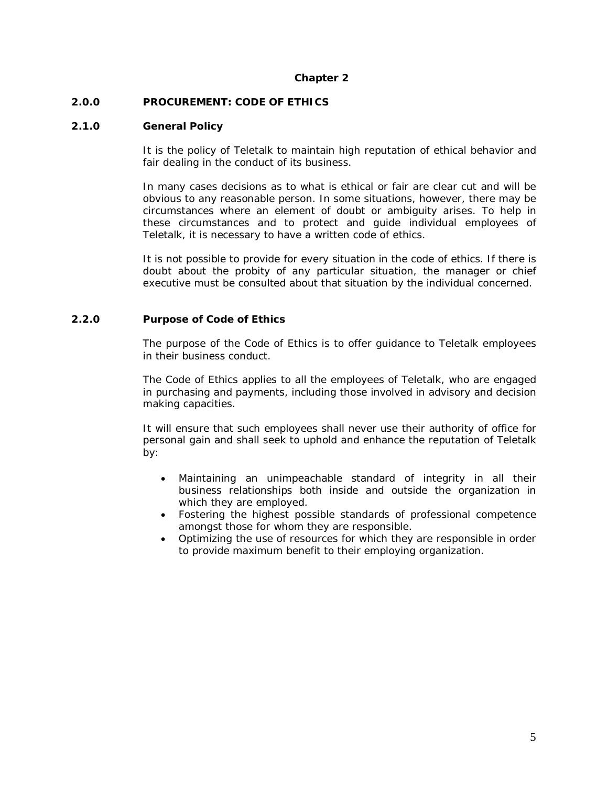## **Chapter 2**

## **2.0.0 PROCUREMENT: CODE OF ETHICS**

## **2.1.0 General Policy**

It is the policy of Teletalk to maintain high reputation of ethical behavior and fair dealing in the conduct of its business.

In many cases decisions as to what is ethical or fair are clear cut and will be obvious to any reasonable person. In some situations, however, there may be circumstances where an element of doubt or ambiguity arises. To help in these circumstances and to protect and guide individual employees of Teletalk, it is necessary to have a written code of ethics.

It is not possible to provide for every situation in the code of ethics. If there is doubt about the probity of any particular situation, the manager or chief executive must be consulted about that situation by the individual concerned.

## **2.2.0 Purpose of Code of Ethics**

The purpose of the Code of Ethics is to offer guidance to Teletalk employees in their business conduct.

The Code of Ethics applies to all the employees of Teletalk, who are engaged in purchasing and payments, including those involved in advisory and decision making capacities.

It will ensure that such employees shall never use their authority of office for personal gain and shall seek to uphold and enhance the reputation of Teletalk by:

- Maintaining an unimpeachable standard of integrity in all their business relationships both inside and outside the organization in which they are employed.
- Fostering the highest possible standards of professional competence amongst those for whom they are responsible.
- Optimizing the use of resources for which they are responsible in order to provide maximum benefit to their employing organization.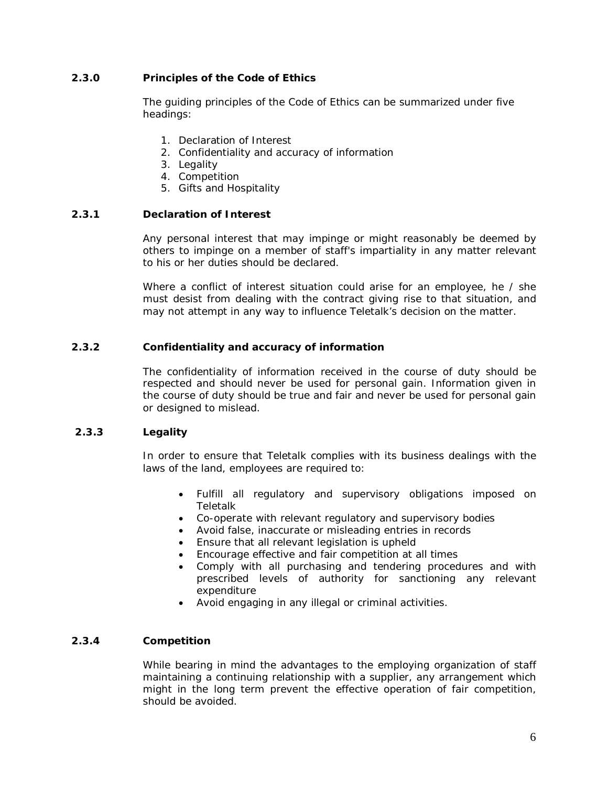# **2.3.0 Principles of the Code of Ethics**

The guiding principles of the Code of Ethics can be summarized under five headings:

- 1. Declaration of Interest
- 2. Confidentiality and accuracy of information
- 3. Legality
- 4. Competition
- 5. Gifts and Hospitality

## **2.3.1 Declaration of Interest**

Any personal interest that may impinge or might reasonably be deemed by others to impinge on a member of staff's impartiality in any matter relevant to his or her duties should be declared.

Where a conflict of interest situation could arise for an employee, he / she must desist from dealing with the contract giving rise to that situation, and may not attempt in any way to influence Teletalk's decision on the matter.

## **2.3.2 Confidentiality and accuracy of information**

The confidentiality of information received in the course of duty should be respected and should never be used for personal gain. Information given in the course of duty should be true and fair and never be used for personal gain or designed to mislead.

## **2.3.3 Legality**

In order to ensure that Teletalk complies with its business dealings with the laws of the land, employees are required to:

- Fulfill all regulatory and supervisory obligations imposed on Teletalk
- Co-operate with relevant regulatory and supervisory bodies
- Avoid false, inaccurate or misleading entries in records
- Ensure that all relevant legislation is upheld
- Encourage effective and fair competition at all times
- Comply with all purchasing and tendering procedures and with prescribed levels of authority for sanctioning any relevant expenditure
- Avoid engaging in any illegal or criminal activities.

## **2.3.4 Competition**

While bearing in mind the advantages to the employing organization of staff maintaining a continuing relationship with a supplier, any arrangement which might in the long term prevent the effective operation of fair competition, should be avoided.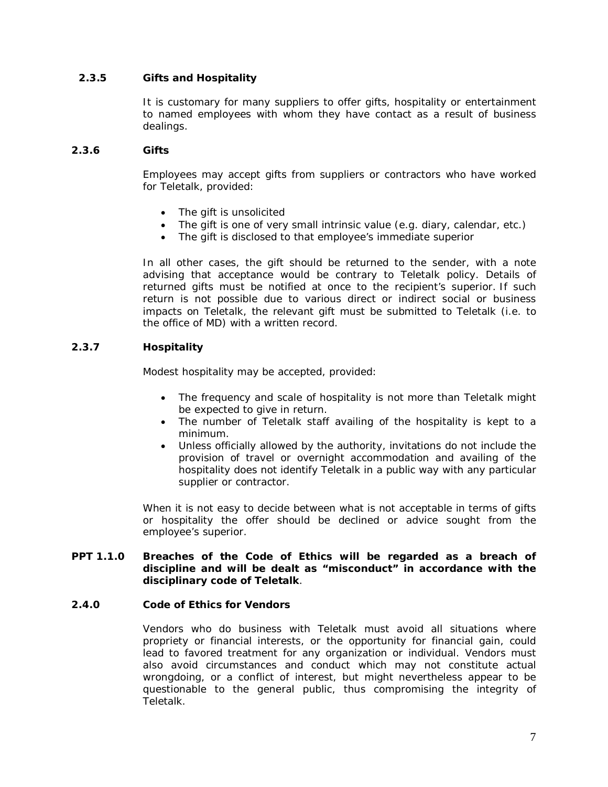# **2.3.5 Gifts and Hospitality**

It is customary for many suppliers to offer gifts, hospitality or entertainment to named employees with whom they have contact as a result of business dealings.

## **2.3.6 Gifts**

Employees may accept gifts from suppliers or contractors who have worked for Teletalk, provided:

- The gift is unsolicited
- The gift is one of very small intrinsic value (e.g. diary, calendar, etc.)
- The gift is disclosed to that employee's immediate superior

In all other cases, the gift should be returned to the sender, with a note advising that acceptance would be contrary to Teletalk policy. Details of returned gifts must be notified at once to the recipient's superior. If such return is not possible due to various direct or indirect social or business impacts on Teletalk, the relevant gift must be submitted to Teletalk (i.e. to the office of MD) with a written record.

# **2.3.7 Hospitality**

Modest hospitality may be accepted, provided:

- The frequency and scale of hospitality is not more than Teletalk might be expected to give in return.
- The number of Teletalk staff availing of the hospitality is kept to a minimum.
- Unless officially allowed by the authority, invitations do not include the provision of travel or overnight accommodation and availing of the hospitality does not identify Teletalk in a public way with any particular supplier or contractor.

When it is not easy to decide between what is not acceptable in terms of gifts or hospitality the offer should be declined or advice sought from the employee's superior.

## **PPT 1.1.0 Breaches of the Code of Ethics will be regarded as a breach of discipline and will be dealt as "misconduct" in accordance with the disciplinary code of Teletalk**.

# **2.4.0 Code of Ethics for Vendors**

Vendors who do business with Teletalk must avoid all situations where propriety or financial interests, or the opportunity for financial gain, could lead to favored treatment for any organization or individual. Vendors must also avoid circumstances and conduct which may not constitute actual wrongdoing, or a conflict of interest, but might nevertheless appear to be questionable to the general public, thus compromising the integrity of Teletalk.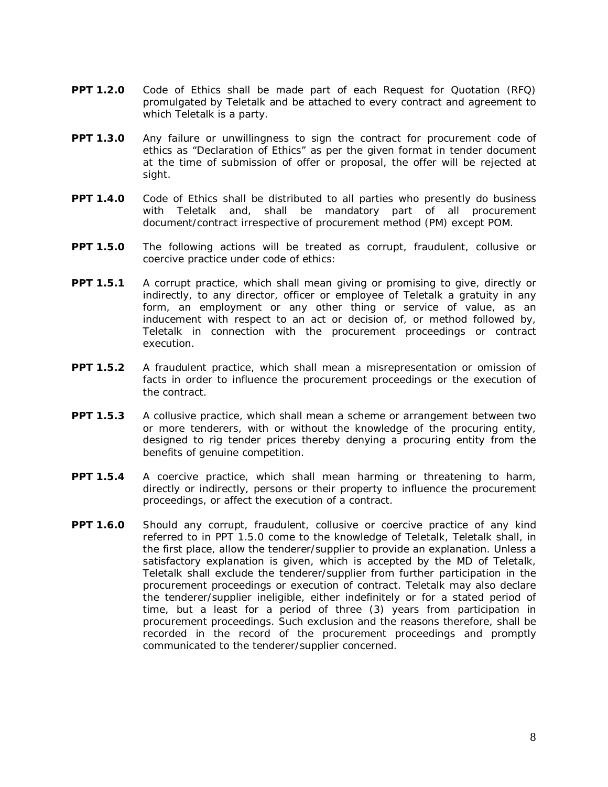- **PPT 1.2.0** Code of Ethics shall be made part of each Request for Quotation (RFQ) promulgated by Teletalk and be attached to every contract and agreement to which Teletalk is a party.
- **PPT 1.3.0** Any failure or unwillingness to sign the contract for procurement code of ethics as "Declaration of Ethics" as per the given format in tender document at the time of submission of offer or proposal, the offer will be rejected at sight.
- **PPT 1.4.0** Code of Ethics shall be distributed to all parties who presently do business with Teletalk and, shall be mandatory part of all procurement document/contract irrespective of procurement method (PM) except POM.
- **PPT 1.5.0** The following actions will be treated as corrupt, fraudulent, collusive or coercive practice under code of ethics:
- **PPT 1.5.1** A corrupt practice, which shall mean giving or promising to give, directly or indirectly, to any director, officer or employee of Teletalk a gratuity in any form, an employment or any other thing or service of value, as an inducement with respect to an act or decision of, or method followed by, Teletalk in connection with the procurement proceedings or contract execution.
- **PPT 1.5.2** A fraudulent practice, which shall mean a misrepresentation or omission of facts in order to influence the procurement proceedings or the execution of the contract.
- **PPT 1.5.3** A collusive practice, which shall mean a scheme or arrangement between two or more tenderers, with or without the knowledge of the procuring entity, designed to rig tender prices thereby denying a procuring entity from the benefits of genuine competition.
- **PPT 1.5.4** A coercive practice, which shall mean harming or threatening to harm, directly or indirectly, persons or their property to influence the procurement proceedings, or affect the execution of a contract.
- **PPT 1.6.0** Should any corrupt, fraudulent, collusive or coercive practice of any kind referred to in PPT 1.5.0 come to the knowledge of Teletalk, Teletalk shall, in the first place, allow the tenderer/supplier to provide an explanation. Unless a satisfactory explanation is given, which is accepted by the MD of Teletalk, Teletalk shall exclude the tenderer/supplier from further participation in the procurement proceedings or execution of contract. Teletalk may also declare the tenderer/supplier ineligible, either indefinitely or for a stated period of time, but a least for a period of three (3) years from participation in procurement proceedings. Such exclusion and the reasons therefore, shall be recorded in the record of the procurement proceedings and promptly communicated to the tenderer/supplier concerned.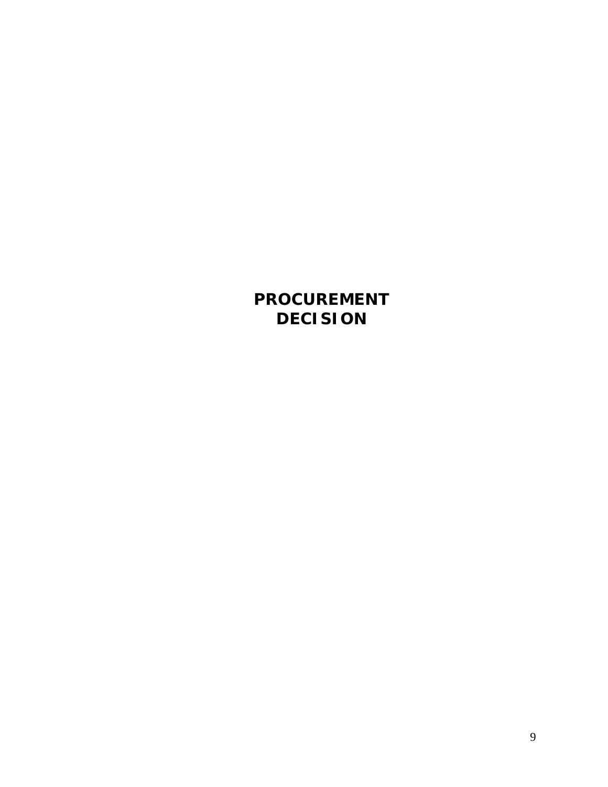**PROCUREMENT DECISION**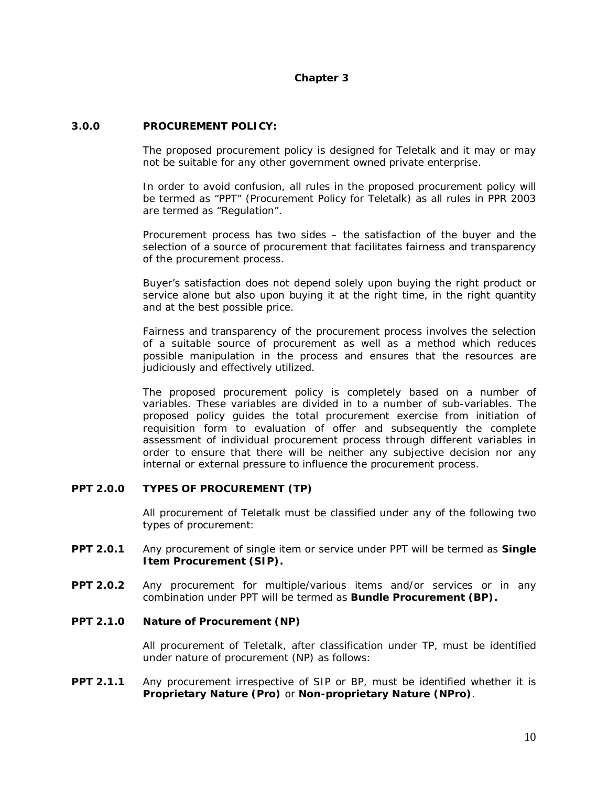## **Chapter 3**

## **3.0.0 PROCUREMENT POLICY:**

The proposed procurement policy is designed for Teletalk and it may or may not be suitable for any other government owned private enterprise.

In order to avoid confusion, all rules in the proposed procurement policy will be termed as "PPT" (Procurement Policy for Teletalk) as all rules in PPR 2003 are termed as "Regulation".

Procurement process has two sides – the satisfaction of the buyer and the selection of a source of procurement that facilitates fairness and transparency of the procurement process.

Buyer's satisfaction does not depend solely upon buying the right product or service alone but also upon buying it at the right time, in the right quantity and at the best possible price.

Fairness and transparency of the procurement process involves the selection of a suitable source of procurement as well as a method which reduces possible manipulation in the process and ensures that the resources are judiciously and effectively utilized.

The proposed procurement policy is completely based on a number of variables. These variables are divided in to a number of sub-variables. The proposed policy guides the total procurement exercise from initiation of requisition form to evaluation of offer and subsequently the complete assessment of individual procurement process through different variables in order to ensure that there will be neither any subjective decision nor any internal or external pressure to influence the procurement process.

## **PPT 2.0.0 TYPES OF PROCUREMENT (TP)**

All procurement of Teletalk must be classified under any of the following two types of procurement:

- **PPT 2.0.1** Any procurement of single item or service under PPT will be termed as **Single Item Procurement (SIP).**
- **PPT 2.0.2** Any procurement for multiple/various items and/or services or in any combination under PPT will be termed as **Bundle Procurement (BP).**

#### **PPT 2.1.0 Nature of Procurement (NP)**

All procurement of Teletalk, after classification under TP, must be identified under nature of procurement (NP) as follows:

#### **PPT 2.1.1** Any procurement irrespective of SIP or BP, must be identified whether it is **Proprietary Nature (Pro)** or **Non-proprietary Nature (NPro)**.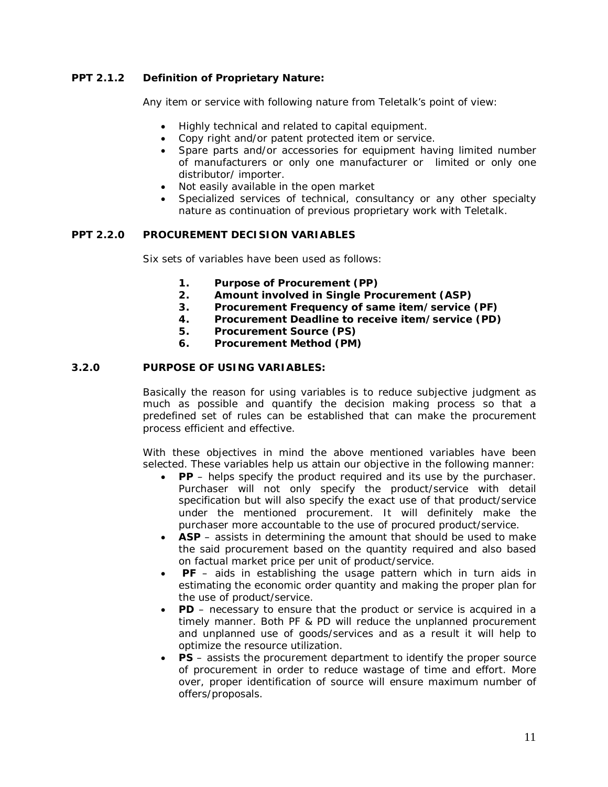# **PPT 2.1.2 Definition of Proprietary Nature:**

Any item or service with following nature from Teletalk's point of view:

- Highly technical and related to capital equipment.
- Copy right and/or patent protected item or service.
- Spare parts and/or accessories for equipment having limited number of manufacturers or only one manufacturer or limited or only one distributor/ importer.
- Not easily available in the open market
- Specialized services of technical, consultancy or any other specialty nature as continuation of previous proprietary work with Teletalk.

## **PPT 2.2.0 PROCUREMENT DECISION VARIABLES**

Six sets of variables have been used as follows:

- **1. Purpose of Procurement (PP)**
- **2. Amount involved in Single Procurement (ASP)**
- **3. Procurement Frequency of same item/service (PF)**
- **4. Procurement Deadline to receive item/service (PD)**
- **5. Procurement Source (PS)**
- **6. Procurement Method (PM)**

## **3.2.0 PURPOSE OF USING VARIABLES:**

Basically the reason for using variables is to reduce subjective judgment as much as possible and quantify the decision making process so that a predefined set of rules can be established that can make the procurement process efficient and effective.

With these objectives in mind the above mentioned variables have been selected. These variables help us attain our objective in the following manner:

- **PP** helps specify the product required and its use by the purchaser. Purchaser will not only specify the product/service with detail specification but will also specify the exact use of that product/service under the mentioned procurement. It will definitely make the purchaser more accountable to the use of procured product/service.
- **ASP** assists in determining the amount that should be used to make the said procurement based on the quantity required and also based on factual market price per unit of product/service.
- **PF** aids in establishing the usage pattern which in turn aids in estimating the economic order quantity and making the proper plan for the use of product/service.
- **PD** necessary to ensure that the product or service is acquired in a timely manner. Both PF & PD will reduce the unplanned procurement and unplanned use of goods/services and as a result it will help to optimize the resource utilization.
- **PS** assists the procurement department to identify the proper source of procurement in order to reduce wastage of time and effort. More over, proper identification of source will ensure maximum number of offers/proposals.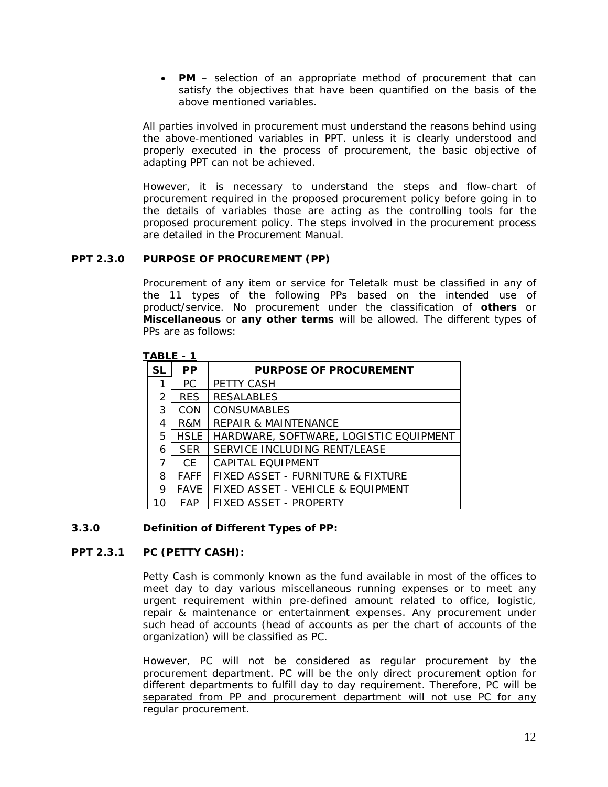**PM** – selection of an appropriate method of procurement that can satisfy the objectives that have been quantified on the basis of the above mentioned variables.

All parties involved in procurement must understand the reasons behind using the above-mentioned variables in PPT. unless it is clearly understood and properly executed in the process of procurement, the basic objective of adapting PPT can not be achieved.

However, it is necessary to understand the steps and flow-chart of procurement required in the proposed procurement policy before going in to the details of variables those are acting as the controlling tools for the proposed procurement policy. The steps involved in the procurement process are detailed in the Procurement Manual.

## **PPT 2.3.0 PURPOSE OF PROCUREMENT (PP)**

Procurement of any item or service for Teletalk must be classified in any of the 11 types of the following PPs based on the intended use of product/service. No procurement under the classification of **others** or **Miscellaneous** or **any other terms** will be allowed. The different types of PPs are as follows:

| ヘレレレ          | - 1         |                                        |
|---------------|-------------|----------------------------------------|
| <b>SL</b>     | <b>PP</b>   | <b>PURPOSE OF PROCUREMENT</b>          |
| 1             | PC.         | <b>PETTY CASH</b>                      |
| $\mathcal{P}$ | <b>RES</b>  | <b>RESALABLES</b>                      |
| 3             | <b>CON</b>  | <b>CONSUMABLES</b>                     |
| 4             | R&M         | <b>REPAIR &amp; MAINTENANCE</b>        |
| 5.            | <b>HSLE</b> | HARDWARE, SOFTWARE, LOGISTIC EQUIPMENT |
| 6             | <b>SER</b>  | SERVICE INCLUDING RENT/LEASE           |
| 7             | CF.         | CAPITAL EQUIPMENT                      |
| 8             | <b>FAFF</b> | FIXED ASSET - FURNITURE & FIXTURE      |
| 9             | <b>FAVE</b> | FIXED ASSET - VEHICLE & EQUIPMENT      |
| 10            | <b>FAP</b>  | FIXED ASSET - PROPERTY                 |

## **TABLE - 1**

## **3.3.0 Definition of Different Types of PP:**

# **PPT 2.3.1 PC (PETTY CASH):**

Petty Cash is commonly known as the fund available in most of the offices to meet day to day various miscellaneous running expenses or to meet any urgent requirement within pre-defined amount related to office, logistic, repair & maintenance or entertainment expenses. Any procurement under such head of accounts (head of accounts as per the chart of accounts of the organization) will be classified as PC.

However, PC will not be considered as regular procurement by the procurement department. PC will be the only direct procurement option for different departments to fulfill day to day requirement. Therefore, PC will be separated from PP and procurement department will not use PC for any regular procurement.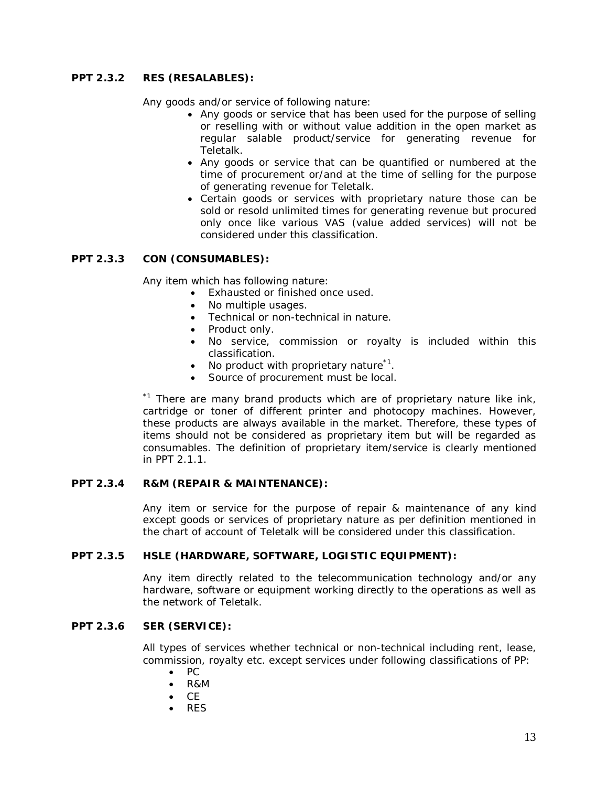# **PPT 2.3.2 RES (RESALABLES):**

Any goods and/or service of following nature:

- Any goods or service that has been used for the purpose of selling or reselling with or without value addition in the open market as regular salable product/service for generating revenue for Teletalk.
- Any goods or service that can be quantified or numbered at the time of procurement or/and at the time of selling for the purpose of generating revenue for Teletalk.
- Certain goods or services with proprietary nature those can be sold or resold unlimited times for generating revenue but procured only once like various VAS (value added services) will not be considered under this classification.

# **PPT 2.3.3 CON (CONSUMABLES):**

Any item which has following nature:

- Exhausted or finished once used.
- No multiple usages.
- Technical or non-technical in nature.
- Product only.
- No service, commission or royalty is included within this classification.
- No product with proprietary nature<sup>\*1</sup>.
- Source of procurement must be local.

 $*1$  There are many brand products which are of proprietary nature like ink, cartridge or toner of different printer and photocopy machines. However, these products are always available in the market. Therefore, these types of items should not be considered as proprietary item but will be regarded as consumables. The definition of proprietary item/service is clearly mentioned in PPT 2.1.1.

## **PPT 2.3.4 R&M (REPAIR & MAINTENANCE):**

Any item or service for the purpose of repair & maintenance of any kind except goods or services of proprietary nature as per definition mentioned in the chart of account of Teletalk will be considered under this classification.

#### **PPT 2.3.5 HSLE (HARDWARE, SOFTWARE, LOGISTIC EQUIPMENT):**

Any item directly related to the telecommunication technology and/or any hardware, software or equipment working directly to the operations as well as the network of Teletalk.

# **PPT 2.3.6 SER (SERVICE):**

All types of services whether technical or non-technical including rent, lease, commission, royalty etc. except services under following classifications of PP:

- $\bullet$  PC
- R&M
- CE
- RES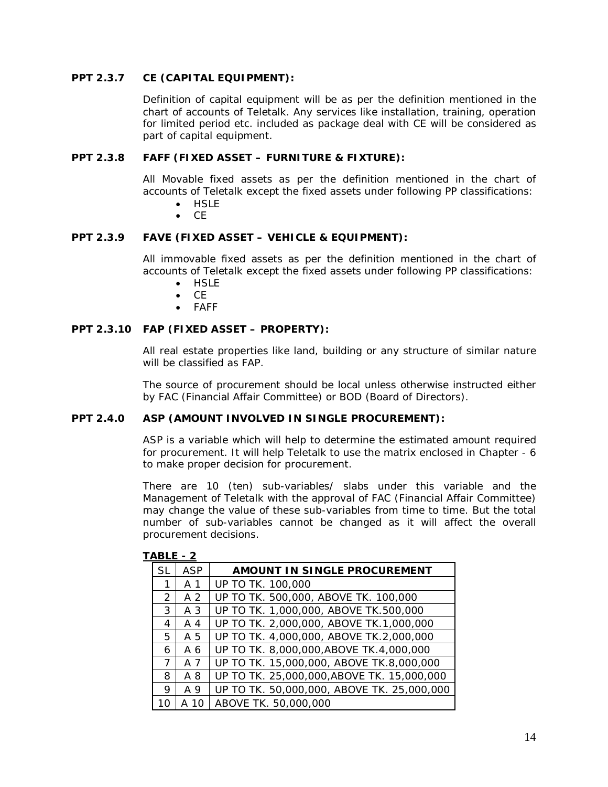## **PPT 2.3.7 CE (CAPITAL EQUIPMENT):**

Definition of capital equipment will be as per the definition mentioned in the chart of accounts of Teletalk. Any services like installation, training, operation for limited period etc. included as package deal with CE will be considered as part of capital equipment.

#### **PPT 2.3.8 FAFF (FIXED ASSET – FURNITURE & FIXTURE):**

All Movable fixed assets as per the definition mentioned in the chart of accounts of Teletalk except the fixed assets under following PP classifications:

- **HSLE**
- $\bullet$  CF

## **PPT 2.3.9 FAVE (FIXED ASSET – VEHICLE & EQUIPMENT):**

All immovable fixed assets as per the definition mentioned in the chart of accounts of Teletalk except the fixed assets under following PP classifications:

- HSLE
- CE
- FAFF

## **PPT 2.3.10 FAP (FIXED ASSET – PROPERTY):**

All real estate properties like land, building or any structure of similar nature will be classified as FAP.

The source of procurement should be local unless otherwise instructed either by FAC (Financial Affair Committee) or BOD (Board of Directors).

#### **PPT 2.4.0 ASP (AMOUNT INVOLVED IN SINGLE PROCUREMENT):**

ASP is a variable which will help to determine the estimated amount required for procurement. It will help Teletalk to use the matrix enclosed in Chapter - 6 to make proper decision for procurement.

There are 10 (ten) sub-variables/ slabs under this variable and the Management of Teletalk with the approval of FAC (Financial Affair Committee) may change the value of these sub-variables from time to time. But the total number of sub-variables cannot be changed as it will affect the overall procurement decisions.

| SL            | <b>ASP</b> | AMOUNT IN SINGLE PROCUREMENT               |
|---------------|------------|--------------------------------------------|
| 1             | A 1        | UP TO TK. 100,000                          |
| $\mathcal{P}$ | A 2        | UP TO TK. 500,000, ABOVE TK. 100,000       |
| 3             | A 3        | UP TO TK. 1,000,000, ABOVE TK.500,000      |
| 4             | A 4        | UP TO TK. 2,000,000, ABOVE TK.1,000,000    |
| 5.            | A 5        | UP TO TK. 4,000,000, ABOVE TK.2,000,000    |
| 6             | A 6        | UP TO TK. 8,000,000,ABOVE TK.4,000,000     |
| 7             | A 7        | UP TO TK. 15,000,000, ABOVE TK.8,000,000   |
| 8             | A 8        | UP TO TK. 25,000,000,ABOVE TK. 15,000,000  |
| 9             | A 9        | UP TO TK. 50,000,000, ABOVE TK. 25,000,000 |
| 10            | A 10       | ABOVE TK. 50,000,000                       |

#### **TABLE - 2**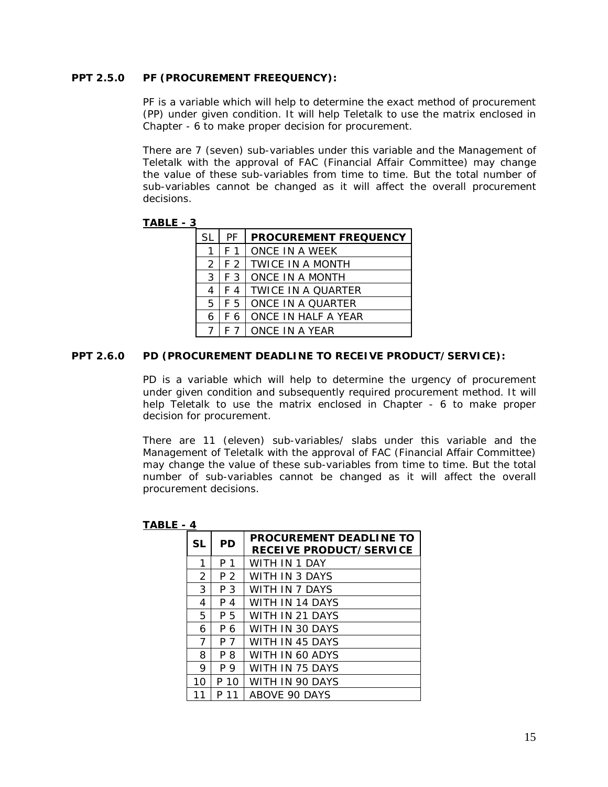## **PPT 2.5.0 PF (PROCUREMENT FREEQUENCY):**

PF is a variable which will help to determine the exact method of procurement (PP) under given condition. It will help Teletalk to use the matrix enclosed in Chapter - 6 to make proper decision for procurement.

There are 7 (seven) sub-variables under this variable and the Management of Teletalk with the approval of FAC (Financial Affair Committee) may change the value of these sub-variables from time to time. But the total number of sub-variables cannot be changed as it will affect the overall procurement decisions.

## **TABLE - 3**

| <b>SL</b>     | PF  | <b>PROCUREMENT FREQUENCY</b> |
|---------------|-----|------------------------------|
|               | F 1 | ONCE IN A WEEK               |
| $\mathcal{P}$ |     | F 2   TWICE IN A MONTH       |
| 3             |     | F 3   ONCE IN A MONTH        |
| 4             | F 4 | TWICE IN A OUARTER           |
| 5             | F 5 | LONCE IN A QUARTER           |
| 6             | F 6 | ONCE IN HALF A YEAR          |
|               |     | ONCE IN A YEAR               |

## **PPT 2.6.0 PD (PROCUREMENT DEADLINE TO RECEIVE PRODUCT/SERVICE):**

PD is a variable which will help to determine the urgency of procurement under given condition and subsequently required procurement method. It will help Teletalk to use the matrix enclosed in Chapter - 6 to make proper decision for procurement.

There are 11 (eleven) sub-variables/ slabs under this variable and the Management of Teletalk with the approval of FAC (Financial Affair Committee) may change the value of these sub-variables from time to time. But the total number of sub-variables cannot be changed as it will affect the overall procurement decisions.

## **TABLE - 4**

| <b>SL</b> | <b>PD</b> | <b>PROCUREMENT DEADLINE TO</b><br><b>RECEIVE PRODUCT/SERVICE</b> |
|-----------|-----------|------------------------------------------------------------------|
| 1         | P 1       | WITH IN 1 DAY                                                    |
| 2         | P 2       | WITH IN 3 DAYS                                                   |
| 3         | P 3       | WITH IN 7 DAYS                                                   |
| 4         | P 4       | WITH IN 14 DAYS                                                  |
| 5         | P 5       | WITH IN 21 DAYS                                                  |
| 6         | P6        | WITH IN 30 DAYS                                                  |
| 7         | P 7       | WITH IN 45 DAYS                                                  |
| 8         | P 8       | WITH IN 60 ADYS                                                  |
| 9         | P 9       | WITH IN 75 DAYS                                                  |
| 10        | 10<br>P   | WITH IN 90 DAYS                                                  |
|           |           | <b>ABOVE 90 DAYS</b>                                             |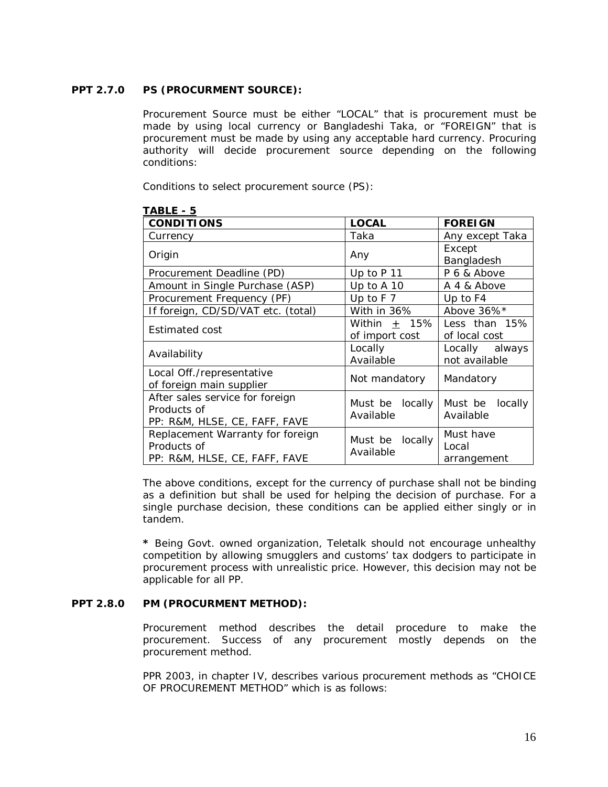# **PPT 2.7.0 PS (PROCURMENT SOURCE):**

Procurement Source must be either "LOCAL" that is procurement must be made by using local currency or Bangladeshi Taka, or "FOREIGN" that is procurement must be made by using any acceptable hard currency. Procuring authority will decide procurement source depending on the following conditions:

Conditions to select procurement source (PS):

| <b>CONDITIONS</b>                  | <b>LOCAL</b>                 | <b>FOREIGN</b>     |  |
|------------------------------------|------------------------------|--------------------|--|
| Currency                           | Taka                         | Any except Taka    |  |
| Origin                             | Any                          | Except             |  |
|                                    |                              | Bangladesh         |  |
| Procurement Deadline (PD)          | Up to P 11                   | P 6 & Above        |  |
| Amount in Single Purchase (ASP)    | Up to A 10                   | A 4 & Above        |  |
| Procurement Frequency (PF)         | Up to $F$ 7                  | Up to F4           |  |
| If foreign, CD/SD/VAT etc. (total) | With in 36%                  | Above 36%*         |  |
| Estimated cost                     | Within $+$ 15%               | Less than 15%      |  |
|                                    | of import cost               | of local cost      |  |
| Availability                       | Locally                      | Locally always     |  |
|                                    | Available                    | not available      |  |
| Local Off./representative          | Not mandatory                | Mandatory          |  |
| of foreign main supplier           |                              |                    |  |
| After sales service for foreign    | Must be locally              | Must be<br>locally |  |
| Products of                        | Available                    | Available          |  |
| PP: R&M, HLSE, CE, FAFF, FAVE      |                              |                    |  |
| Replacement Warranty for foreign   |                              | Must have          |  |
| Products of                        | Must be locally<br>Available | Local              |  |
| PP: R&M, HLSE, CE, FAFF, FAVE      |                              | arrangement        |  |

# **TABLE - 5**

The above conditions, except for the currency of purchase shall not be binding as a definition but shall be used for helping the decision of purchase. For a single purchase decision, these conditions can be applied either singly or in tandem.

**\*** Being Govt. owned organization, Teletalk should not encourage unhealthy competition by allowing smugglers and customs' tax dodgers to participate in procurement process with unrealistic price. However, this decision may not be applicable for all PP.

## **PPT 2.8.0 PM (PROCURMENT METHOD):**

Procurement method describes the detail procedure to make the procurement. Success of any procurement mostly depends on the procurement method.

PPR 2003, in chapter IV, describes various procurement methods as "CHOICE OF PROCUREMENT METHOD" which is as follows: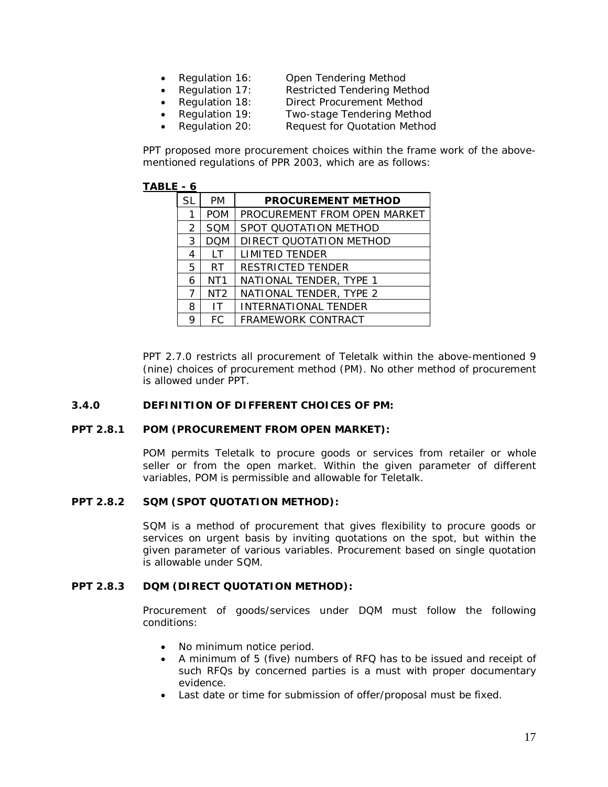- Regulation 16: Open Tendering Method
- Regulation 17: Restricted Tendering Method
- - Regulation 18: Direct Procurement Method
- Regulation 19: Two-stage Tendering Method
- Regulation 20: Request for Quotation Method

PPT proposed more procurement choices within the frame work of the abovementioned regulations of PPR 2003, which are as follows:

## **TABLE - 6**

| SL            | <b>PM</b>       | <b>PROCUREMENT METHOD</b>    |
|---------------|-----------------|------------------------------|
|               | <b>POM</b>      | PROCUREMENT FROM OPEN MARKET |
| $\mathcal{P}$ | <b>SQM</b>      | SPOT QUOTATION METHOD        |
| 3             | <b>DOM</b>      | DIRECT QUOTATION METHOD      |
| 4             | $\mathsf{I}$ T  | <b>LIMITED TENDER</b>        |
| 5             | RT.             | <b>RESTRICTED TENDER</b>     |
| 6             | NT <sub>1</sub> | NATIONAL TENDER, TYPE 1      |
| 7             | NT <sub>2</sub> | NATIONAL TENDER, TYPE 2      |
| 8             | IT              | <b>INTERNATIONAL TENDER</b>  |
| 9             | FC.             | FRAMEWORK CONTRACT           |

PPT 2.7.0 restricts all procurement of Teletalk within the above-mentioned 9 (nine) choices of procurement method (PM). No other method of procurement is allowed under PPT.

## **3.4.0 DEFINITION OF DIFFERENT CHOICES OF PM:**

#### **PPT 2.8.1 POM (PROCUREMENT FROM OPEN MARKET):**

POM permits Teletalk to procure goods or services from retailer or whole seller or from the open market. Within the given parameter of different variables, POM is permissible and allowable for Teletalk.

#### **PPT 2.8.2 SQM (SPOT QUOTATION METHOD):**

SQM is a method of procurement that gives flexibility to procure goods or services on urgent basis by inviting quotations on the spot, but within the given parameter of various variables. Procurement based on single quotation is allowable under SQM.

#### **PPT 2.8.3 DQM (DIRECT QUOTATION METHOD):**

Procurement of goods/services under DQM must follow the following conditions:

- No minimum notice period.
- A minimum of 5 (five) numbers of RFQ has to be issued and receipt of such RFQs by concerned parties is a must with proper documentary evidence.
- Last date or time for submission of offer/proposal must be fixed.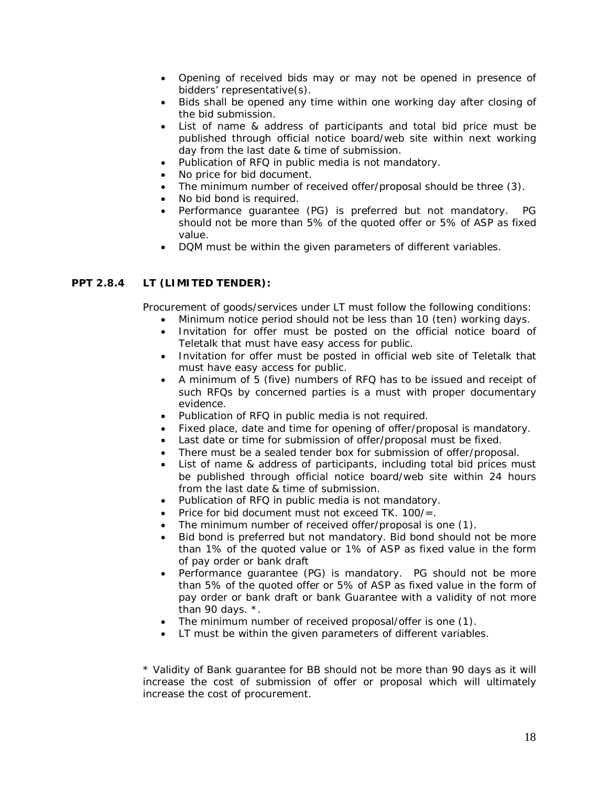- Opening of received bids may or may not be opened in presence of bidders' representative(s).
- Bids shall be opened any time within one working day after closing of the bid submission.
- List of name & address of participants and total bid price must be published through official notice board/web site within next working day from the last date & time of submission.
- Publication of RFQ in public media is not mandatory.
- No price for bid document.
- The minimum number of received offer/proposal should be three (3).
- No bid bond is required.
- Performance guarantee (PG) is preferred but not mandatory. PG should not be more than 5% of the quoted offer or 5% of ASP as fixed value.
- DQM must be within the given parameters of different variables.

## **PPT 2.8.4 LT (LIMITED TENDER):**

Procurement of goods/services under LT must follow the following conditions:

- Minimum notice period should not be less than 10 (ten) working days.
- Invitation for offer must be posted on the official notice board of Teletalk that must have easy access for public.
- Invitation for offer must be posted in official web site of Teletalk that must have easy access for public.
- A minimum of 5 (five) numbers of RFQ has to be issued and receipt of such RFQs by concerned parties is a must with proper documentary evidence.
- Publication of RFQ in public media is not required.
- Fixed place, date and time for opening of offer/proposal is mandatory.
- Last date or time for submission of offer/proposal must be fixed.
- There must be a sealed tender box for submission of offer/proposal.
- List of name & address of participants, including total bid prices must be published through official notice board/web site within 24 hours from the last date & time of submission.
- Publication of RFQ in public media is not mandatory.
- Price for bid document must not exceed  $TK. 100/=$ .
- The minimum number of received offer/proposal is one (1).
- Bid bond is preferred but not mandatory. Bid bond should not be more than 1% of the quoted value or 1% of ASP as fixed value in the form of pay order or bank draft
- Performance guarantee (PG) is mandatory. PG should not be more than 5% of the quoted offer or 5% of ASP as fixed value in the form of pay order or bank draft or bank Guarantee with a validity of not more than 90 days. \*.
- The minimum number of received proposal/offer is one (1).
- LT must be within the given parameters of different variables.

*\* Validity of Bank guarantee for BB should not be more than 90 days as it will increase the cost of submission of offer or proposal which will ultimately increase the cost of procurement.*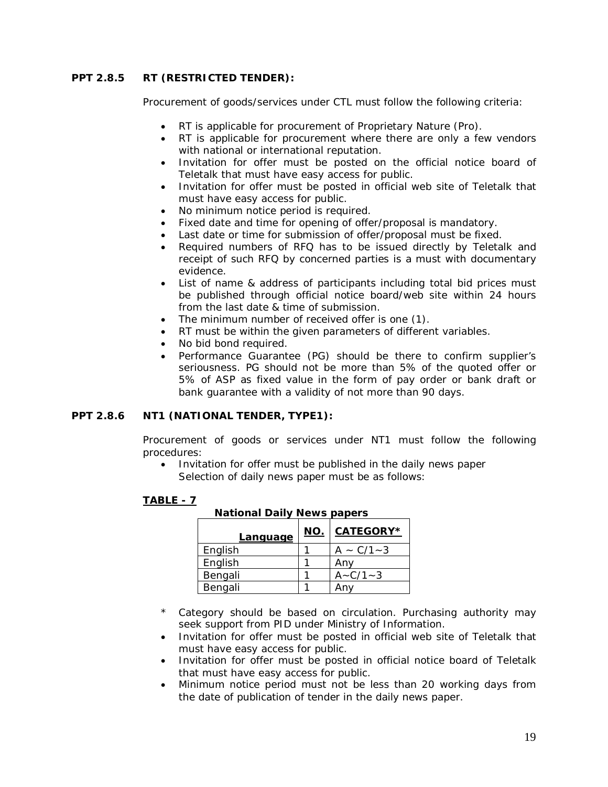# **PPT 2.8.5 RT (RESTRICTED TENDER):**

Procurement of goods/services under CTL must follow the following criteria:

- RT is applicable for procurement of Proprietary Nature (Pro).
- RT is applicable for procurement where there are only a few vendors with national or international reputation.
- Invitation for offer must be posted on the official notice board of Teletalk that must have easy access for public.
- Invitation for offer must be posted in official web site of Teletalk that must have easy access for public.
- No minimum notice period is required.
- Fixed date and time for opening of offer/proposal is mandatory.
- Last date or time for submission of offer/proposal must be fixed.
- Required numbers of RFQ has to be issued directly by Teletalk and receipt of such RFQ by concerned parties is a must with documentary evidence.
- List of name & address of participants including total bid prices must be published through official notice board/web site within 24 hours from the last date & time of submission.
- The minimum number of received offer is one (1).
- RT must be within the given parameters of different variables.
- No bid bond required.
- Performance Guarantee (PG) should be there to confirm supplier's seriousness. PG should not be more than 5% of the quoted offer or 5% of ASP as fixed value in the form of pay order or bank draft or bank guarantee with a validity of not more than 90 days.

## **PPT 2.8.6 NT1 (NATIONAL TENDER, TYPE1):**

Procurement of goods or services under NT1 must follow the following procedures:

• Invitation for offer must be published in the daily news paper Selection of daily news paper must be as follows:

#### **TABLE - 7**

| <b>Language</b> | <u>NO.</u> | CATEGORY*        |
|-----------------|------------|------------------|
| English         |            | $A \sim C/1 - 3$ |
| English         |            | Anv              |
| Bengali         |            | $A - C/1 - 3$    |
| Bengali         |            |                  |

**National Daily News papers**

- \* Category should be based on circulation. Purchasing authority may seek support from PID under Ministry of Information.
- Invitation for offer must be posted in official web site of Teletalk that must have easy access for public.
- Invitation for offer must be posted in official notice board of Teletalk that must have easy access for public.
- Minimum notice period must not be less than 20 working days from the date of publication of tender in the daily news paper.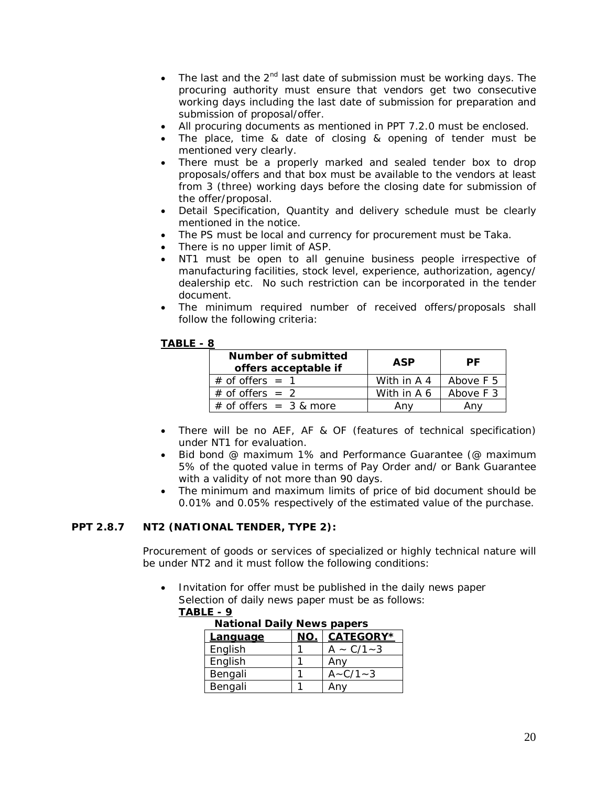- The last and the  $2^{nd}$  last date of submission must be working days. The procuring authority must ensure that vendors get two consecutive working days including the last date of submission for preparation and submission of proposal/offer.
- All procuring documents as mentioned in PPT 7.2.0 must be enclosed.
- The place, time & date of closing & opening of tender must be mentioned very clearly.
- There must be a properly marked and sealed tender box to drop proposals/offers and that box must be available to the vendors at least from 3 (three) working days before the closing date for submission of the offer/proposal.
- Detail Specification, Quantity and delivery schedule must be clearly mentioned in the notice.
- The PS must be local and currency for procurement must be Taka.
- There is no upper limit of ASP.
- NT1 must be open to all genuine business people irrespective of manufacturing facilities, stock level, experience, authorization, agency/ dealership etc. No such restriction can be incorporated in the tender document.
- The minimum required number of received offers/proposals shall follow the following criteria:

## **TABLE - 8**

| Number of submitted<br>offers acceptable if | ASP         | РF        |
|---------------------------------------------|-------------|-----------|
| $\#$ of offers = 1                          | With in A 4 | Above F 5 |
| $#$ of offers = 2                           | With in A 6 | Above F 3 |
| $#$ of offers = 3 & more                    | Anv         |           |

- There will be no AEF, AF & OF (features of technical specification) under NT1 for evaluation.
- Bid bond @ maximum 1% and Performance Guarantee (@ maximum 5% of the quoted value in terms of Pay Order and/ or Bank Guarantee with a validity of not more than 90 days.
- The minimum and maximum limits of price of bid document should be 0.01% and 0.05% respectively of the estimated value of the purchase.

## **PPT 2.8.7 NT2 (NATIONAL TENDER, TYPE 2):**

Procurement of goods or services of specialized or highly technical nature will be under NT2 and it must follow the following conditions:

 Invitation for offer must be published in the daily news paper Selection of daily news paper must be as follows: **TABLE - 9**

| <b>National Daily News papers</b> |     |                  |  |  |
|-----------------------------------|-----|------------------|--|--|
| <u>Language</u>                   | NO. | <b>CATEGORY*</b> |  |  |
| English                           |     | $A \sim C/1 - 3$ |  |  |
| English                           |     | Any              |  |  |
| Bengali                           |     | $A - C/1 - 3$    |  |  |
| Bengali                           |     |                  |  |  |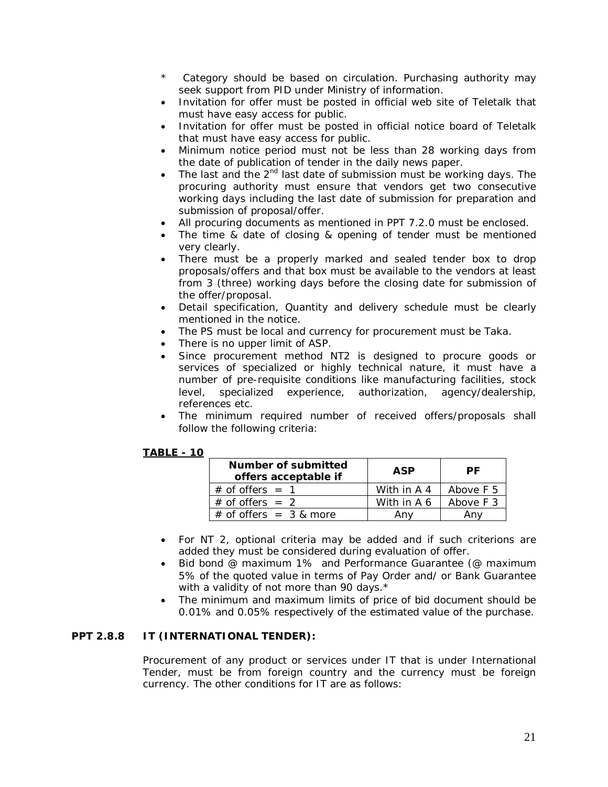- \* Category should be based on circulation. Purchasing authority may seek support from PID under Ministry of information.
- Invitation for offer must be posted in official web site of Teletalk that must have easy access for public.
- Invitation for offer must be posted in official notice board of Teletalk that must have easy access for public.
- Minimum notice period must not be less than 28 working days from the date of publication of tender in the daily news paper.
- The last and the  $2<sup>nd</sup>$  last date of submission must be working days. The procuring authority must ensure that vendors get two consecutive working days including the last date of submission for preparation and submission of proposal/offer.
- All procuring documents as mentioned in PPT 7.2.0 must be enclosed.
- The time & date of closing & opening of tender must be mentioned very clearly.
- There must be a properly marked and sealed tender box to drop proposals/offers and that box must be available to the vendors at least from 3 (three) working days before the closing date for submission of the offer/proposal.
- Detail specification, Quantity and delivery schedule must be clearly mentioned in the notice.
- The PS must be local and currency for procurement must be Taka.
- There is no upper limit of ASP.
- Since procurement method NT2 is designed to procure goods or services of specialized or highly technical nature, it must have a number of pre-requisite conditions like manufacturing facilities, stock level, specialized experience, authorization, agency/dealership, references etc.
- The minimum required number of received offers/proposals shall follow the following criteria:

#### **TABLE - 10**

| Number of submitted<br>offers acceptable if | ASP         | РF        |
|---------------------------------------------|-------------|-----------|
| $#$ of offers = 1                           | With in A 4 | Above F 5 |
| $#$ of offers = 2                           | With in A 6 | Above F 3 |
| $#$ of offers = 3 & more                    | Anv         | An۱       |

- For NT 2, optional criteria may be added and if such criterions are added they must be considered during evaluation of offer.
- Bid bond @ maximum 1% and Performance Guarantee (@ maximum 5% of the quoted value in terms of Pay Order and/ or Bank Guarantee with a validity of not more than 90 days.<sup>\*</sup>
- The minimum and maximum limits of price of bid document should be 0.01% and 0.05% respectively of the estimated value of the purchase.

## **PPT 2.8.8 IT (INTERNATIONAL TENDER):**

Procurement of any product or services under IT that is under International Tender, must be from foreign country and the currency must be foreign currency. The other conditions for IT are as follows: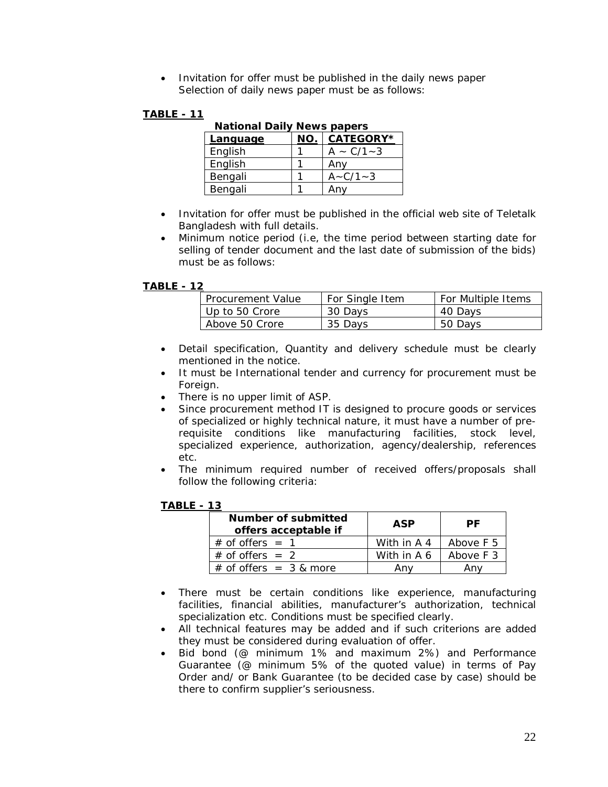• Invitation for offer must be published in the daily news paper Selection of daily news paper must be as follows:

# **TABLE - 11**

| National Dally News papels |     |                  |  |  |  |
|----------------------------|-----|------------------|--|--|--|
| Language                   | NO. | <b>CATEGORY*</b> |  |  |  |
| English                    |     | $A \sim C/1 - 3$ |  |  |  |
| English                    |     | Any              |  |  |  |
| Bengali                    |     | $A - C/1 - 3$    |  |  |  |
| Bengali                    |     | Anv              |  |  |  |

**National Daily News papers**

- Invitation for offer must be published in the official web site of Teletalk Bangladesh with full details.
- Minimum notice period (i.e, the time period between starting date for selling of tender document and the last date of submission of the bids) must be as follows:

## **TABLE - 12**

| <b>I</b> Procurement Value | For Single Item | For Multiple Items |
|----------------------------|-----------------|--------------------|
| Up to 50 Crore             | 30 Days         | 40 Days            |
| Above 50 Crore             | 35 Days         | 50 Days            |

- Detail specification, Quantity and delivery schedule must be clearly mentioned in the notice.
- It must be International tender and currency for procurement must be Foreign.
- There is no upper limit of ASP.
- Since procurement method IT is designed to procure goods or services of specialized or highly technical nature, it must have a number of prerequisite conditions like manufacturing facilities, stock level, specialized experience, authorization, agency/dealership, references etc.
- The minimum required number of received offers/proposals shall follow the following criteria:

## **TABLE - 13**

| Number of submitted<br>offers acceptable if | ASP         | РF        |  |
|---------------------------------------------|-------------|-----------|--|
| $\#$ of offers = 1                          | With in A 4 | Above F 5 |  |
| $\#$ of offers = 2                          | With in A 6 | Above F 3 |  |
| $#$ of offers = 3 & more                    |             |           |  |

- There must be certain conditions like experience, manufacturing facilities, financial abilities, manufacturer's authorization, technical specialization etc. Conditions must be specified clearly.
- All technical features may be added and if such criterions are added they must be considered during evaluation of offer.
- Bid bond (@ minimum 1% and maximum 2%) and Performance Guarantee (@ minimum 5% of the quoted value) in terms of Pay Order and/ or Bank Guarantee (to be decided case by case) should be there to confirm supplier's seriousness.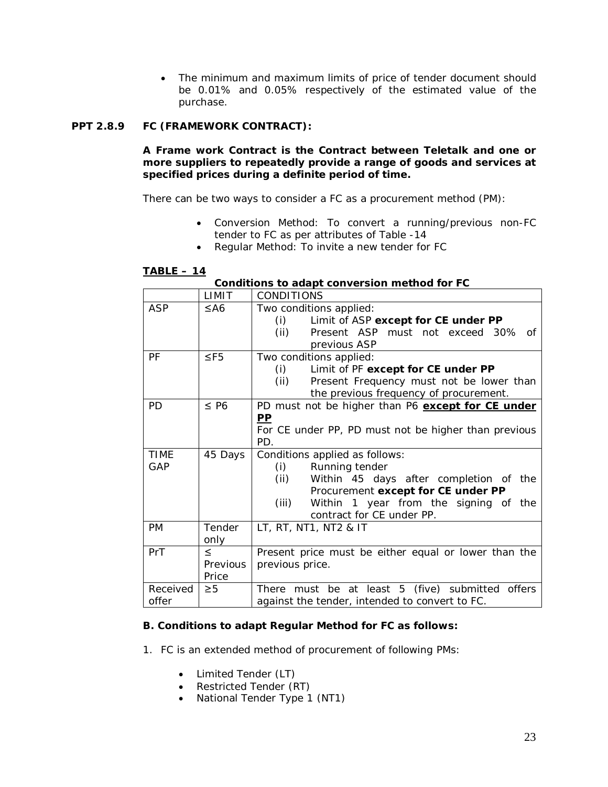The minimum and maximum limits of price of tender document should be 0.01% and 0.05% respectively of the estimated value of the purchase.

# **PPT 2.8.9 FC (FRAMEWORK CONTRACT):**

**A Frame work Contract is the Contract between Teletalk and one or more suppliers to repeatedly provide a range of goods and services at specified prices during a definite period of time.**

There can be two ways to consider a FC as a procurement method (PM):

- Conversion Method: To convert a running/previous non-FC tender to FC as per attributes of Table -14
- Regular Method: To invite a new tender for FC

| Conditions to adapt conversion method for FC |                             |                                                                                                                                                                                                                                   |  |  |
|----------------------------------------------|-----------------------------|-----------------------------------------------------------------------------------------------------------------------------------------------------------------------------------------------------------------------------------|--|--|
|                                              | LIMIT                       | <b>CONDITIONS</b>                                                                                                                                                                                                                 |  |  |
| <b>ASP</b>                                   | $\leq$ A6                   | Two conditions applied:<br>Limit of ASP except for CE under PP<br>(i)<br>(ii)<br>Present ASP must not exceed 30%<br>് റf<br>previous ASP                                                                                          |  |  |
| PF                                           | $\leq$ F5                   | Two conditions applied:<br>(i)<br>Limit of PF except for CE under PP<br>(ii)<br>Present Frequency must not be lower than<br>the previous frequency of procurement.                                                                |  |  |
| <b>PD</b>                                    | $\leq$ P6                   | PD must not be higher than P6 except for CE under<br><u>PP</u><br>For CE under PP, PD must not be higher than previous<br>PD.                                                                                                     |  |  |
| <b>TIME</b><br>GAP                           | 45 Days                     | Conditions applied as follows:<br>(i)<br>Running tender<br>(ii)<br>Within 45 days after completion of the<br>Procurement except for CE under PP<br>(iii)<br>Within<br>1 year from the signing of the<br>contract for CE under PP. |  |  |
| <b>PM</b>                                    | Tender<br>only              | LT, RT, NT1, NT2 & IT                                                                                                                                                                                                             |  |  |
| PrT                                          | $\leq$<br>Previous<br>Price | Present price must be either equal or lower than the<br>previous price.                                                                                                                                                           |  |  |
| Received<br>offer                            | $\geq 5$                    | There must be at least 5 (five) submitted offers<br>against the tender, intended to convert to FC.                                                                                                                                |  |  |

## **TABLE – 14**

| Conditions to adapt conversion method for FC |  |  |  |  |
|----------------------------------------------|--|--|--|--|
|----------------------------------------------|--|--|--|--|

# **B. Conditions to adapt Regular Method for FC as follows:**

1. FC is an extended method of procurement of following PMs:

- Limited Tender (LT)
- Restricted Tender (RT)
- National Tender Type 1 (NT1)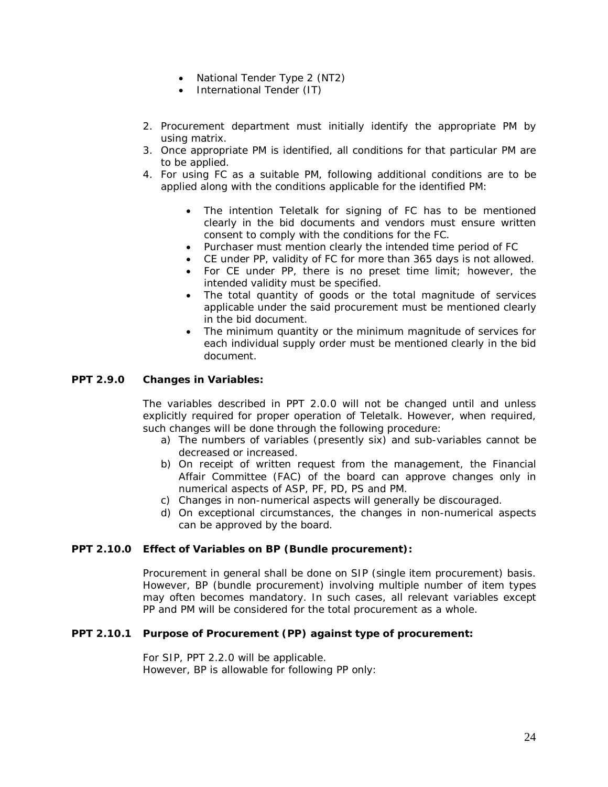- National Tender Type 2 (NT2)
- International Tender (IT)
- 2. Procurement department must initially identify the appropriate PM by using matrix.
- 3. Once appropriate PM is identified, all conditions for that particular PM are to be applied.
- 4. For using FC as a suitable PM, following additional conditions are to be applied along with the conditions applicable for the identified PM:
	- The intention Teletalk for signing of FC has to be mentioned clearly in the bid documents and vendors must ensure written consent to comply with the conditions for the FC.
	- Purchaser must mention clearly the intended time period of FC
	- CE under PP, validity of FC for more than 365 days is not allowed.
	- For CE under PP, there is no preset time limit; however, the intended validity must be specified.
	- The total quantity of goods or the total magnitude of services applicable under the said procurement must be mentioned clearly in the bid document.
	- The minimum quantity or the minimum magnitude of services for each individual supply order must be mentioned clearly in the bid document.

## **PPT 2.9.0 Changes in Variables:**

The variables described in PPT 2.0.0 will not be changed until and unless explicitly required for proper operation of Teletalk. However, when required, such changes will be done through the following procedure:

- a) The numbers of variables (presently six) and sub-variables cannot be decreased or increased.
- b) On receipt of written request from the management, the Financial Affair Committee (FAC) of the board can approve changes only in numerical aspects of ASP, PF, PD, PS and PM.
- c) Changes in non-numerical aspects will generally be discouraged.
- d) On exceptional circumstances, the changes in non-numerical aspects can be approved by the board.

#### **PPT 2.10.0 Effect of Variables on BP (Bundle procurement):**

Procurement in general shall be done on SIP (single item procurement) basis. However, BP (bundle procurement) involving multiple number of item types may often becomes mandatory. In such cases, all relevant variables except PP and PM will be considered for the total procurement as a whole.

## **PPT 2.10.1 Purpose of Procurement (PP) against type of procurement:**

For SIP, PPT 2.2.0 will be applicable. However, BP is allowable for following PP only: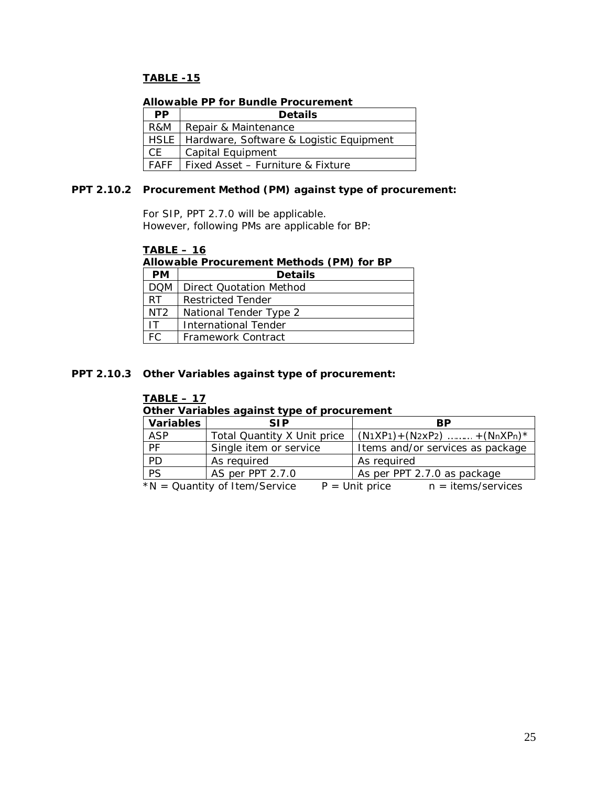# **TABLE -15**

## **Allowable PP for Bundle Procurement**

| <b>PP</b> | <b>Details</b>                                 |  |  |
|-----------|------------------------------------------------|--|--|
| R&M       | Repair & Maintenance                           |  |  |
|           | HSLE   Hardware, Software & Logistic Equipment |  |  |
| CF.       | Capital Equipment                              |  |  |
|           | FAFF   Fixed Asset - Furniture & Fixture       |  |  |

## **PPT 2.10.2 Procurement Method (PM) against type of procurement:**

For SIP, PPT 2.7.0 will be applicable. However, following PMs are applicable for BP:

## **TABLE – 16**

## **Allowable Procurement Methods (PM) for BP**

| <b>PM</b>       | <b>Details</b>           |  |  |
|-----------------|--------------------------|--|--|
| <b>DOM</b>      | Direct Quotation Method  |  |  |
| RT              | <b>Restricted Tender</b> |  |  |
| NT <sub>2</sub> | National Tender Type 2   |  |  |
|                 | International Tender     |  |  |
|                 | Framework Contract       |  |  |

## **PPT 2.10.3 Other Variables against type of procurement:**

## **TABLE – 17**

## **Other Variables against type of procurement**

| <b>Variables</b>                                                          | <b>SIP</b>                  | <b>BP</b>                        |  |
|---------------------------------------------------------------------------|-----------------------------|----------------------------------|--|
| <b>ASP</b>                                                                | Total Quantity X Unit price | $(N1XP1) + (N2XP2)$ + $(NnXPn)*$ |  |
| PF                                                                        | Single item or service      | Items and/or services as package |  |
| PD                                                                        | As required                 | As required                      |  |
| PS                                                                        | AS per PPT 2.7.0            | As per PPT 2.7.0 as package      |  |
| n = items/services<br>$*N =$ Quantity of Item/Service<br>$P =$ Unit price |                             |                                  |  |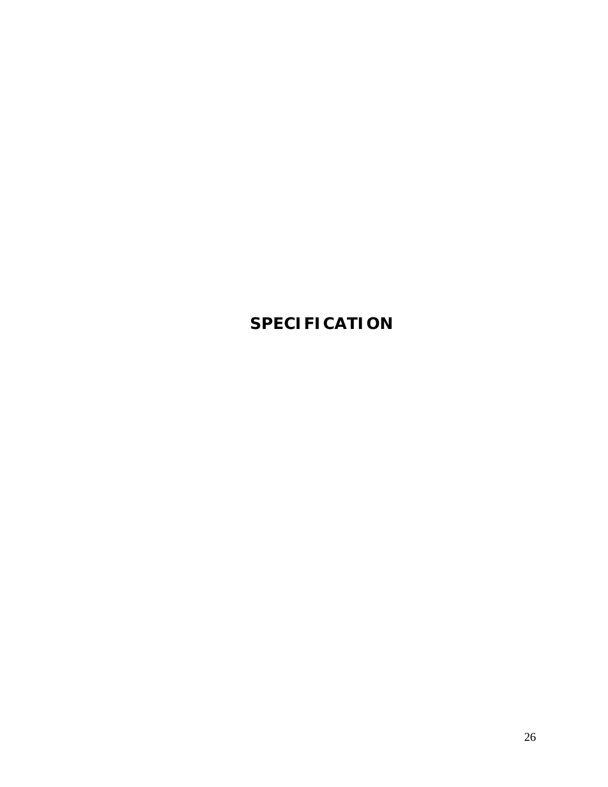# **SPECIFICATION**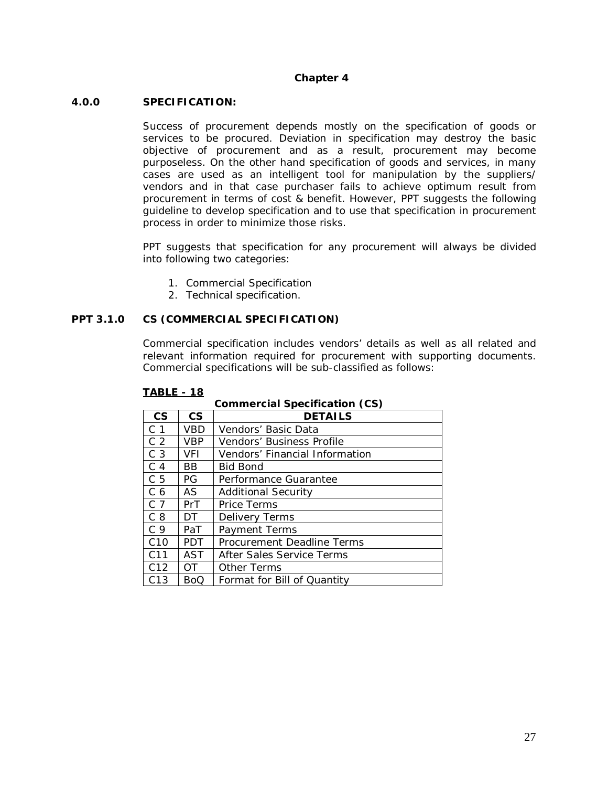## **Chapter 4**

#### **4.0.0 SPECIFICATION:**

Success of procurement depends mostly on the specification of goods or services to be procured. Deviation in specification may destroy the basic objective of procurement and as a result, procurement may become purposeless. On the other hand specification of goods and services, in many cases are used as an intelligent tool for manipulation by the suppliers/ vendors and in that case purchaser fails to achieve optimum result from procurement in terms of cost & benefit. However, PPT suggests the following guideline to develop specification and to use that specification in procurement process in order to minimize those risks.

PPT suggests that specification for any procurement will always be divided into following two categories:

- 1. Commercial Specification
- 2. Technical specification.

## **PPT 3.1.0 CS (COMMERCIAL SPECIFICATION)**

Commercial specification includes vendors' details as well as all related and relevant information required for procurement with supporting documents. Commercial specifications will be sub-classified as follows:

| <b>CS</b>       | <b>CS</b>  | <b>DETAILS</b>                 |  |  |
|-----------------|------------|--------------------------------|--|--|
| C <sub>1</sub>  | VBD        | Vendors' Basic Data            |  |  |
| C <sub>2</sub>  | VBP        | Vendors' Business Profile      |  |  |
| C <sub>3</sub>  | <b>VFI</b> | Vendors' Financial Information |  |  |
| C <sub>4</sub>  | BB         | <b>Bid Bond</b>                |  |  |
| C <sub>5</sub>  | PG         | Performance Guarantee          |  |  |
| C <sub>6</sub>  | AS         | <b>Additional Security</b>     |  |  |
| C <sub>7</sub>  | PrT        | <b>Price Terms</b>             |  |  |
| C <sub>8</sub>  | DT.        | Delivery Terms                 |  |  |
| C <sub>9</sub>  | PaT        | Payment Terms                  |  |  |
| C <sub>10</sub> | <b>PDT</b> | Procurement Deadline Terms     |  |  |
| C11             | <b>AST</b> | After Sales Service Terms      |  |  |
| C12             | OT.        | <b>Other Terms</b>             |  |  |
| C <sub>13</sub> | BoQ        | Format for Bill of Quantity    |  |  |

**Commercial Specification (CS)**

#### **TABLE - 18**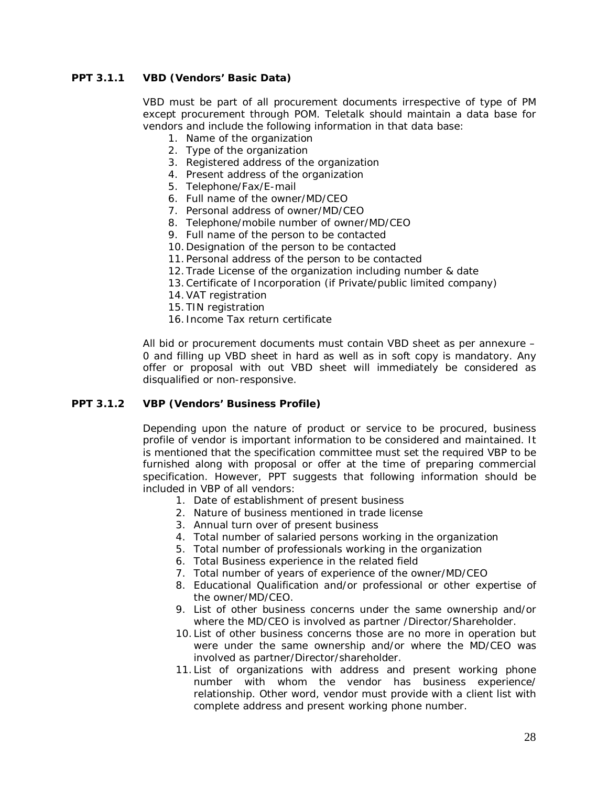# **PPT 3.1.1 VBD (Vendors' Basic Data)**

VBD must be part of all procurement documents irrespective of type of PM except procurement through POM. Teletalk should maintain a data base for vendors and include the following information in that data base:

- 1. Name of the organization
- 2. Type of the organization
- 3. Registered address of the organization
- 4. Present address of the organization
- 5. Telephone/Fax/E-mail
- 6. Full name of the owner/MD/CEO
- 7. Personal address of owner/MD/CEO
- 8. Telephone/mobile number of owner/MD/CEO
- 9. Full name of the person to be contacted
- 10.Designation of the person to be contacted
- 11.Personal address of the person to be contacted
- 12.Trade License of the organization including number & date
- 13.Certificate of Incorporation (if Private/public limited company)
- 14.VAT registration
- 15.TIN registration
- 16. Income Tax return certificate

All bid or procurement documents must contain VBD sheet as per annexure – 0 and filling up VBD sheet in hard as well as in soft copy is mandatory. Any offer or proposal with out VBD sheet will immediately be considered as disqualified or non-responsive.

## **PPT 3.1.2 VBP (Vendors' Business Profile)**

Depending upon the nature of product or service to be procured, business profile of vendor is important information to be considered and maintained. It is mentioned that the specification committee must set the required VBP to be furnished along with proposal or offer at the time of preparing commercial specification. However, PPT suggests that following information should be included in VBP of all vendors:

- 1. Date of establishment of present business
- 2. Nature of business mentioned in trade license
- 3. Annual turn over of present business
- 4. Total number of salaried persons working in the organization
- 5. Total number of professionals working in the organization
- 6. Total Business experience in the related field
- 7. Total number of years of experience of the owner/MD/CEO
- 8. Educational Qualification and/or professional or other expertise of the owner/MD/CEO.
- 9. List of other business concerns under the same ownership and/or where the MD/CEO is involved as partner /Director/Shareholder.
- 10.List of other business concerns those are no more in operation but were under the same ownership and/or where the MD/CEO was involved as partner/Director/shareholder.
- 11.List of organizations with address and present working phone number with whom the vendor has business experience/ relationship. Other word, vendor must provide with a client list with complete address and present working phone number.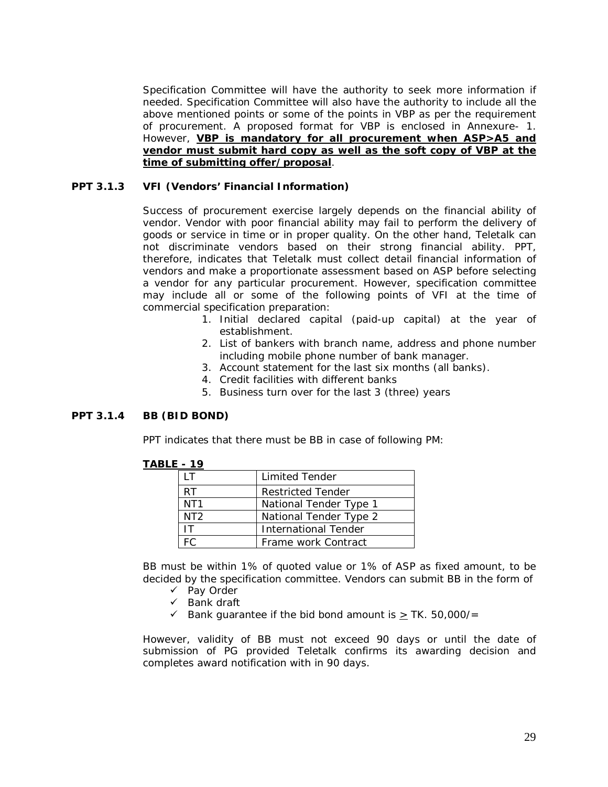Specification Committee will have the authority to seek more information if needed. Specification Committee will also have the authority to include all the above mentioned points or some of the points in VBP as per the requirement of procurement. A proposed format for VBP is enclosed in Annexure- 1. However, **VBP is mandatory for all procurement when ASP>A5 and vendor must submit hard copy as well as the soft copy of VBP at the time of submitting offer/proposal**.

## **PPT 3.1.3 VFI (Vendors' Financial Information)**

Success of procurement exercise largely depends on the financial ability of vendor. Vendor with poor financial ability may fail to perform the delivery of goods or service in time or in proper quality. On the other hand, Teletalk can not discriminate vendors based on their strong financial ability. PPT, therefore, indicates that Teletalk must collect detail financial information of vendors and make a proportionate assessment based on ASP before selecting a vendor for any particular procurement. However, specification committee may include all or some of the following points of VFI at the time of commercial specification preparation:

- 1. Initial declared capital (paid-up capital) at the year of establishment.
- 2. List of bankers with branch name, address and phone number including mobile phone number of bank manager.
- 3. Account statement for the last six months (all banks).
- 4. Credit facilities with different banks
- 5. Business turn over for the last 3 (three) years

## **PPT 3.1.4 BB (BID BOND)**

PPT indicates that there must be BB in case of following PM:

|                 | <b>Limited Tender</b>       |
|-----------------|-----------------------------|
| RT              | <b>Restricted Tender</b>    |
| NT <sub>1</sub> | National Tender Type 1      |
| NT <sub>2</sub> | National Tender Type 2      |
|                 | <b>International Tender</b> |
|                 | Frame work Contract         |

#### **TABLE - 19**

BB must be within 1% of quoted value or 1% of ASP as fixed amount, to be decided by the specification committee. Vendors can submit BB in the form of

- $\checkmark$  Pay Order
- $\checkmark$  Bank draft
- Bank guarantee if the bid bond amount is  $\geq$  TK. 50,000/=

However, validity of BB must not exceed 90 days or until the date of submission of PG provided Teletalk confirms its awarding decision and completes award notification with in 90 days.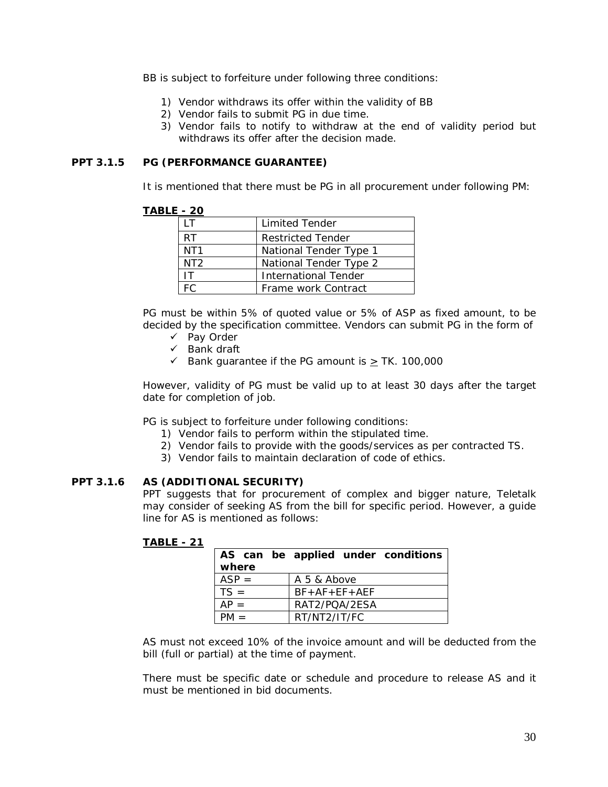BB is subject to forfeiture under following three conditions:

- 1) Vendor withdraws its offer within the validity of BB
- 2) Vendor fails to submit PG in due time.
- 3) Vendor fails to notify to withdraw at the end of validity period but withdraws its offer after the decision made.

## **PPT 3.1.5 PG (PERFORMANCE GUARANTEE)**

It is mentioned that there must be PG in all procurement under following PM:

## **TABLE - 20**

|                 | <b>Limited Tender</b>    |
|-----------------|--------------------------|
| RT              | <b>Restricted Tender</b> |
| NT <sub>1</sub> | National Tender Type 1   |
| NT <sub>2</sub> | National Tender Type 2   |
| ΙT              | International Tender     |
|                 | Frame work Contract      |

PG must be within 5% of quoted value or 5% of ASP as fixed amount, to be decided by the specification committee. Vendors can submit PG in the form of

- $\checkmark$  Pay Order
- $\checkmark$  Bank draft
- Solution Bank guarantee if the PG amount is  $\geq$  TK. 100,000

However, validity of PG must be valid up to at least 30 days after the target date for completion of job.

PG is subject to forfeiture under following conditions:

- 1) Vendor fails to perform within the stipulated time.
- 2) Vendor fails to provide with the goods/services as per contracted TS.
- 3) Vendor fails to maintain declaration of code of ethics.

# **PPT 3.1.6 AS (ADDITIONAL SECURITY)**

PPT suggests that for procurement of complex and bigger nature, Teletalk may consider of seeking AS from the bill for specific period. However, a guide line for AS is mentioned as follows:

# **TABLE - 21**

| where   | AS can be applied under conditions |  |  |
|---------|------------------------------------|--|--|
| $ASP =$ | A 5 & Above                        |  |  |
| $TS =$  | $BF + AF + FF + AFF$               |  |  |
|         | RAT2/POA/2ESA                      |  |  |
|         | RT/NT2/IT/FC                       |  |  |

AS must not exceed 10% of the invoice amount and will be deducted from the bill (full or partial) at the time of payment.

There must be specific date or schedule and procedure to release AS and it must be mentioned in bid documents.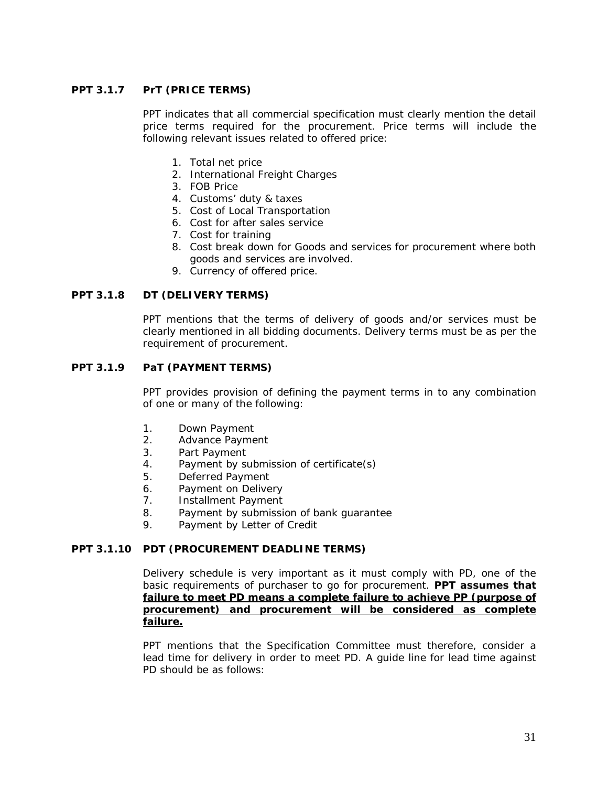# **PPT 3.1.7 PrT (PRICE TERMS)**

PPT indicates that all commercial specification must clearly mention the detail price terms required for the procurement. Price terms will include the following relevant issues related to offered price:

- 1. Total net price
- 2. International Freight Charges
- 3. FOB Price
- 4. Customs' duty & taxes
- 5. Cost of Local Transportation
- 6. Cost for after sales service
- 7. Cost for training
- 8. Cost break down for Goods and services for procurement where both goods and services are involved.
- 9. Currency of offered price.

## **PPT 3.1.8 DT (DELIVERY TERMS)**

PPT mentions that the terms of delivery of goods and/or services must be clearly mentioned in all bidding documents. Delivery terms must be as per the requirement of procurement.

## **PPT 3.1.9 PaT (PAYMENT TERMS)**

PPT provides provision of defining the payment terms in to any combination of one or many of the following:

- 1. Down Payment
- 2. Advance Payment
- 3. Part Payment
- 4. Payment by submission of certificate(s)
- 5. Deferred Payment
- 6. Payment on Delivery
- 7. Installment Payment
- 8. Payment by submission of bank guarantee
- 9. Payment by Letter of Credit

## **PPT 3.1.10 PDT (PROCUREMENT DEADLINE TERMS)**

Delivery schedule is very important as it must comply with PD, one of the basic requirements of purchaser to go for procurement. **PPT assumes that failure to meet PD means a complete failure to achieve PP (purpose of procurement) and procurement will be considered as complete failure.**

PPT mentions that the Specification Committee must therefore, consider a lead time for delivery in order to meet PD. A guide line for lead time against PD should be as follows: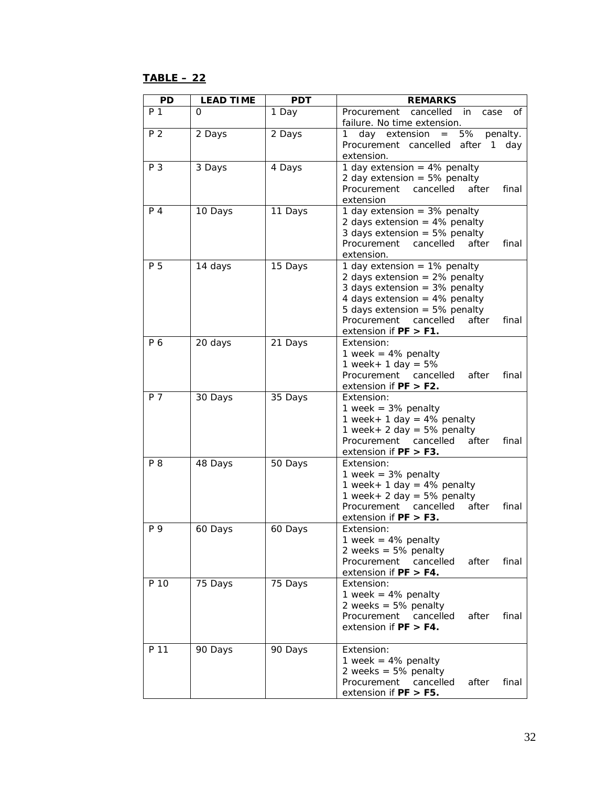# **TABLE – 22**

| <b>PD</b> | <b>LEAD TIME</b> | <b>PDT</b> | <b>REMARKS</b>                                                                                                                                                                                                                                            |
|-----------|------------------|------------|-----------------------------------------------------------------------------------------------------------------------------------------------------------------------------------------------------------------------------------------------------------|
| P 1       | 0                | 1 Day      | cancelled<br>Procurement<br>in<br>case<br>οf<br>failure. No time extension.                                                                                                                                                                               |
| P 2       | 2 Days           | 2 Days     | 5%<br>$\mathbf{1}$<br>day extension<br>penalty.<br>$=$<br>Procurement cancelled<br>after<br>$\overline{1}$<br>day<br>extension.                                                                                                                           |
| P 3       | 3 Days           | 4 Days     | 1 day extension = $4\%$ penalty<br>2 day extension = $5\%$ penalty<br>Procurement<br>cancelled<br>after<br>final<br>extension                                                                                                                             |
| $P_4$     | 10 Days          | 11 Days    | 1 day extension = $3\%$ penalty<br>2 days extension = $4\%$ penalty<br>3 days extension = $5\%$ penalty<br>Procurement<br>cancelled<br>after<br>final<br>extension.                                                                                       |
| P 5       | 14 days          | 15 Days    | 1 day extension = $1\%$ penalty<br>2 days extension = $2\%$ penalty<br>3 days extension = $3\%$ penalty<br>4 days extension = $4\%$ penalty<br>5 days extension = $5\%$ penalty<br>Procurement<br>cancelled<br>after<br>final<br>extension if $PF > F1$ . |
| P 6       | 20 days          | 21 Days    | Extension:<br>1 week = $4%$ penalty<br>1 week + 1 day = $5\%$<br>Procurement cancelled<br>after<br>final<br>extension if $PF > F2$ .                                                                                                                      |
| P 7       | 30 Days          | 35 Days    | Extension:<br>1 week = $3%$ penalty<br>1 week + 1 day = $4\%$ penalty<br>1 week + 2 day = $5\%$ penalty<br>Procurement<br>cancelled<br>after<br>final<br>extension if $PF > F3$ .                                                                         |
| P 8       | 48 Days          | 50 Days    | Extension:<br>1 week = $3%$ penalty<br>1 week + 1 day = $4\%$ penalty<br>1 week + 2 day = $5\%$ penalty<br>Procurement<br>cancelled<br>after<br>final<br>extension if $PF > F3$ .                                                                         |
| P 9       | 60 Days          | 60 Days    | Extension:<br>1 week = $4%$ penalty<br>2 weeks = $5\%$ penalty<br>Procurement<br>cancelled<br>after<br>final<br>extension if $PF > F4$ .                                                                                                                  |
| P 10      | 75 Days          | 75 Days    | Extension:<br>1 week = $4%$ penalty<br>2 weeks = $5%$ penalty<br>Procurement<br>cancelled<br>after<br>final<br>extension if $PF > F4$ .                                                                                                                   |
| P 11      | 90 Days          | 90 Days    | Extension:<br>1 week = $4%$ penalty<br>2 weeks = $5%$ penalty<br>Procurement<br>cancelled<br>after<br>final<br>extension if $PF > F5$ .                                                                                                                   |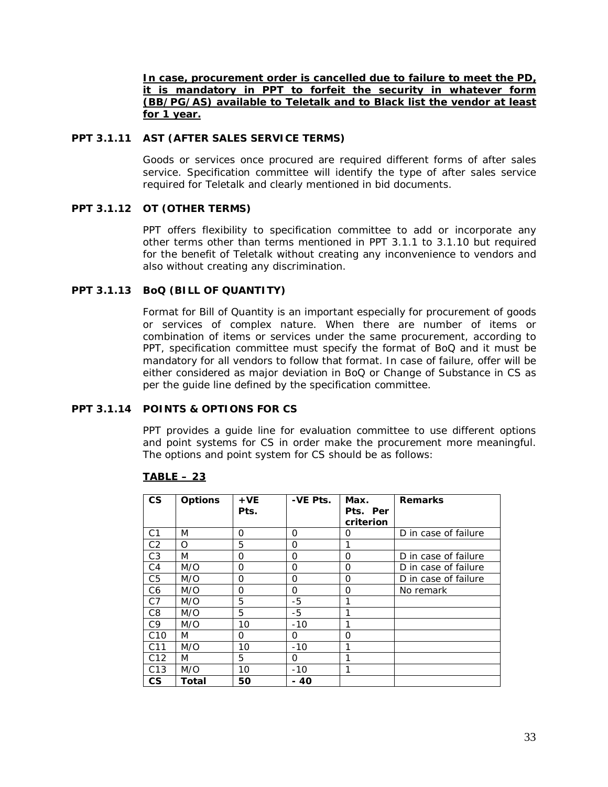**In case, procurement order is cancelled due to failure to meet the PD, it is mandatory in PPT to forfeit the security in whatever form (BB/PG/AS) available to Teletalk and to Black list the vendor at least for 1 year.**

## **PPT 3.1.11 AST (AFTER SALES SERVICE TERMS)**

Goods or services once procured are required different forms of after sales service. Specification committee will identify the type of after sales service required for Teletalk and clearly mentioned in bid documents.

## **PPT 3.1.12 OT (OTHER TERMS)**

PPT offers flexibility to specification committee to add or incorporate any other terms other than terms mentioned in PPT 3.1.1 to 3.1.10 but required for the benefit of Teletalk without creating any inconvenience to vendors and also without creating any discrimination.

## **PPT 3.1.13 BoQ (BILL OF QUANTITY)**

Format for Bill of Quantity is an important especially for procurement of goods or services of complex nature. When there are number of items or combination of items or services under the same procurement, according to PPT, specification committee must specify the format of BoQ and it must be mandatory for all vendors to follow that format. In case of failure, offer will be either considered as major deviation in BoQ or Change of Substance in CS as per the guide line defined by the specification committee.

## **PPT 3.1.14 POINTS & OPTIONS FOR CS**

PPT provides a guide line for evaluation committee to use different options and point systems for CS in order make the procurement more meaningful. The options and point system for CS should be as follows:

| $\mathsf{CS}\phantom{0}$ | <b>Options</b> | $+VE$ | -VE Pts. | Max.      | <b>Remarks</b>       |
|--------------------------|----------------|-------|----------|-----------|----------------------|
|                          |                | Pts.  |          | Pts. Per  |                      |
|                          |                |       |          | criterion |                      |
| C <sub>1</sub>           | M              | O     | 0        | O         | D in case of failure |
| C <sub>2</sub>           | O              | 5     | $\Omega$ | 1         |                      |
| C <sub>3</sub>           | M              | 0     | O        | $\Omega$  | D in case of failure |
| C <sub>4</sub>           | M/O            | O     | O        | $\Omega$  | D in case of failure |
| C <sub>5</sub>           | M/O            | 0     | O        | 0         | D in case of failure |
| C <sub>6</sub>           | M/O            | 0     | 0        | 0         | No remark            |
| C <sub>7</sub>           | M/O            | 5     | -5       | 1         |                      |
| C <sub>8</sub>           | M/O            | 5     | $-5$     | 1         |                      |
| C <sub>9</sub>           | M/O            | 10    | $-10$    | 1         |                      |
| C <sub>10</sub>          | M              | 0     | 0        | O         |                      |
| C <sub>11</sub>          | M/O            | 10    | $-10$    | 1         |                      |
| C <sub>12</sub>          | M              | 5     | 0        | 1         |                      |
| C <sub>13</sub>          | M/O            | 10    | $-10$    | 1         |                      |
| $\mathsf{CS}$            | Total          | 50    | - 40     |           |                      |

#### **TABLE – 23**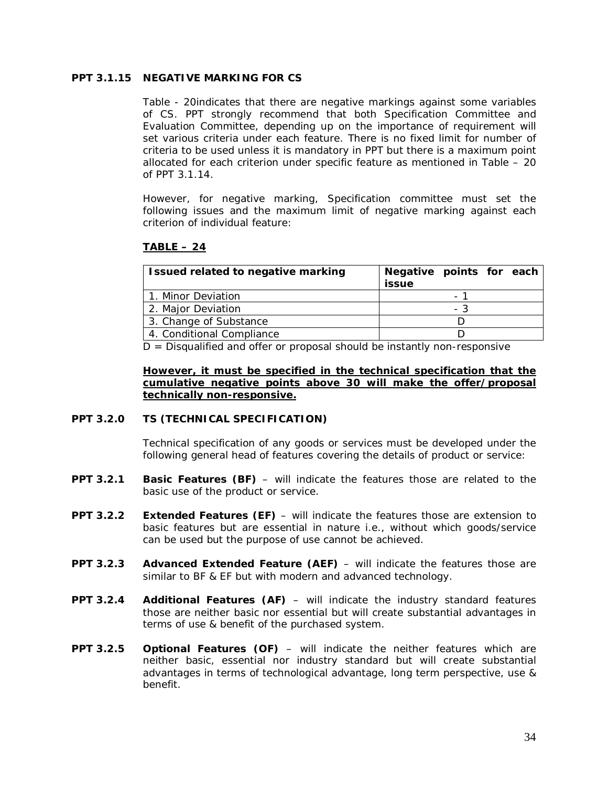## **PPT 3.1.15 NEGATIVE MARKING FOR CS**

Table - 20indicates that there are negative markings against some variables of CS. PPT strongly recommend that both Specification Committee and Evaluation Committee, depending up on the importance of requirement will set various criteria under each feature. There is no fixed limit for number of criteria to be used unless it is mandatory in PPT but there is a maximum point allocated for each criterion under specific feature as mentioned in Table – 20 of PPT 3.1.14.

However, for negative marking, Specification committee must set the following issues and the maximum limit of negative marking against each criterion of individual feature:

# **TABLE – 24**

| Issued related to negative marking | Negative points for each<br><b>issue</b> |                |  |
|------------------------------------|------------------------------------------|----------------|--|
| 1. Minor Deviation                 |                                          | $\overline{a}$ |  |
| 2. Major Deviation                 |                                          | - 3            |  |
| 3. Change of Substance             |                                          |                |  |
| 4. Conditional Compliance          |                                          |                |  |

 $D =$  Disqualified and offer or proposal should be instantly non-responsive

## **However, it must be specified in the technical specification that the cumulative negative points above 30 will make the offer/proposal technically non-responsive.**

#### **PPT 3.2.0 TS (TECHNICAL SPECIFICATION)**

Technical specification of any goods or services must be developed under the following general head of features covering the details of product or service:

- **PPT 3.2.1 Basic Features (BF)** will indicate the features those are related to the basic use of the product or service.
- **PPT 3.2.2 Extended Features (EF)** will indicate the features those are extension to basic features but are essential in nature i.e., without which goods/service can be used but the purpose of use cannot be achieved.
- **PPT 3.2.3 Advanced Extended Feature (AEF)**  will indicate the features those are similar to BF & EF but with modern and advanced technology.
- **PPT 3.2.4 Additional Features (AF)** will indicate the industry standard features those are neither basic nor essential but will create substantial advantages in terms of use & benefit of the purchased system.
- **PPT 3.2.5 Optional Features (OF)** will indicate the neither features which are neither basic, essential nor industry standard but will create substantial advantages in terms of technological advantage, long term perspective, use & benefit.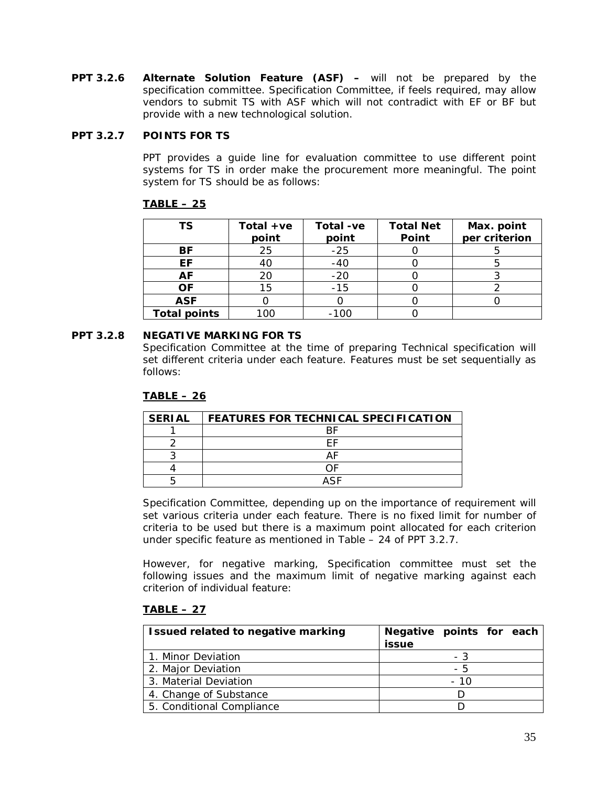**PPT 3.2.6 Alternate Solution Feature (ASF) –** will not be prepared by the specification committee. Specification Committee, if feels required, may allow vendors to submit TS with ASF which will not contradict with EF or BF but provide with a new technological solution.

# **PPT 3.2.7 POINTS FOR TS**

PPT provides a guide line for evaluation committee to use different point systems for TS in order make the procurement more meaningful. The point system for TS should be as follows:

# **TABLE – 25**

| ΤS                  | Total $+ve$<br>point | Total -ve<br>point | <b>Total Net</b><br>Point | Max. point<br>per criterion |
|---------------------|----------------------|--------------------|---------------------------|-----------------------------|
| ΒF                  | 25                   | $-25$              |                           |                             |
| EF.                 | 40                   | $-40$              |                           |                             |
| AF                  | 20                   | $-20$              |                           |                             |
| <b>OF</b>           | 15                   | $-15$              |                           |                             |
| <b>ASF</b>          |                      |                    |                           |                             |
| <b>Total points</b> | $\alpha$             | $-100$             |                           |                             |

## **PPT 3.2.8 NEGATIVE MARKING FOR TS**

Specification Committee at the time of preparing Technical specification will set different criteria under each feature. Features must be set sequentially as follows:

# **TABLE – 26**

| <b>SERIAL</b> | FEATURES FOR TECHNICAL SPECIFICATION |
|---------------|--------------------------------------|
|               |                                      |
|               |                                      |
|               |                                      |
|               |                                      |
|               | ASE                                  |

Specification Committee, depending up on the importance of requirement will set various criteria under each feature. There is no fixed limit for number of criteria to be used but there is a maximum point allocated for each criterion under specific feature as mentioned in Table – 24 of PPT 3.2.7.

However, for negative marking, Specification committee must set the following issues and the maximum limit of negative marking against each criterion of individual feature:

# **TABLE – 27**

| Issued related to negative marking | Negative points for each<br><b>issue</b> |
|------------------------------------|------------------------------------------|
| 1. Minor Deviation                 | - 3                                      |
| 2. Major Deviation                 | - 5                                      |
| 3. Material Deviation              | - 10                                     |
| 4. Change of Substance             |                                          |
| 5. Conditional Compliance          |                                          |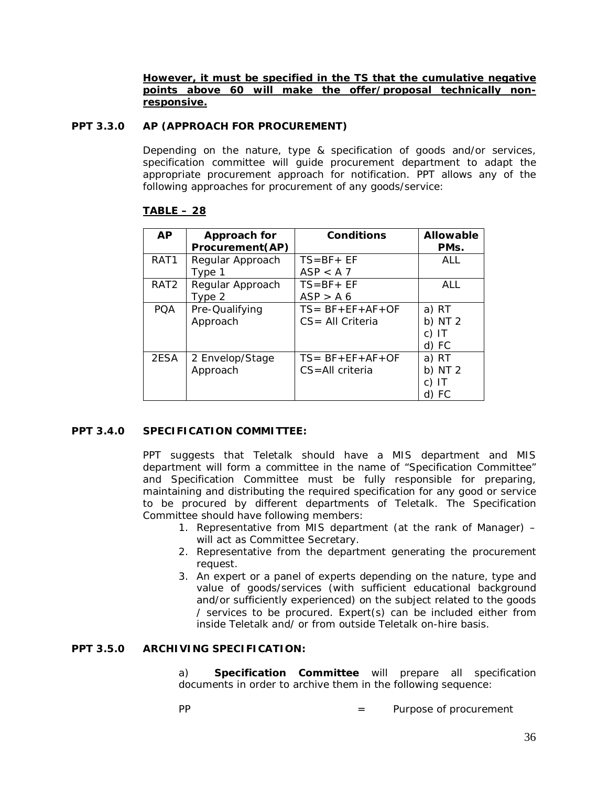**However, it must be specified in the TS that the cumulative negative points above 60 will make the offer/proposal technically nonresponsive.**

## **PPT 3.3.0 AP (APPROACH FOR PROCUREMENT)**

Depending on the nature, type & specification of goods and/or services, specification committee will guide procurement department to adapt the appropriate procurement approach for notification. PPT allows any of the following approaches for procurement of any goods/service:

| <b>AP</b>        | Approach for<br>Procurement(AP) | Conditions                                      | <b>Allowable</b><br>PM <sub>S</sub> . |
|------------------|---------------------------------|-------------------------------------------------|---------------------------------------|
| RAT <sub>1</sub> | Regular Approach<br>Type 1      | $TS = BF + EF$<br>ASP < A7                      | <b>ALL</b>                            |
| RAT <sub>2</sub> | Regular Approach<br>Type 2      | $TS = BF + EF$<br>ASP > A6                      | ALL                                   |
| <b>POA</b>       | Pre-Qualifying<br>Approach      | $TS = BF + EF + AF + OF$<br>$CS = All Criteria$ | a) RT<br>b) $NT2$<br>c) IT<br>d) FC   |
| 2ESA             | 2 Envelop/Stage<br>Approach     | $TS = BF + EF + AF + OF$<br>$CS = All$ criteria | a) RT<br>b) $NT2$<br>C)<br>-IT<br>FC  |

## **TABLE – 28**

#### **PPT 3.4.0 SPECIFICATION COMMITTEE:**

PPT suggests that Teletalk should have a MIS department and MIS department will form a committee in the name of "Specification Committee" and Specification Committee must be fully responsible for preparing, maintaining and distributing the required specification for any good or service to be procured by different departments of Teletalk. The Specification Committee should have following members:

- 1. Representative from MIS department (at the rank of Manager) will act as Committee Secretary.
- 2. Representative from the department generating the procurement request.
- 3. An expert or a panel of experts depending on the nature, type and value of goods/services (with sufficient educational background and/or sufficiently experienced) on the subject related to the goods / services to be procured. Expert(s) can be included either from inside Teletalk and/ or from outside Teletalk on-hire basis.

## **PPT 3.5.0 ARCHIVING SPECIFICATION:**

a) **Specification Committee** will prepare all specification documents in order to archive them in the following sequence:

PP  $=$  Purpose of procurement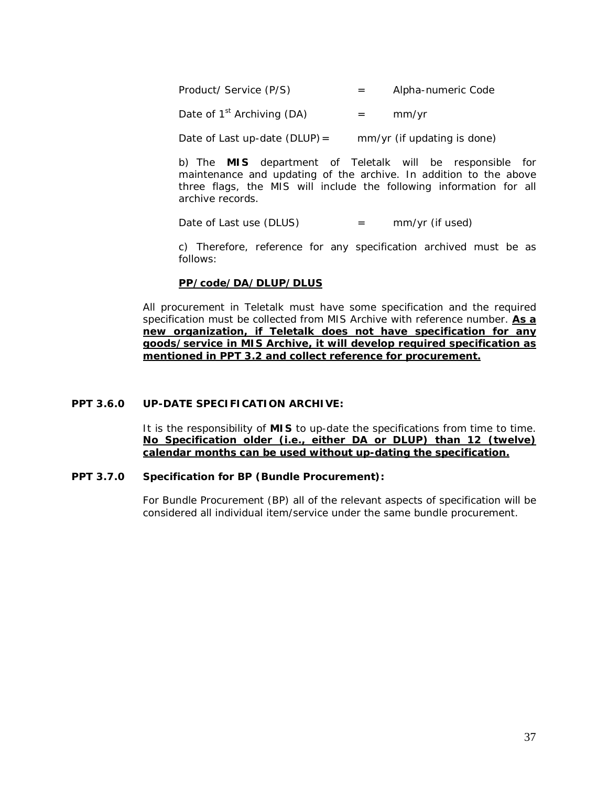Product/ Service (P/S) = Alpha-numeric Code

Date of  $1^{st}$  Archiving (DA)  $=$  mm/yr

Date of Last up-date (DLUP) =  $mm/yr$  (if updating is done)

b) The **MIS** department of Teletalk will be responsible for maintenance and updating of the archive. In addition to the above three flags, the MIS will include the following information for all archive records.

Date of Last use  $(DLUS)$  = mm/yr (if used)

c) Therefore, reference for any specification archived must be as follows:

#### **PP/code/DA/DLUP/DLUS**

All procurement in Teletalk must have some specification and the required specification must be collected from MIS Archive with reference number. **As a new organization, if Teletalk does not have specification for any goods/service in MIS Archive, it will develop required specification as mentioned in PPT 3.2 and collect reference for procurement.**

# **PPT 3.6.0 UP-DATE SPECIFICATION ARCHIVE:**

It is the responsibility of **MIS** to up-date the specifications from time to time. **No Specification older (i.e., either DA or DLUP) than 12 (twelve) calendar months can be used without up-dating the specification.**

#### **PPT 3.7.0 Specification for BP (Bundle Procurement):**

For Bundle Procurement (BP) all of the relevant aspects of specification will be considered all individual item/service under the same bundle procurement.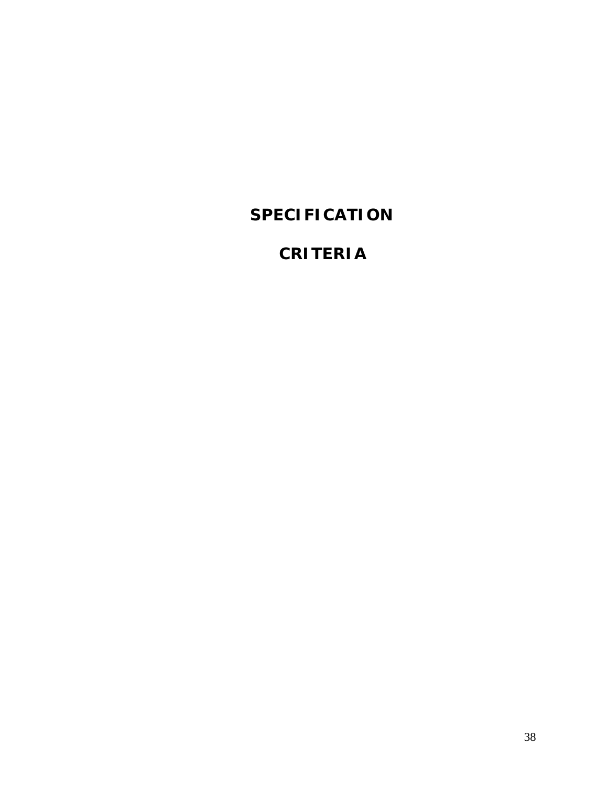# **SPECIFICATION**

# **CRITERIA**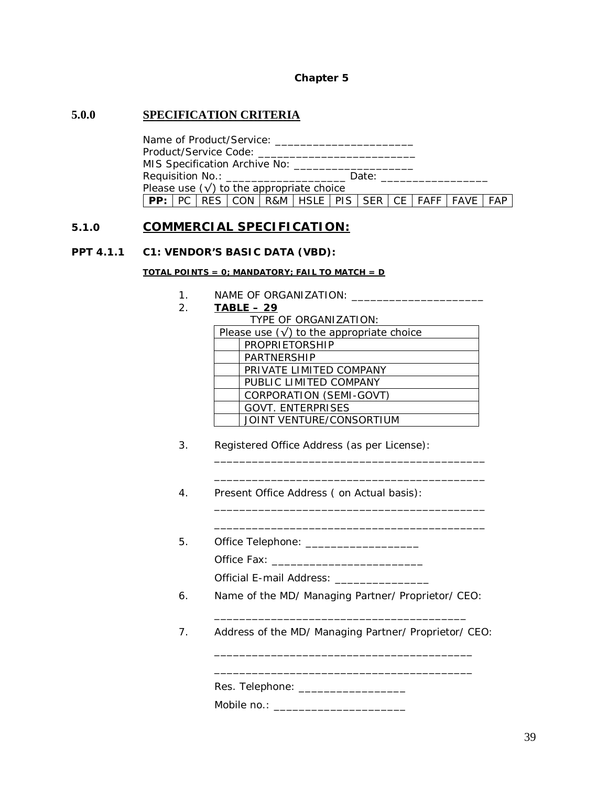#### **Chapter 5**

# **5.0.0 SPECIFICATION CRITERIA**

Name of Product/Service: \_\_\_\_\_\_\_\_\_\_\_\_\_\_\_\_\_\_\_\_\_\_ Product/Service Code: \_\_\_\_\_\_\_\_\_\_\_\_\_\_\_\_\_\_\_\_\_\_\_\_\_ MIS Specification Archive No: \_\_\_\_\_\_\_\_\_ Requisition No.: **Example 20** Date: Please use  $(\sqrt{})$  to the appropriate choice **PP:**  $PC | RES | CON | RAM | HSLE | PIS | SER | CE | FAFF | FAVE | FAP$ 

# **5.1.0 COMMERCIAL SPECIFICATION:**

### **PPT 4.1.1 C1: VENDOR'S BASIC DATA (VBD):**

#### **TOTAL POINTS = 0; MANDATORY; FAIL TO MATCH = D**

- 1. NAME OF ORGANIZATION: \_\_\_\_\_\_\_\_\_\_\_\_\_\_\_\_\_\_\_\_\_
- 2. **TABLE – 29**

\_\_\_\_\_\_\_\_\_\_\_\_\_\_\_\_\_\_\_\_\_\_\_\_\_\_\_\_\_\_\_\_\_\_\_\_\_\_\_\_\_\_\_ \_\_\_\_\_\_\_\_\_\_\_\_\_\_\_\_\_\_\_\_\_\_\_\_\_\_\_\_\_\_\_\_\_\_\_\_\_\_\_\_\_\_\_

\_\_\_\_\_\_\_\_\_\_\_\_\_\_\_\_\_\_\_\_\_\_\_\_\_\_\_\_\_\_\_\_\_\_\_\_\_\_\_\_\_\_\_ \_\_\_\_\_\_\_\_\_\_\_\_\_\_\_\_\_\_\_\_\_\_\_\_\_\_\_\_\_\_\_\_\_\_\_\_\_\_\_\_\_\_\_

- 3. Registered Office Address (as per License):
- 4. Present Office Address ( on Actual basis):
- 5. Office Telephone: \_\_\_\_\_\_\_\_\_\_\_\_\_\_\_\_\_\_\_\_\_\_\_ Office Fax: \_\_\_\_\_\_\_\_\_\_\_\_\_\_\_\_\_\_\_\_\_\_\_\_

Official E-mail Address: \_\_\_\_\_\_\_\_\_\_

- 6. Name of the MD/ Managing Partner/ Proprietor/ CEO:
- 7. Address of the MD/ Managing Partner/ Proprietor/ CEO:

\_\_\_\_\_\_\_\_\_\_\_\_\_\_\_\_\_\_\_\_\_\_\_\_\_\_\_\_\_\_\_\_\_\_\_\_\_\_\_\_

\_\_\_\_\_\_\_\_\_\_\_\_\_\_\_\_\_\_\_\_\_\_\_\_\_\_\_\_\_\_\_\_\_\_\_\_\_\_\_\_\_ \_\_\_\_\_\_\_\_\_\_\_\_\_\_\_\_\_\_\_\_\_\_\_\_\_\_\_\_\_\_\_\_\_\_\_\_\_\_\_\_\_

| Res. Telephone: |  |  |
|-----------------|--|--|
|-----------------|--|--|

Mobile no.: \_\_\_\_\_\_\_\_\_\_\_\_\_\_\_\_\_\_\_\_\_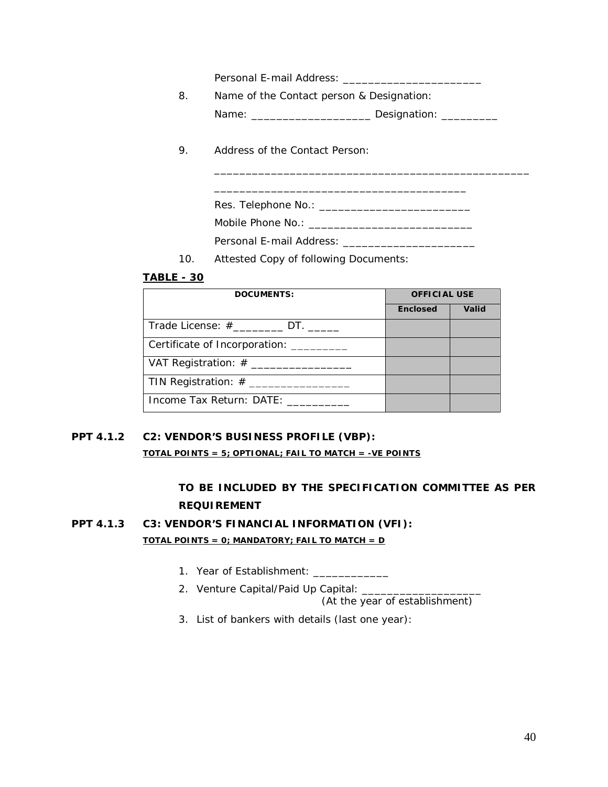Personal E-mail Address: \_\_\_\_\_\_\_\_\_\_\_\_\_\_\_\_\_\_\_\_\_\_

8. Name of the Contact person & Designation: Name: \_\_\_\_\_\_\_\_\_\_\_\_\_\_\_\_\_\_\_\_\_\_\_\_\_\_\_\_ Designation: \_\_\_\_\_\_\_\_\_\_\_\_

\_\_\_\_\_\_\_\_\_\_\_\_\_\_\_\_\_\_\_\_\_\_\_\_\_\_\_\_\_\_\_\_\_\_\_\_\_\_\_\_

\_\_\_\_\_\_\_\_\_\_\_\_\_\_\_\_\_\_\_\_\_\_\_\_\_\_\_\_\_\_\_\_\_\_\_\_\_\_\_\_\_\_\_\_\_\_\_\_\_\_

9. Address of the Contact Person:

Res. Telephone No.: \_\_\_\_\_\_\_\_\_\_\_\_\_\_\_\_\_\_\_\_\_\_\_\_

Mobile Phone No.: \_\_\_\_\_\_\_\_\_\_\_\_\_\_\_\_\_\_\_\_\_\_\_\_\_\_

Personal E-mail Address:

10. Attested Copy of following Documents:

# **TABLE - 30**

| <b>DOCUMENTS:</b>                             | <b>OFFICIAL USE</b> |       |
|-----------------------------------------------|---------------------|-------|
|                                               | <b>Enclosed</b>     | Valid |
| Trade License: #__________ DT. _____          |                     |       |
| Certificate of Incorporation:                 |                     |       |
| VAT Registration: $\#$ _____________________  |                     |       |
| TIN Registration: $\#$ ______________________ |                     |       |
| Income Tax Return: DATE: _______              |                     |       |

# **PPT 4.1.2 C2: VENDOR'S BUSINESS PROFILE (VBP):**

**TOTAL POINTS = 5; OPTIONAL; FAIL TO MATCH = -VE POINTS**

# **TO BE INCLUDED BY THE SPECIFICATION COMMITTEE AS PER REQUIREMENT**

# **PPT 4.1.3 C3: VENDOR'S FINANCIAL INFORMATION (VFI): TOTAL POINTS = 0; MANDATORY; FAIL TO MATCH = D**

- 1. Year of Establishment: \_\_\_\_\_\_\_\_\_\_\_\_
- 2. Venture Capital/Paid Up Capital: \_\_\_\_\_\_\_\_\_\_\_\_\_\_\_\_\_\_\_ (At the year of establishment)

3. List of bankers with details (last one year):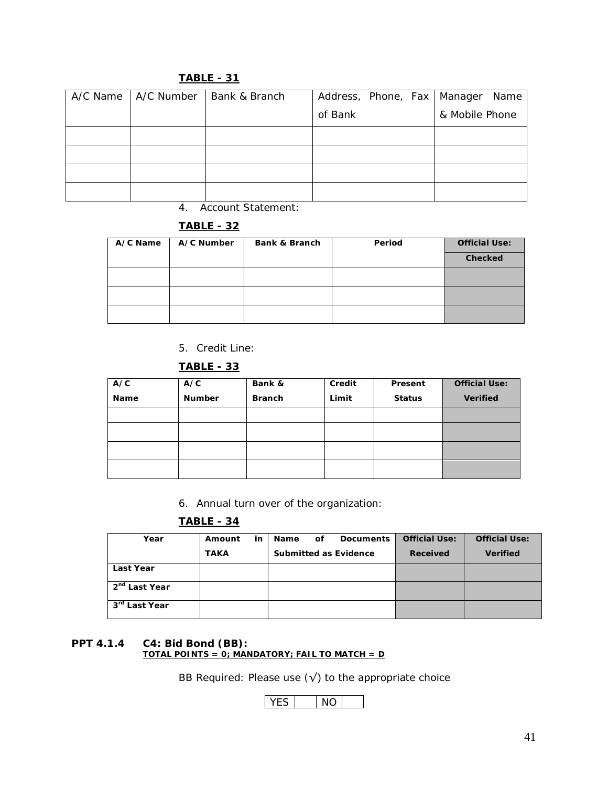| A/C Name | A/C Number | Bank & Branch | Address, Phone, Fax   Manager Name |                |
|----------|------------|---------------|------------------------------------|----------------|
|          |            |               | of Bank                            | & Mobile Phone |
|          |            |               |                                    |                |
|          |            |               |                                    |                |
|          |            |               |                                    |                |
|          |            |               |                                    |                |

# **TABLE - 31**

4. Account Statement:

# **TABLE - 32**

| A/C Name | A/C Number | Bank & Branch | Period | <b>Official Use:</b> |
|----------|------------|---------------|--------|----------------------|
|          |            |               |        | Checked              |
|          |            |               |        |                      |
|          |            |               |        |                      |
|          |            |               |        |                      |

5. Credit Line:

# **TABLE - 33**

| A/C  | A/C           | Bank &        | Credit | Present       | <b>Official Use:</b> |
|------|---------------|---------------|--------|---------------|----------------------|
| Name | <b>Number</b> | <b>Branch</b> | Limit  | <b>Status</b> | <b>Verified</b>      |
|      |               |               |        |               |                      |
|      |               |               |        |               |                      |
|      |               |               |        |               |                      |
|      |               |               |        |               |                      |

6. Annual turn over of the organization:

# **TABLE - 34**

| Year                      | Amount      | in | <b>Name</b> | οf | <b>Documents</b>      | <b>Official Use:</b> | <b>Official Use:</b> |
|---------------------------|-------------|----|-------------|----|-----------------------|----------------------|----------------------|
|                           | <b>TAKA</b> |    |             |    | Submitted as Evidence | Received             | <b>Verified</b>      |
| <b>Last Year</b>          |             |    |             |    |                       |                      |                      |
| 2 <sup>nd</sup> Last Year |             |    |             |    |                       |                      |                      |
| $3rd$ Last Year           |             |    |             |    |                       |                      |                      |

#### **PPT 4.1.4 C4: Bid Bond (BB): TOTAL POINTS = 0; MANDATORY; FAIL TO MATCH = D**

BB Required: Please use  $(\sqrt{})$  to the appropriate choice

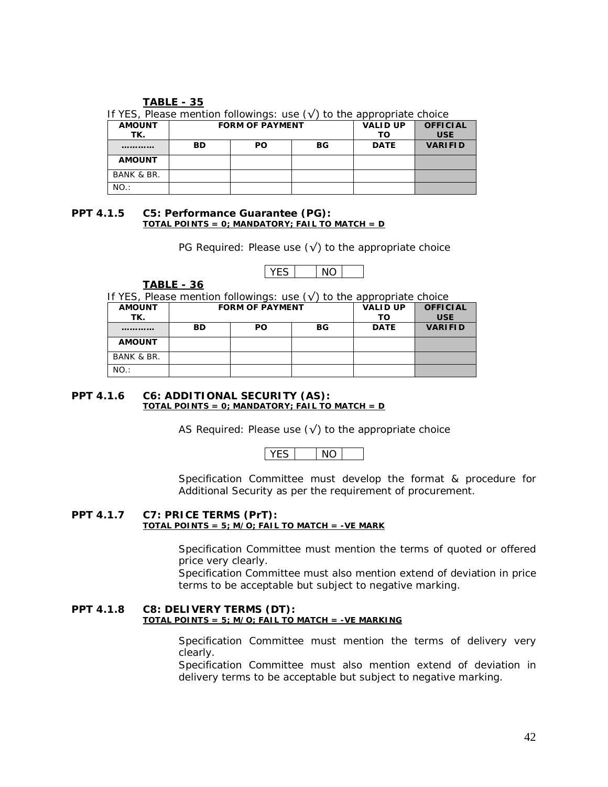#### **TABLE - 35**

| <b>AMOUNT</b><br>TK. | <b>FORM OF PAYMENT</b> |           |     | <b>VALID UP</b><br>то | <b>OFFICIAL</b><br><b>USE</b> |
|----------------------|------------------------|-----------|-----|-----------------------|-------------------------------|
|                      | BD                     | <b>PO</b> | BG. | <b>DATE</b>           | <b>VARIFID</b>                |
| <b>AMOUNT</b>        |                        |           |     |                       |                               |
| BANK & BR.           |                        |           |     |                       |                               |
| NO.:                 |                        |           |     |                       |                               |

# If YES, Please mention followings: use  $(y')$  to the appropriate choice

#### **PPT 4.1.5 C5: Performance Guarantee (PG): TOTAL POINTS = 0; MANDATORY; FAIL TO MATCH = D**

PG Required: Please use  $(\sqrt{})$  to the appropriate choice

**TABLE - 36**

If YES. Please mention followings: use  $(\sqrt{2})$  to the appropriate choice

| <b>AMOUNT</b> | <b>FORM OF PAYMENT</b> |           |    | <b>VALID UP</b> | <b>OFFICIAL</b> |
|---------------|------------------------|-----------|----|-----------------|-----------------|
| TK.           |                        |           |    |                 | <b>USE</b>      |
|               | <b>BD</b>              | <b>PO</b> | BG | <b>DATE</b>     | <b>VARIFID</b>  |
| <b>AMOUNT</b> |                        |           |    |                 |                 |
| BANK & BR.    |                        |           |    |                 |                 |
| NO.:          |                        |           |    |                 |                 |

#### **PPT 4.1.6 C6: ADDITIONAL SECURITY (AS): TOTAL POINTS = 0; MANDATORY; FAIL TO MATCH = D**

AS Required: Please use  $(\sqrt{})$  to the appropriate choice

Specification Committee must develop the format & procedure for Additional Security as per the requirement of procurement.

#### **PPT 4.1.7 C7: PRICE TERMS (PrT): TOTAL POINTS = 5; M/O; FAIL TO MATCH = -VE MARK**

Specification Committee must mention the terms of quoted or offered price very clearly.

Specification Committee must also mention extend of deviation in price terms to be acceptable but subject to negative marking.

#### **PPT 4.1.8 C8: DELIVERY TERMS (DT): TOTAL POINTS = 5; M/O; FAIL TO MATCH = -VE MARKING**

Specification Committee must mention the terms of delivery very clearly.

Specification Committee must also mention extend of deviation in delivery terms to be acceptable but subject to negative marking.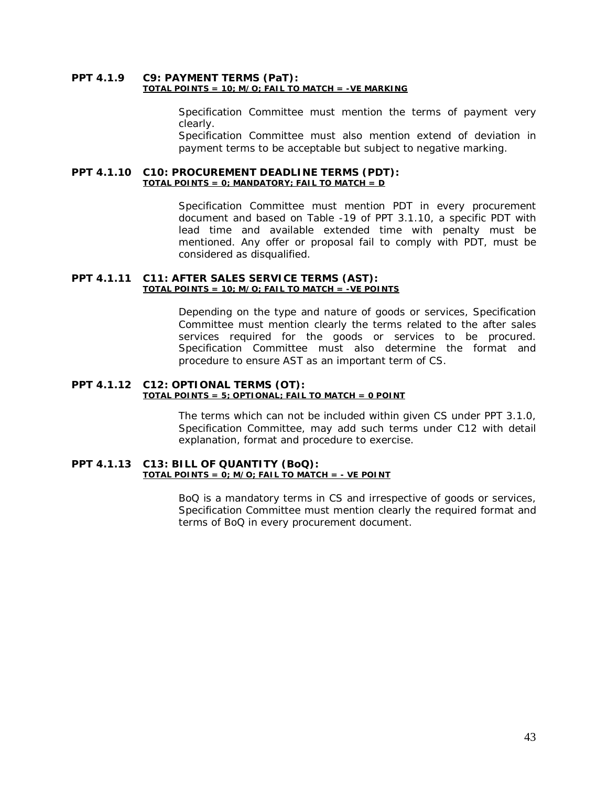#### **PPT 4.1.9 C9: PAYMENT TERMS (PaT): TOTAL POINTS = 10; M/O; FAIL TO MATCH = -VE MARKING**

Specification Committee must mention the terms of payment very clearly.

Specification Committee must also mention extend of deviation in payment terms to be acceptable but subject to negative marking.

#### **PPT 4.1.10 C10: PROCUREMENT DEADLINE TERMS (PDT): TOTAL POINTS = 0; MANDATORY; FAIL TO MATCH = D**

Specification Committee must mention PDT in every procurement document and based on Table -19 of PPT 3.1.10, a specific PDT with lead time and available extended time with penalty must be mentioned. Any offer or proposal fail to comply with PDT, must be considered as disqualified.

#### **PPT 4.1.11 C11: AFTER SALES SERVICE TERMS (AST): TOTAL POINTS = 10; M/O; FAIL TO MATCH = -VE POINTS**

Depending on the type and nature of goods or services, Specification Committee must mention clearly the terms related to the after sales services required for the goods or services to be procured. Specification Committee must also determine the format and procedure to ensure AST as an important term of CS.

#### **PPT 4.1.12 C12: OPTIONAL TERMS (OT): TOTAL POINTS = 5; OPTIONAL; FAIL TO MATCH = 0 POINT**

The terms which can not be included within given CS under PPT 3.1.0, Specification Committee, may add such terms under C12 with detail explanation, format and procedure to exercise.

#### **PPT 4.1.13 C13: BILL OF QUANTITY (BoQ): TOTAL POINTS = 0; M/O; FAIL TO MATCH = - VE POINT**

BoQ is a mandatory terms in CS and irrespective of goods or services, Specification Committee must mention clearly the required format and terms of BoQ in every procurement document.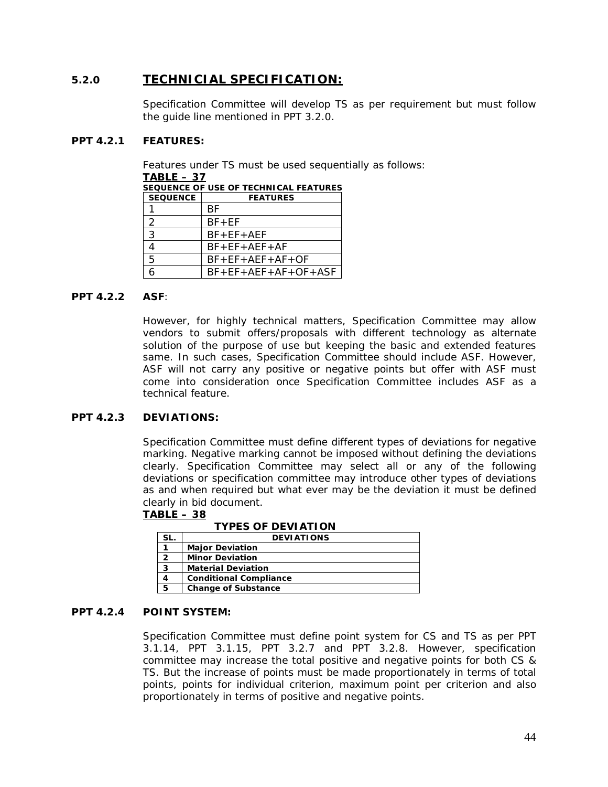# **5.2.0 TECHNICIAL SPECIFICATION:**

Specification Committee will develop TS as per requirement but must follow the guide line mentioned in PPT 3.2.0.

### **PPT 4.2.1 FEATURES:**

Features under TS must be used sequentially as follows:

| TABLE – 37      |                                              |  |  |  |
|-----------------|----------------------------------------------|--|--|--|
|                 | <b>SEQUENCE OF USE OF TECHNICAL FEATURES</b> |  |  |  |
| <b>SEQUENCE</b> | <b>FEATURES</b>                              |  |  |  |
|                 | ВF                                           |  |  |  |
| 2               | $BF + EF$                                    |  |  |  |
| 3               | $BF + EF + AEF$                              |  |  |  |
|                 | $BF + EF + AEF + AF$                         |  |  |  |
| 5               | $BF + EF + AEF + AF + OF$                    |  |  |  |
|                 | $BF + EF + AEF + AF + OF + ASF$              |  |  |  |
|                 |                                              |  |  |  |

### **PPT 4.2.2 ASF**:

However, for highly technical matters, Specification Committee may allow vendors to submit offers/proposals with different technology as alternate solution of the purpose of use but keeping the basic and extended features same. In such cases, Specification Committee should include ASF. However, ASF will not carry any positive or negative points but offer with ASF must come into consideration once Specification Committee includes ASF as a technical feature.

# **PPT 4.2.3 DEVIATIONS:**

Specification Committee must define different types of deviations for negative marking. Negative marking cannot be imposed without defining the deviations clearly. Specification Committee may select all or any of the following deviations or specification committee may introduce other types of deviations as and when required but what ever may be the deviation it must be defined clearly in bid document.

#### **TABLE – 38**

**TYPES OF DEVIATION**

|   | <b>DEVIATIONS</b>             |
|---|-------------------------------|
|   | <b>Major Deviation</b>        |
| 2 | <b>Minor Deviation</b>        |
| 3 | <b>Material Deviation</b>     |
|   | <b>Conditional Compliance</b> |
| 5 | <b>Change of Substance</b>    |

#### **PPT 4.2.4 POINT SYSTEM:**

Specification Committee must define point system for CS and TS as per PPT 3.1.14, PPT 3.1.15, PPT 3.2.7 and PPT 3.2.8. However, specification committee may increase the total positive and negative points for both CS & TS. But the increase of points must be made proportionately in terms of total points, points for individual criterion, maximum point per criterion and also proportionately in terms of positive and negative points.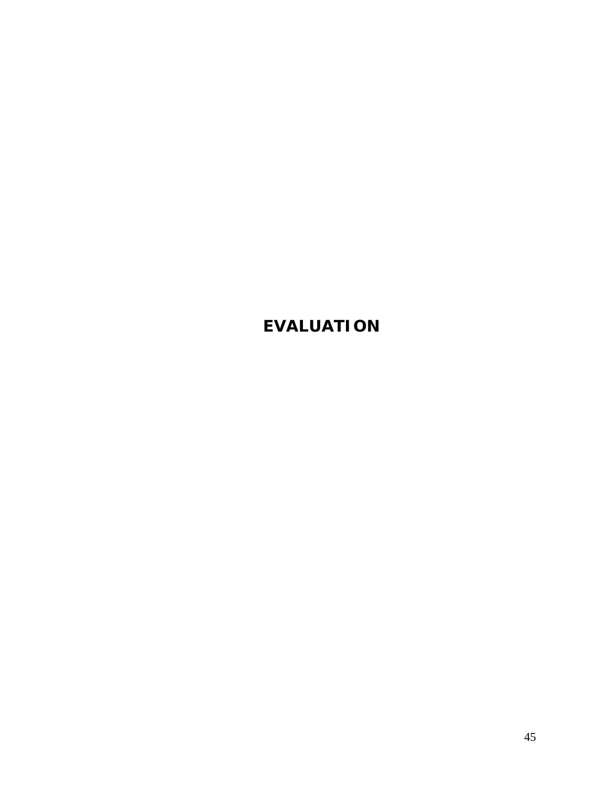# **EVALUATION**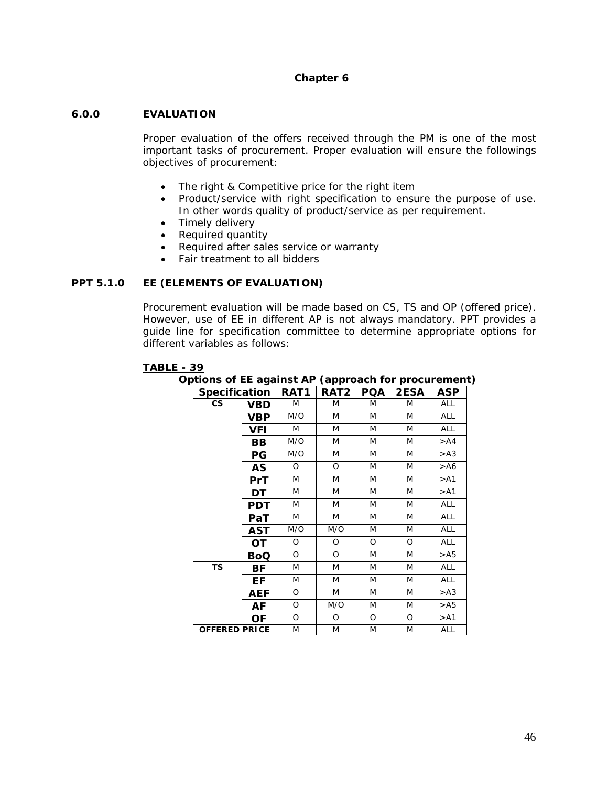### **Chapter 6**

### **6.0.0 EVALUATION**

Proper evaluation of the offers received through the PM is one of the most important tasks of procurement. Proper evaluation will ensure the followings objectives of procurement:

- The right & Competitive price for the right item
- Product/service with right specification to ensure the purpose of use. In other words quality of product/service as per requirement.
- Timely delivery
- Required quantity
- Required after sales service or warranty
- Fair treatment to all bidders

#### **PPT 5.1.0 EE (ELEMENTS OF EVALUATION)**

Procurement evaluation will be made based on CS, TS and OP (offered price). However, use of EE in different AP is not always mandatory. PPT provides a guide line for specification committee to determine appropriate options for different variables as follows:

#### **TABLE - 39**

**Options of EE against AP (approach for procurement)**

| <b>Specification</b> |            | RAT1 | RAT <sub>2</sub> | <b>PQA</b> | <b>2ESA</b> | ASP        |
|----------------------|------------|------|------------------|------------|-------------|------------|
| CS                   | VBD        |      | M                | M          | M           | <b>ALL</b> |
|                      | VBP        | M/O  | M                | M          | M           | <b>ALL</b> |
|                      | VFI        |      | M                | M          | M           | <b>ALL</b> |
|                      | BВ         | M/O  | M                | M          | M           | > A4       |
|                      | PG         | M/O  | M                | M          | M           | >A3        |
|                      | AS         | O    | O                | M          | M           | >A6        |
|                      | PrT        | M    | M                | M          | M           | > A1       |
|                      | DT         | M    | M                | M          | M           | > A1       |
|                      | PDT        | M    | M                | M          | M           | ALL        |
|                      | PaT        | M    | M                | M          | M           | ALL        |
|                      | AST        | M/O  | M/O              | M          | M           | <b>ALL</b> |
|                      | OТ         | O    | O                | O          | O           | ALL        |
|                      | <b>BoQ</b> | O    | O                | M          | M           | > A5       |
| <b>TS</b>            | ВF         | M    | M                | M          | M           | <b>ALL</b> |
|                      | ЕF         | M    | M                | M          | M           | <b>ALL</b> |
|                      | AEF        | O    | M                | M          | M           | > A3       |
|                      | AF         | O    | M/O              | M          | M           | > A5       |
|                      | ΟF         | O    | O                | O          | O           | > A1       |
| <b>OFFERED PRICE</b> |            | M    | M                | M          | M           | ALL        |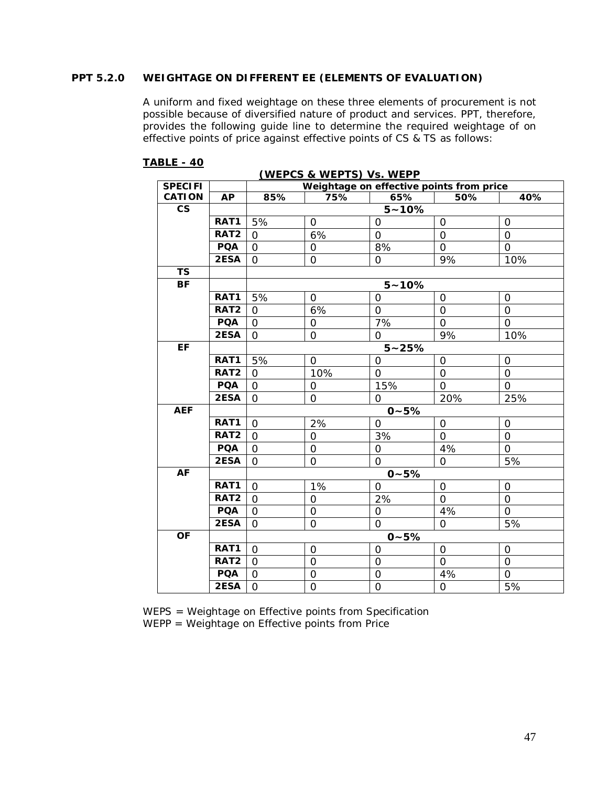# **PPT 5.2.0 WEIGHTAGE ON DIFFERENT EE (ELEMENTS OF EVALUATION)**

A uniform and fixed weightage on these three elements of procurement is not possible because of diversified nature of product and services. PPT, therefore, provides the following guide line to determine the required weightage of on effective points of price against effective points of CS & TS as follows:

| (WEPCS & WEPTS) Vs. WEPP |                  |                |                                          |                |                |                     |  |  |
|--------------------------|------------------|----------------|------------------------------------------|----------------|----------------|---------------------|--|--|
| <b>SPECIFI</b>           |                  |                | Weightage on effective points from price |                |                |                     |  |  |
| <b>CATION</b>            | <b>AP</b>        | 85%            | 75%                                      | 65%            | 50%            | 40%                 |  |  |
| $\mathsf{CS}\xspace$     |                  |                |                                          | $5 - 10%$      |                |                     |  |  |
|                          | RAT1             | 5%             | $\mathbf{O}$                             | $\overline{O}$ | 0              | 0                   |  |  |
|                          | RAT <sub>2</sub> | $\Omega$       | 6%                                       | $\overline{O}$ | $\overline{O}$ | $\Omega$            |  |  |
|                          | <b>PQA</b>       | $\mathbf{O}$   | $\mathbf 0$                              | 8%             | $\mathbf 0$    | $\mathbf 0$         |  |  |
|                          | 2ESA             | $\Omega$       | $\overline{O}$                           | $\Omega$       | 9%             | 10%                 |  |  |
| <b>TS</b>                |                  |                |                                          |                |                |                     |  |  |
| <b>BF</b>                |                  |                |                                          | $5 - 10%$      |                |                     |  |  |
|                          | RAT1             | 5%             | $\mathbf 0$                              | $\mathbf 0$    | $\mathbf 0$    | $\mathsf{O}\xspace$ |  |  |
|                          | RAT <sub>2</sub> | $\Omega$       | 6%                                       | $\mathbf{O}$   | $\overline{0}$ | $\mathbf{O}$        |  |  |
|                          | <b>PQA</b>       | $\Omega$       | $\mathbf 0$                              | 7%             | 0              | $\Omega$            |  |  |
|                          | 2ESA             | $\mathbf{O}$   | $\mathbf{O}$                             | $\overline{O}$ | 9%             | 10%                 |  |  |
| EF                       |                  |                |                                          | $5 - 25%$      |                |                     |  |  |
|                          | RAT1             | 5%             | $\mathbf 0$                              | $\mathbf{O}$   | $\mathbf 0$    | $\mathbf 0$         |  |  |
|                          | RAT <sub>2</sub> | $\Omega$       | 10%                                      | $\Omega$       | $\mathbf 0$    | $\Omega$            |  |  |
|                          | <b>PQA</b>       | $\Omega$       | 0                                        | 15%            | $\Omega$       | $\Omega$            |  |  |
|                          | 2ESA             | $\Omega$       | $\mathbf 0$                              | $\overline{O}$ | 20%            | 25%                 |  |  |
| <b>AEF</b>               |                  |                |                                          | $0 - 5%$       |                |                     |  |  |
|                          | RAT1             | $\Omega$       | 2%                                       | 0              | 0              | $\overline{O}$      |  |  |
|                          | RAT <sub>2</sub> | $\Omega$       | $\Omega$                                 | 3%             | $\Omega$       | $\Omega$            |  |  |
|                          | <b>PQA</b>       | $\Omega$       | $\mathbf 0$                              | $\mathbf{O}$   | 4%             | $\mathbf 0$         |  |  |
|                          | 2ESA             | $\Omega$       | $\overline{O}$                           | $\overline{O}$ | $\Omega$       | 5%                  |  |  |
| <b>AF</b>                |                  |                |                                          | $0 - 5%$       |                |                     |  |  |
|                          | RAT1             | $\Omega$       | 1%                                       | $\Omega$       | $\mathbf 0$    | $\mathbf{O}$        |  |  |
|                          | RAT <sub>2</sub> | $\Omega$       | 0                                        | 2%             | $\Omega$       | $\mathbf 0$         |  |  |
|                          | <b>PQA</b>       | $\Omega$       | $\mathbf 0$                              | $\mathbf{O}$   | 4%             | $\Omega$            |  |  |
|                          | 2ESA             | $\Omega$       | $\mathbf 0$                              | $\overline{O}$ | $\Omega$       | 5%                  |  |  |
| <b>OF</b>                |                  |                |                                          | $0 - 5%$       |                |                     |  |  |
|                          | RAT1             | $\Omega$       | $\mathbf 0$                              | $\mathbf 0$    | $\mathbf 0$    | $\mathbf 0$         |  |  |
|                          | RAT <sub>2</sub> | $\Omega$       | $\overline{O}$                           | $\mathbf{O}$   | $\mathbf 0$    | $\mathbf 0$         |  |  |
|                          | <b>PQA</b>       | $\Omega$       | $\overline{0}$                           | $\overline{O}$ | 4%             | $\mathbf 0$         |  |  |
|                          | 2ESA             | $\overline{O}$ | $\overline{0}$                           | $\mathbf 0$    | $\overline{O}$ | 5%                  |  |  |

#### **TABLE - 40**

WEPS = Weightage on Effective points from Specification WEPP = Weightage on Effective points from Price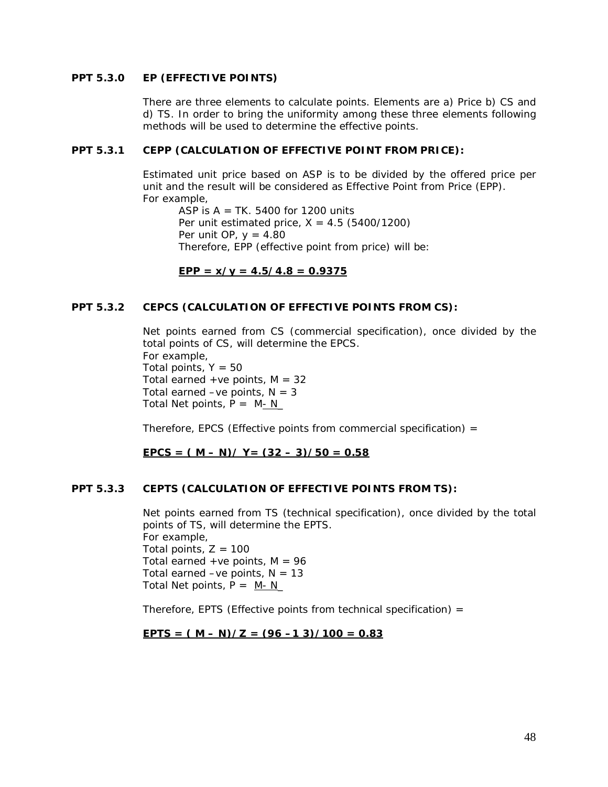### **PPT 5.3.0 EP (EFFECTIVE POINTS)**

There are three elements to calculate points. Elements are a) Price b) CS and d) TS. In order to bring the uniformity among these three elements following methods will be used to determine the effective points.

#### **PPT 5.3.1 CEPP (CALCULATION OF EFFECTIVE POINT FROM PRICE):**

Estimated unit price based on ASP is to be divided by the offered price per unit and the result will be considered as Effective Point from Price (EPP). For example,

ASP is  $A = TK. 5400$  for 1200 units Per unit estimated price,  $X = 4.5$  (5400/1200) Per unit OP,  $y = 4.80$ Therefore, EPP (effective point from price) will be:

# $EPP = x/y = 4.5/4.8 = 0.9375$

#### **PPT 5.3.2 CEPCS (CALCULATION OF EFFECTIVE POINTS FROM CS):**

Net points earned from CS (commercial specification), once divided by the total points of CS, will determine the EPCS. For example, Total points,  $Y = 50$ Total earned +ve points,  $M = 32$ Total earned  $-ve$  points,  $N = 3$ Total Net points,  $P = M - N$ 

Therefore, EPCS (Effective points from commercial specification) =

 $EPCS = (M - N)/Y = (32 - 3)/50 = 0.58$ 

#### **PPT 5.3.3 CEPTS (CALCULATION OF EFFECTIVE POINTS FROM TS):**

Net points earned from TS (technical specification), once divided by the total points of TS, will determine the EPTS. For example, Total points,  $Z = 100$ Total earned +ve points,  $M = 96$ Total earned –ve points,  $N = 13$ Total Net points,  $P = M - N$ 

Therefore, EPTS (Effective points from technical specification) =

# $EPTS = (M - N)/Z = (96 - 13)/100 = 0.83$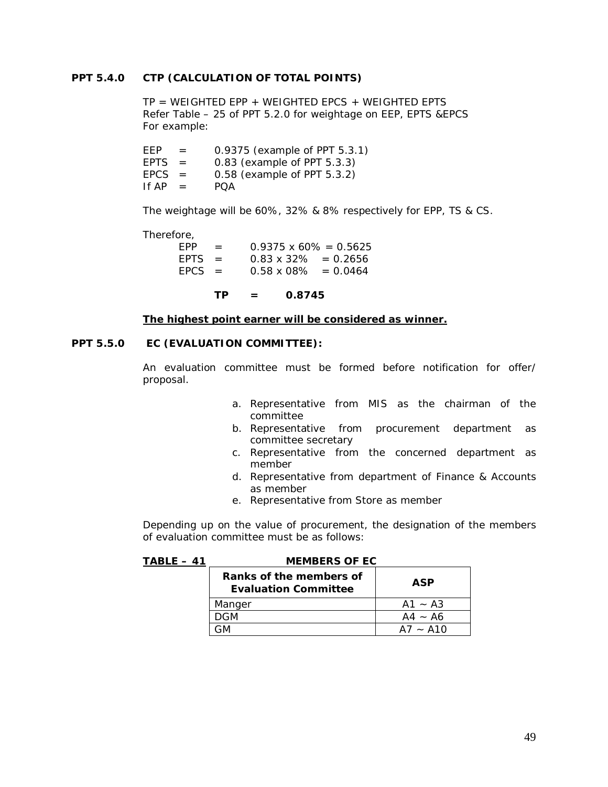#### **PPT 5.4.0 CTP (CALCULATION OF TOTAL POINTS)**

 $TP = WEIGHTED EPP + WEIGHTED EPCS + WEIGHTED EPTS$ Refer Table – 25 of PPT 5.2.0 for weightage on EEP, EPTS &EPCS For example:

| FFP         | $=$ | 0.9375 (example of PPT 5.3.1) |
|-------------|-----|-------------------------------|
| <b>EPTS</b> | $=$ | 0.83 (example of PPT 5.3.3)   |
| $EPCS =$    |     | 0.58 (example of PPT 5.3.2)   |
| If AP       | $=$ | POA                           |

The weightage will be 60%, 32% & 8% respectively for EPP, TS & CS.

Therefore,

| FPP.     | $=$ | $0.9375 \times 60\% = 0.5625$ |            |
|----------|-----|-------------------------------|------------|
| $FPTS =$ |     | $0.83 \times 32\% = 0.2656$   |            |
| $FPCS =$ |     | $0.58 \times 08\%$            | $= 0.0464$ |

**TP = 0.8745**

#### **The highest point earner will be considered as winner.**

#### **PPT 5.5.0 EC (EVALUATION COMMITTEE):**

An evaluation committee must be formed before notification for offer/ proposal.

- a. Representative from MIS as the chairman of the committee
- b. Representative from procurement department as committee secretary
- c. Representative from the concerned department as member
- d. Representative from department of Finance & Accounts as member
- e. Representative from Store as member

Depending up on the value of procurement, the designation of the members of evaluation committee must be as follows:

| TABLE – 41 | <b>MEMBERS OF EC</b>                                   |            |
|------------|--------------------------------------------------------|------------|
|            | Ranks of the members of<br><b>Evaluation Committee</b> | <b>ASP</b> |
|            | Manger                                                 | $A1 - A3$  |
|            | DGM                                                    | $AA - A6$  |
|            | ۰-M                                                    | $A7 - A10$ |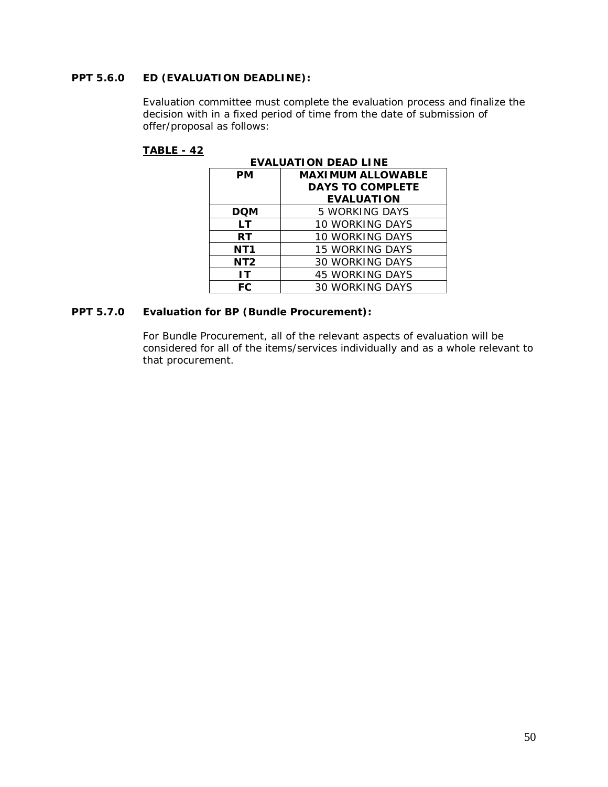# **PPT 5.6.0 ED (EVALUATION DEADLINE):**

Evaluation committee must complete the evaluation process and finalize the decision with in a fixed period of time from the date of submission of offer/proposal as follows:

# **TABLE - 42**

| <b>EVALUATION DEAD LINE</b>    |                         |  |  |  |  |  |  |  |  |
|--------------------------------|-------------------------|--|--|--|--|--|--|--|--|
| <b>MAXIMUM ALLOWABLE</b><br>PМ |                         |  |  |  |  |  |  |  |  |
|                                | <b>DAYS TO COMPLETE</b> |  |  |  |  |  |  |  |  |
|                                | <b>EVALUATION</b>       |  |  |  |  |  |  |  |  |
| DQM                            | 5 WORKING DAYS          |  |  |  |  |  |  |  |  |
| LТ                             | 10 WORKING DAYS         |  |  |  |  |  |  |  |  |
| <b>RT</b>                      | <b>10 WORKING DAYS</b>  |  |  |  |  |  |  |  |  |
| NT <sub>1</sub>                | <b>15 WORKING DAYS</b>  |  |  |  |  |  |  |  |  |
| NT <sub>2</sub>                | <b>30 WORKING DAYS</b>  |  |  |  |  |  |  |  |  |
| IΤ                             | <b>45 WORKING DAYS</b>  |  |  |  |  |  |  |  |  |
| FC                             | <b>30 WORKING DAYS</b>  |  |  |  |  |  |  |  |  |

# **PPT 5.7.0 Evaluation for BP (Bundle Procurement):**

For Bundle Procurement, all of the relevant aspects of evaluation will be considered for all of the items/services individually and as a whole relevant to that procurement.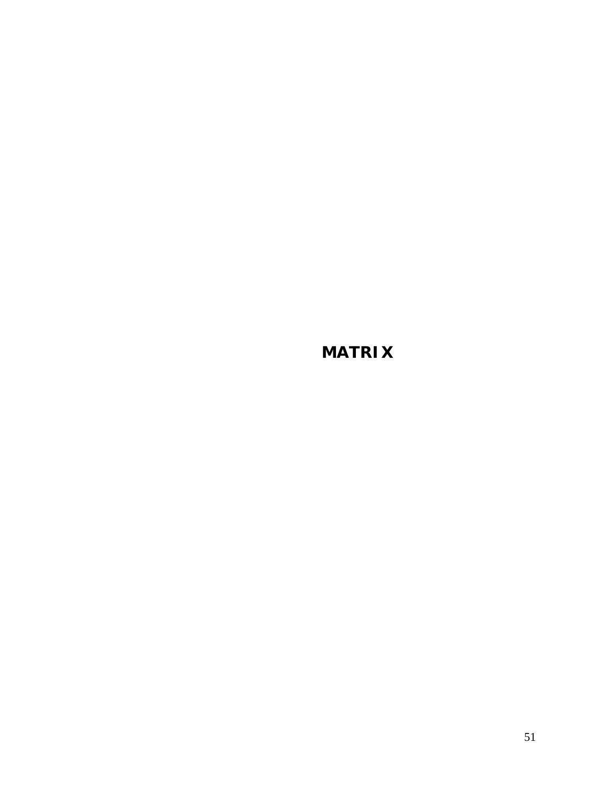**MATRIX**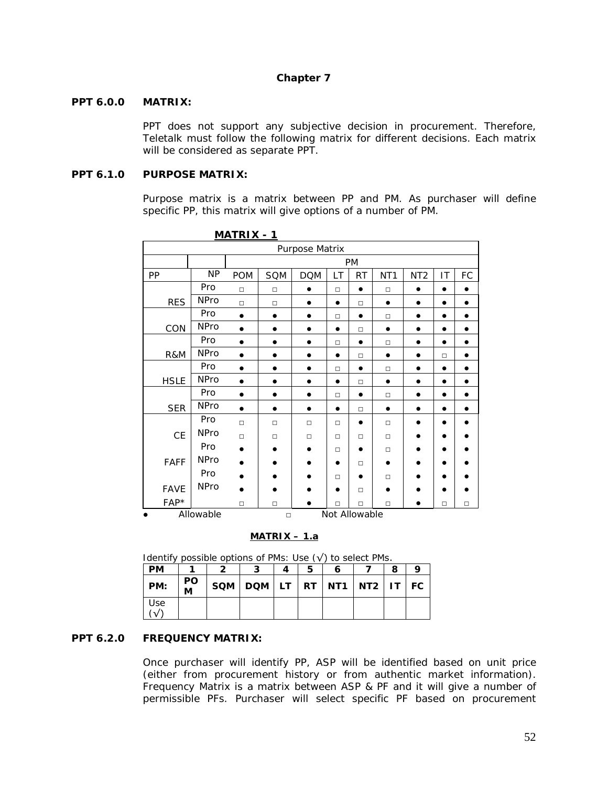# **Chapter 7**

#### **PPT 6.0.0 MATRIX:**

PPT does not support any subjective decision in procurement. Therefore, Teletalk must follow the following matrix for different decisions. Each matrix will be considered as separate PPT.

### **PPT 6.1.0 PURPOSE MATRIX:**

Purpose matrix is a matrix between PP and PM. As purchaser will define specific PP, this matrix will give options of a number of PM.

|             |             | N/M T N R  |           |                |           |               |                 |                 |           |        |
|-------------|-------------|------------|-----------|----------------|-----------|---------------|-----------------|-----------------|-----------|--------|
|             |             |            |           | Purpose Matrix |           |               |                 |                 |           |        |
|             |             |            | PM        |                |           |               |                 |                 |           |        |
| PP          | <b>NP</b>   | <b>POM</b> | SQM       | <b>DOM</b>     | LT        | <b>RT</b>     | NT <sub>1</sub> | NT <sub>2</sub> | IT        | FC     |
|             | Pro         | $\Box$     | $\Box$    | $\bullet$      | $\Box$    | $\bullet$     | $\Box$          | $\bullet$       | $\bullet$ |        |
| <b>RES</b>  | <b>NPro</b> | $\Box$     | $\Box$    | $\bullet$      | $\bullet$ | $\Box$        | $\bullet$       | $\bullet$       | $\bullet$ |        |
|             | Pro         | $\bullet$  |           |                | $\Box$    | $\bullet$     | $\Box$          | $\bullet$       |           |        |
| CON         | <b>NPro</b> | $\bullet$  | $\bullet$ | $\bullet$      | $\bullet$ | $\Box$        | $\bullet$       | $\bullet$       | $\bullet$ |        |
|             | Pro         |            | $\bullet$ | ٠              | $\Box$    | $\bullet$     | $\Box$          | $\bullet$       | $\bullet$ |        |
| R&M         | <b>NPro</b> |            | $\bullet$ |                | $\bullet$ | $\Box$        | $\bullet$       | $\bullet$       | $\Box$    |        |
|             | Pro         | $\bullet$  | $\bullet$ | $\bullet$      | $\Box$    | $\bullet$     | $\Box$          | $\bullet$       | $\bullet$ |        |
| <b>HSLE</b> | <b>NPro</b> | $\bullet$  | $\bullet$ | $\bullet$      | $\bullet$ | $\Box$        | $\bullet$       | $\bullet$       | $\bullet$ |        |
|             | Pro         | $\bullet$  | $\bullet$ | $\bullet$      | $\Box$    | $\bullet$     | $\Box$          | $\bullet$       | $\bullet$ |        |
| <b>SER</b>  | NPro        | $\bullet$  | $\bullet$ | $\bullet$      | $\bullet$ | $\Box$        | $\bullet$       | $\bullet$       | $\bullet$ |        |
|             | Pro         | $\Box$     | $\Box$    | $\Box$         | $\Box$    | ٠             | $\Box$          | ●               |           |        |
| CE          | <b>NPro</b> | $\Box$     | $\Box$    | $\Box$         | $\Box$    | $\Box$        | $\Box$          | $\bullet$       |           |        |
|             | Pro         |            |           |                | $\Box$    |               | $\Box$          |                 |           |        |
| FAFF        | <b>NPro</b> |            |           |                | $\bullet$ | $\Box$        |                 |                 | e         |        |
|             | Pro         |            |           |                | $\Box$    |               | $\Box$          |                 |           |        |
| <b>FAVE</b> | <b>NPro</b> |            |           |                | $\bullet$ | $\Box$        |                 |                 |           |        |
| $FAP*$      |             | $\Box$     | $\Box$    |                | $\Box$    | $\Box$        | $\Box$          |                 | $\Box$    | $\Box$ |
| $\bullet$   | Allowable   |            | $\Box$    |                |           | Not Allowable |                 |                 |           |        |

**MATRIX - 1**

#### **MATRIX – 1.a**

Identify possible options of PMs: Use  $(\sqrt{})$  to select PMs.

| <b>PM</b> |         |                                             |  |  | 8 |  |
|-----------|---------|---------------------------------------------|--|--|---|--|
| PM:       | PO<br>M | $SQM   DOM   LT   RT   NTI   NTZ   IT   FC$ |  |  |   |  |
| Use       |         |                                             |  |  |   |  |

### **PPT 6.2.0 FREQUENCY MATRIX:**

Once purchaser will identify PP, ASP will be identified based on unit price (either from procurement history or from authentic market information). Frequency Matrix is a matrix between ASP & PF and it will give a number of permissible PFs. Purchaser will select specific PF based on procurement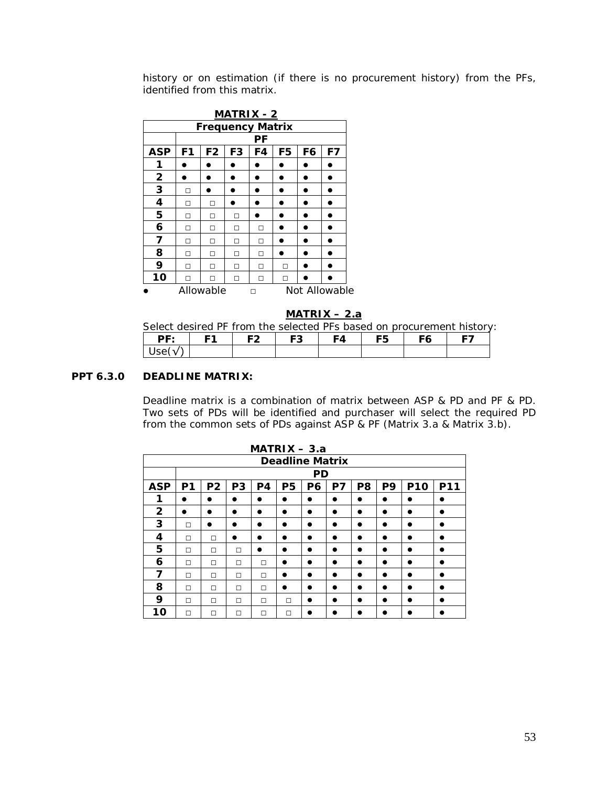history or on estimation (if there is no procurement history) from the PFs, identified from this matrix.

| <b>MATRIX - 2</b>          |                |                |                |    |    |    |    |  |  |  |
|----------------------------|----------------|----------------|----------------|----|----|----|----|--|--|--|
| <b>Frequency Matrix</b>    |                |                |                |    |    |    |    |  |  |  |
|                            |                |                |                | РF |    |    |    |  |  |  |
| <b>ASP</b>                 | F <sub>1</sub> | F <sub>2</sub> | F <sub>3</sub> | F4 | F5 | F6 | F7 |  |  |  |
| 1                          |                |                |                |    |    |    |    |  |  |  |
| $\overline{\mathbf{2}}$    |                |                |                |    |    |    |    |  |  |  |
| 3                          | п              |                |                |    |    |    |    |  |  |  |
| 4                          | п              | п              |                |    |    |    |    |  |  |  |
| 5                          | п              | п              | п              |    |    |    |    |  |  |  |
| 6                          | п              | п              | П              | п  |    |    |    |  |  |  |
| 7                          | п              | п              | П              | п  |    |    |    |  |  |  |
| 8                          | п              | п              | П              | П  |    |    |    |  |  |  |
| 9                          | п              | п              | П              | п  | п  |    |    |  |  |  |
| 10                         |                |                | п              | п  | п  |    |    |  |  |  |
| Allowable<br>Not Allowable |                |                |                |    |    |    |    |  |  |  |

**MATRIX – 2.a**

Select desired PF from the selected PFs based on procurement history:

| DF·   | E <sub>1</sub> | F2 | <b>F3</b> | F4 | <b>F5</b> | F6 | -- |
|-------|----------------|----|-----------|----|-----------|----|----|
| Use(√ |                |    |           |    |           |    |    |

# **PPT 6.3.0 DEADLINE MATRIX:**

Deadline matrix is a combination of matrix between ASP & PD and PF & PD. Two sets of PDs will be identified and purchaser will select the required PD from the common sets of PDs against ASP & PF (Matrix 3.a & Matrix 3.b).

|              | $MATRIX - 3.a$ |                |                |    |                        |           |           |                |           |            |     |
|--------------|----------------|----------------|----------------|----|------------------------|-----------|-----------|----------------|-----------|------------|-----|
|              |                |                |                |    | <b>Deadline Matrix</b> |           |           |                |           |            |     |
|              |                |                |                |    |                        | <b>PD</b> |           |                |           |            |     |
| <b>ASP</b>   | P <sub>1</sub> | P <sub>2</sub> | P <sub>3</sub> | P4 | P <sub>5</sub>         | P6        | P7        | P <sub>8</sub> | P9        | <b>P10</b> | P11 |
| 1            | ٠              |                |                |    |                        | ∙         | $\bullet$ |                |           |            |     |
| $\mathbf{2}$ |                |                |                | D  |                        |           | $\bullet$ |                | $\bullet$ | $\bullet$  |     |
| 3            | П              |                | ∙              | D  |                        | ∙         | ●         |                | в         |            |     |
| 4            | П              | П              | $\bullet$      |    | $\bullet$              |           | $\bullet$ |                |           |            | n   |
| 5            | П              | П              | П              | D  |                        |           | $\bullet$ |                | $\bullet$ |            |     |
| 6            | П              | П              | П              | п  | ۰                      | ∙         | ●         |                | ∙         |            |     |
| 7            | П              | П              | П              | п  |                        |           |           |                |           |            |     |
| 8            | П              | П              | П              | П  | $\bullet$              |           | $\bullet$ |                | $\bullet$ |            | D   |
| 9            | П              | П              | П              | п  | П                      |           |           |                |           |            | D   |
| 10           | П              | П              | П              | п  | П                      |           |           |                |           |            |     |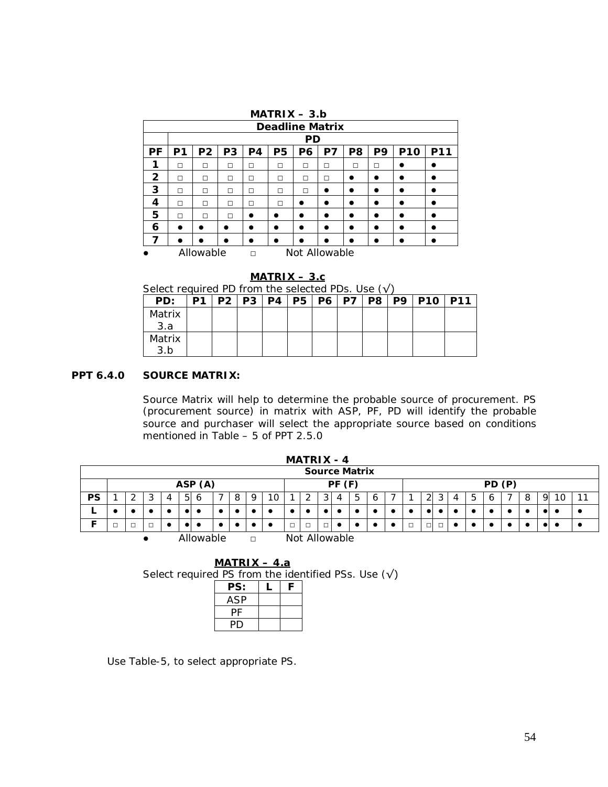|    | $MATRIX - 3.b$         |                                              |    |                |                |           |               |    |    |            |            |  |  |  |  |
|----|------------------------|----------------------------------------------|----|----------------|----------------|-----------|---------------|----|----|------------|------------|--|--|--|--|
|    | <b>Deadline Matrix</b> |                                              |    |                |                |           |               |    |    |            |            |  |  |  |  |
|    |                        |                                              |    |                |                | <b>PD</b> |               |    |    |            |            |  |  |  |  |
| РF | P1                     | P <sub>2</sub>                               | P3 | P <sub>4</sub> | P <sub>5</sub> | P6        | P7            | P8 | P9 | <b>P10</b> | <b>P11</b> |  |  |  |  |
| 1  | п                      | П<br>П<br>П<br>П<br>п<br>П<br>п<br>П         |    |                |                |           |               |    |    |            |            |  |  |  |  |
| 2  | П                      | П<br>п<br>П<br>п<br>п<br>●<br>□<br>$\bullet$ |    |                |                |           |               |    |    |            |            |  |  |  |  |
| 3  | п                      | п                                            | п  | П              | П              | П         |               | ●  | n  |            |            |  |  |  |  |
| 4  | П                      | П                                            | П  | П              | $\Box$         |           | ●             | ●  | ●  |            |            |  |  |  |  |
| 5  | П                      | П                                            | П  |                |                |           |               | ●  |    | ٠          |            |  |  |  |  |
| 6  |                        |                                              |    |                | D              |           |               | ●  | D  |            |            |  |  |  |  |
| 7  | n                      |                                              |    |                |                |           |               |    |    |            |            |  |  |  |  |
|    |                        | Allowable                                    |    | П              |                |           | Not Allowable |    |    |            |            |  |  |  |  |

#### **MATRIX – 3.c**

| Select required PD from the selected PDs. Use $(\sqrt{})$ |  |  |  |  |  |
|-----------------------------------------------------------|--|--|--|--|--|
|                                                           |  |  |  |  |  |

| PD:    | P <sub>1</sub> |  | P2   P3   P4   P5 |  | <b>P6   P7  </b> | P8 <sup>1</sup> | <b>P9   P10</b> | <b>P11</b> |
|--------|----------------|--|-------------------|--|------------------|-----------------|-----------------|------------|
| Matrix |                |  |                   |  |                  |                 |                 |            |
| 3.a    |                |  |                   |  |                  |                 |                 |            |
| Matrix |                |  |                   |  |                  |                 |                 |            |
| 3.b    |                |  |                   |  |                  |                 |                 |            |

# **PPT 6.4.0 SOURCE MATRIX:**

Source Matrix will help to determine the probable source of procurement. PS (procurement source) in matrix with ASP, PF, PD will identify the probable source and purchaser will select the appropriate source based on conditions mentioned in Table – 5 of PPT 2.5.0

|           |                                      |  |   |  |          |   |           |   |   |    |  | <b>MATRIX - 4</b> |        |           |   |   |  |           |   |   |   |   |   |   |    |    |
|-----------|--------------------------------------|--|---|--|----------|---|-----------|---|---|----|--|-------------------|--------|-----------|---|---|--|-----------|---|---|---|---|---|---|----|----|
|           | <b>Source Matrix</b>                 |  |   |  |          |   |           |   |   |    |  |                   |        |           |   |   |  |           |   |   |   |   |   |   |    |    |
|           | ASP (A)<br>PF(F)<br>PD (P)           |  |   |  |          |   |           |   |   |    |  |                   |        |           |   |   |  |           |   |   |   |   |   |   |    |    |
| <b>PS</b> |                                      |  | 3 |  | $5 \mid$ | 6 |           | 8 | 9 | 10 |  |                   | 3      | 4         | 5 | 6 |  | 2         | 3 | 4 | 5 | 6 | 8 | 9 | 10 | 11 |
|           |                                      |  |   |  |          |   | ٠         |   |   |    |  |                   |        |           |   |   |  | $\bullet$ |   |   |   |   |   |   | ٠  |    |
| Е         | $\Box$                               |  |   |  |          |   | $\bullet$ |   |   |    |  |                   | $\Box$ | $\bullet$ |   |   |  |           |   |   |   |   |   |   | ٠  |    |
|           | Allowable<br>Not Allowable<br>$\Box$ |  |   |  |          |   |           |   |   |    |  |                   |        |           |   |   |  |           |   |   |   |   |   |   |    |    |

| $MATRIX - 4.a$ |  |                                                             |
|----------------|--|-------------------------------------------------------------|
|                |  | Select required PS from the identified PSs. Use $(\sqrt{})$ |
| PS:            |  |                                                             |
| ASP            |  |                                                             |
|                |  |                                                             |
|                |  |                                                             |

Use Table-5, to select appropriate PS.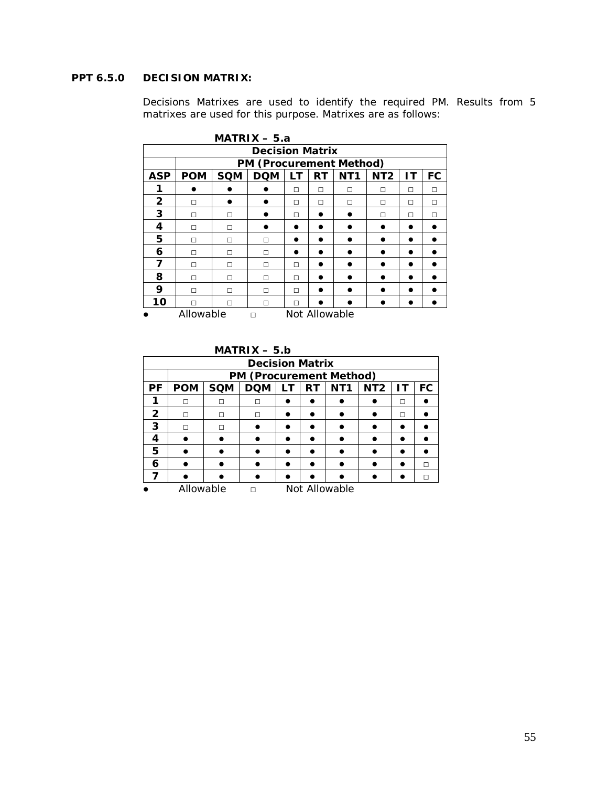# **PPT 6.5.0 DECISION MATRIX:**

Decisions Matrixes are used to identify the required PM. Results from 5 matrixes are used for this purpose. Matrixes are as follows:

|                         | $MATRIX - 5.a$ |            |                                |    |               |                 |                 |    |    |  |  |  |  |
|-------------------------|----------------|------------|--------------------------------|----|---------------|-----------------|-----------------|----|----|--|--|--|--|
|                         |                |            | <b>Decision Matrix</b>         |    |               |                 |                 |    |    |  |  |  |  |
|                         |                |            | <b>PM (Procurement Method)</b> |    |               |                 |                 |    |    |  |  |  |  |
| <b>ASP</b>              | <b>POM</b>     | <b>SQM</b> | <b>DQM</b>                     | LТ | RT            | NT <sub>1</sub> | NT <sub>2</sub> | ΙT | FC |  |  |  |  |
| 1                       |                |            |                                | П  | П             | П               | П               | П  | п  |  |  |  |  |
| $\overline{\mathbf{c}}$ | П              |            |                                | П  | П             | П               | П               | П  | п  |  |  |  |  |
| 3                       | п              | п          |                                | П  |               |                 | П               | П  | п  |  |  |  |  |
| 4                       | п              | П          |                                |    |               |                 |                 |    |    |  |  |  |  |
| 5                       | П              | П          | п                              |    |               |                 |                 |    |    |  |  |  |  |
| 6                       | п              | п          | п                              |    |               |                 |                 |    |    |  |  |  |  |
| 7                       | п              | П          | п                              | П  |               |                 |                 |    |    |  |  |  |  |
| 8                       | П              | П          | п                              | П  |               |                 |                 |    |    |  |  |  |  |
| 9                       | п              | П          | п                              | П  |               |                 |                 |    |    |  |  |  |  |
| 10                      |                | П          | п                              | п  |               |                 |                 |    |    |  |  |  |  |
|                         | Allowable      |            | П                              |    | Not Allowable |                 |                 |    |    |  |  |  |  |

|              | $MATRIX - 5.b$                  |            |                                |    |           |                 |                 |           |    |  |  |  |  |
|--------------|---------------------------------|------------|--------------------------------|----|-----------|-----------------|-----------------|-----------|----|--|--|--|--|
|              | <b>Decision Matrix</b>          |            |                                |    |           |                 |                 |           |    |  |  |  |  |
|              |                                 |            | <b>PM (Procurement Method)</b> |    |           |                 |                 |           |    |  |  |  |  |
| РF           | <b>POM</b>                      | <b>SQM</b> | <b>DQM</b>                     | ΙT | <b>RT</b> | NT <sub>1</sub> | NT <sub>2</sub> | <b>IT</b> | FC |  |  |  |  |
| 1            | П                               | П          | п                              |    |           |                 |                 | п         |    |  |  |  |  |
| $\mathbf{2}$ | П                               | П          | П                              |    |           |                 |                 | п         |    |  |  |  |  |
| 3            | П                               | П          |                                |    |           |                 |                 |           |    |  |  |  |  |
| 4            |                                 |            |                                |    |           |                 |                 |           |    |  |  |  |  |
| 5            |                                 |            |                                |    |           |                 |                 |           |    |  |  |  |  |
| 6            |                                 |            |                                |    |           |                 |                 |           | п  |  |  |  |  |
|              |                                 |            |                                |    |           |                 |                 |           |    |  |  |  |  |
|              | Allowable<br>Not Allowable<br>п |            |                                |    |           |                 |                 |           |    |  |  |  |  |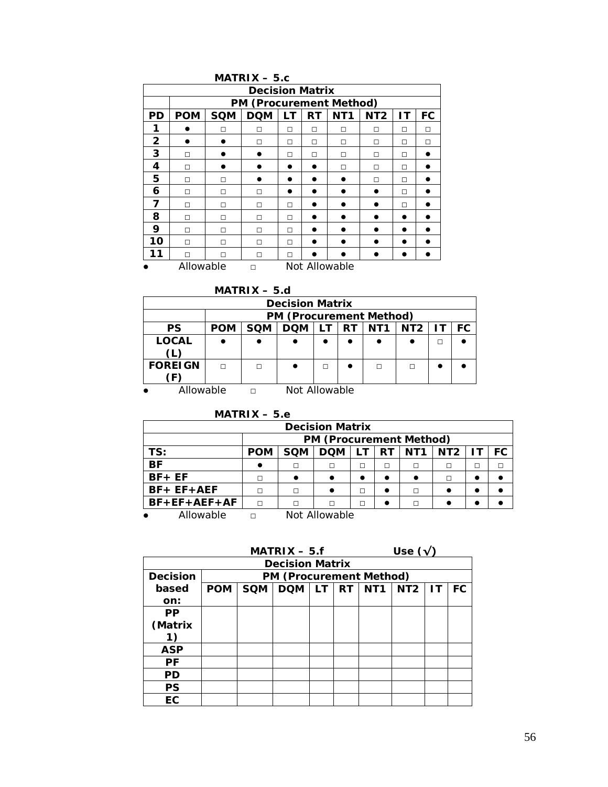|              |                        |            | $MATRIX - 5.c$                 |    |           |                 |                 |    |    |  |  |  |  |
|--------------|------------------------|------------|--------------------------------|----|-----------|-----------------|-----------------|----|----|--|--|--|--|
|              | <b>Decision Matrix</b> |            |                                |    |           |                 |                 |    |    |  |  |  |  |
|              |                        |            | <b>PM (Procurement Method)</b> |    |           |                 |                 |    |    |  |  |  |  |
| <b>PD</b>    | <b>POM</b>             | <b>SQM</b> | <b>DQM</b>                     | LТ | <b>RT</b> | NT <sub>1</sub> | NT <sub>2</sub> | ΙT | FC |  |  |  |  |
| 1            |                        | п          | п                              | П  | П         | п               | П               | п  | П  |  |  |  |  |
| $\mathbf{2}$ |                        |            | п                              | П  | П         | □               | П               | П  | П  |  |  |  |  |
| 3            | П                      |            |                                | П  | П         | П               | П               | п  |    |  |  |  |  |
| 4            | П                      |            |                                |    |           | п               | П               | п  |    |  |  |  |  |
| 5            | п                      | п          |                                |    |           |                 | П               | п  |    |  |  |  |  |
| 6            | П                      | п          | П                              |    |           |                 |                 | п  |    |  |  |  |  |
| 7            | п                      | п          | п                              | П  |           |                 |                 | п  |    |  |  |  |  |
| 8            | П                      | п          | п                              | п  |           |                 |                 |    |    |  |  |  |  |
| 9            | П                      | п          | п                              | п  |           |                 |                 | n  |    |  |  |  |  |
| 10           | П                      | П          | п                              | П  |           |                 |                 |    |    |  |  |  |  |
| 11           | п                      | п          | п                              | п  |           |                 |                 |    |    |  |  |  |  |
|              | Allowable              |            | П                              |    |           | Not Allowable   |                 |    |    |  |  |  |  |

**MATRIX – 5.d**

|                            |            | <b>Decision Matrix</b>                                                |  |  |  |  |  |  |  |  |  |  |  |
|----------------------------|------------|-----------------------------------------------------------------------|--|--|--|--|--|--|--|--|--|--|--|
|                            |            | <b>PM (Procurement Method)</b>                                        |  |  |  |  |  |  |  |  |  |  |  |
| <b>PS</b>                  | <b>POM</b> | NT <sub>1</sub><br><b>SQM</b><br>NT2<br>FC<br><b>RT</b><br><b>DOM</b> |  |  |  |  |  |  |  |  |  |  |  |
| <b>LOCAL</b>               |            |                                                                       |  |  |  |  |  |  |  |  |  |  |  |
| <b>FOREIGN</b>             | п<br>п     |                                                                       |  |  |  |  |  |  |  |  |  |  |  |
| Allowable<br>Not Allowable |            |                                                                       |  |  |  |  |  |  |  |  |  |  |  |

#### **MATRIX – 5.e**

| <b>Decision Matrix</b> |            |                                                                  |               |   |   |        |   |  |  |  |  |  |
|------------------------|------------|------------------------------------------------------------------|---------------|---|---|--------|---|--|--|--|--|--|
|                        |            | <b>PM (Procurement Method)</b>                                   |               |   |   |        |   |  |  |  |  |  |
| TS:                    | <b>POM</b> | FC.<br><b>SQM</b><br>NT <sub>1</sub><br><b>DOM</b><br>NT2<br>RT. |               |   |   |        |   |  |  |  |  |  |
| <b>BF</b>              |            |                                                                  |               | П | П | $\Box$ |   |  |  |  |  |  |
| $BF + EF$              | п          |                                                                  |               |   |   |        | П |  |  |  |  |  |
| $BF + EF + AEF$        | П          | г                                                                |               | П |   | П      |   |  |  |  |  |  |
| $BF + EF + AEF + AF$   | П          | г                                                                |               |   |   |        |   |  |  |  |  |  |
| Allowable              | $\Box$     |                                                                  | Not Allowable |   |   |        |   |  |  |  |  |  |

 $MATRIX - 5.f$  Use  $(\sqrt{)}$ **Decision Matrix Decision based on: PM (Procurement Method) POM SQM DQM LT RT NT1 NT2 IT FC PP (Matrix 1) ASP PF PD PS EC**

56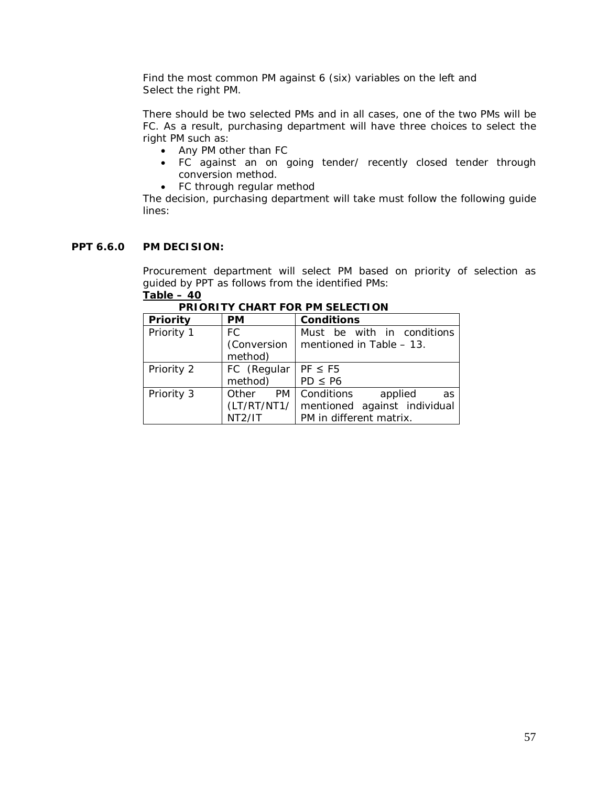Find the most common PM against 6 (six) variables on the left and Select the right PM.

There should be two selected PMs and in all cases, one of the two PMs will be FC. As a result, purchasing department will have three choices to select the right PM such as:

- Any PM other than FC
- FC against an on going tender/ recently closed tender through conversion method.
- FC through regular method

The decision, purchasing department will take must follow the following guide lines:

# **PPT 6.6.0 PM DECISION:**

Procurement department will select PM based on priority of selection as guided by PPT as follows from the identified PMs: **Table – 40**

| <b>Priority</b> | <b>PM</b>           | Conditions                   |
|-----------------|---------------------|------------------------------|
| Priority 1      | FC.                 | Must be with in conditions   |
|                 | (Conversion         | mentioned in Table - 13.     |
|                 | method)             |                              |
| Priority 2      | FC (Regular         | $PF \leq FS$                 |
|                 | method)             | $PD \leq PG$                 |
| Priority 3      | Other<br>PM         | Conditions<br>applied<br>as  |
|                 | (LT/RT/NT1/         | mentioned against individual |
|                 | NT <sub>2</sub> /IT | PM in different matrix.      |

|  |  | <b>PRIORITY CHART FOR PM SELECTION</b> |
|--|--|----------------------------------------|
|  |  |                                        |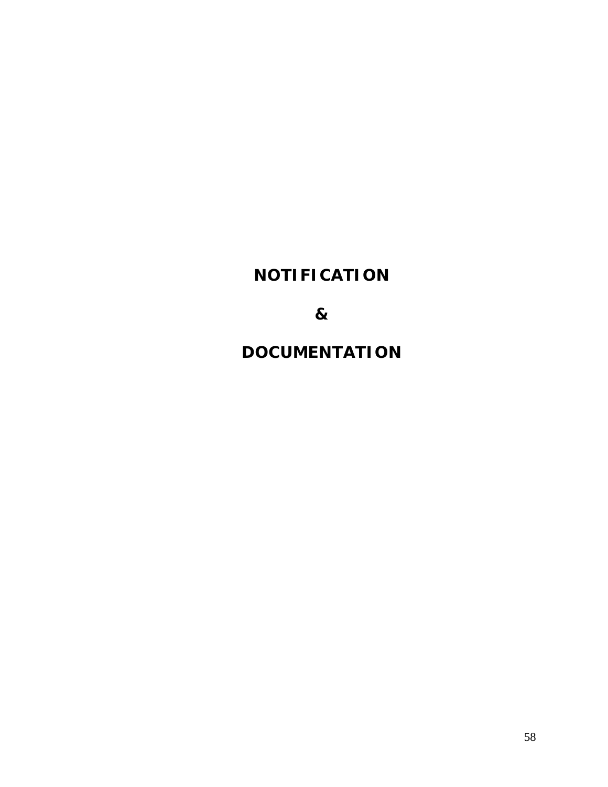# **NOTIFICATION**

**&**

**DOCUMENTATION**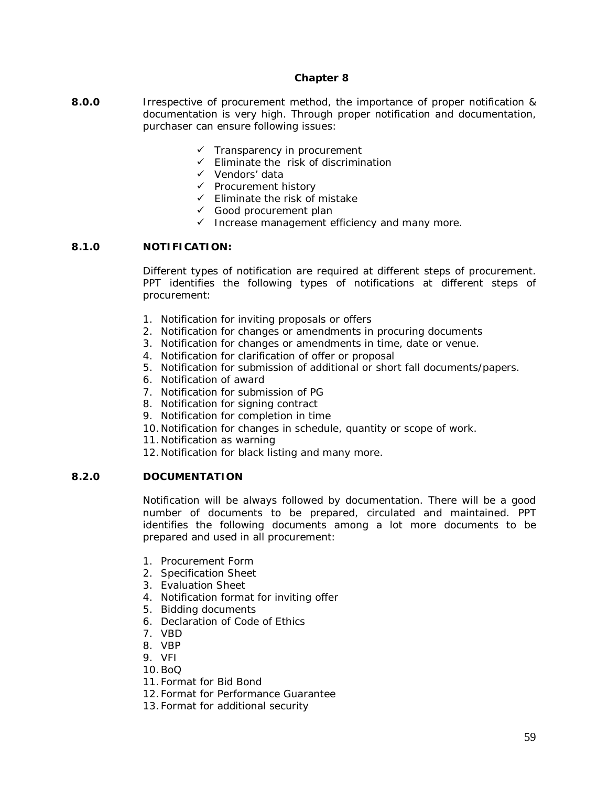#### **Chapter 8**

- **8.0.0** Irrespective of procurement method, the importance of proper notification & documentation is very high. Through proper notification and documentation, purchaser can ensure following issues:
	- $\checkmark$  Transparency in procurement
	- $\checkmark$  Eliminate the risk of discrimination
	- $\checkmark$  Vendors' data
	- $\checkmark$  Procurement history
	- $\checkmark$  Eliminate the risk of mistake
	- $\checkmark$  Good procurement plan
	- $\checkmark$  Increase management efficiency and many more.

# **8.1.0 NOTIFICATION:**

Different types of notification are required at different steps of procurement. PPT identifies the following types of notifications at different steps of procurement:

- 1. Notification for inviting proposals or offers
- 2. Notification for changes or amendments in procuring documents
- 3. Notification for changes or amendments in time, date or venue.
- 4. Notification for clarification of offer or proposal
- 5. Notification for submission of additional or short fall documents/papers.
- 6. Notification of award
- 7. Notification for submission of PG
- 8. Notification for signing contract
- 9. Notification for completion in time
- 10.Notification for changes in schedule, quantity or scope of work.
- 11.Notification as warning
- 12.Notification for black listing and many more.

# **8.2.0 DOCUMENTATION**

Notification will be always followed by documentation. There will be a good number of documents to be prepared, circulated and maintained. PPT identifies the following documents among a lot more documents to be prepared and used in all procurement:

- 1. Procurement Form
- 2. Specification Sheet
- 3. Evaluation Sheet
- 4. Notification format for inviting offer
- 5. Bidding documents
- 6. Declaration of Code of Ethics
- 7. VBD
- 8. VBP
- 9. VFI
- 10.BoQ
- 11.Format for Bid Bond
- 12.Format for Performance Guarantee
- 13.Format for additional security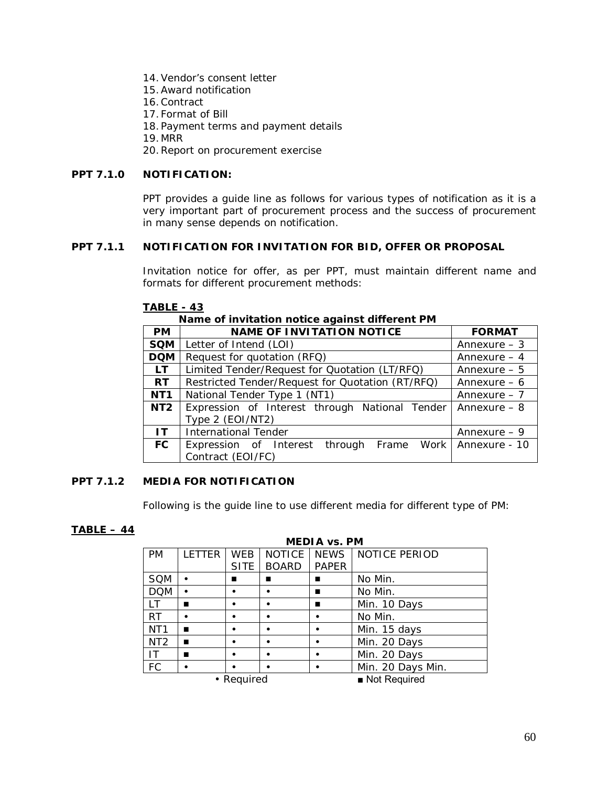- 14.Vendor's consent letter
- 15.Award notification
- 16.Contract
- 17.Format of Bill
- 18.Payment terms and payment details
- 19.MRR

20.Report on procurement exercise

# **PPT 7.1.0 NOTIFICATION:**

PPT provides a guide line as follows for various types of notification as it is a very important part of procurement process and the success of procurement in many sense depends on notification.

# **PPT 7.1.1 NOTIFICATION FOR INVITATION FOR BID, OFFER OR PROPOSAL**

Invitation notice for offer, as per PPT, must maintain different name and formats for different procurement methods:

| Name of invitation notice against different PM |                                                                                     |               |  |  |  |
|------------------------------------------------|-------------------------------------------------------------------------------------|---------------|--|--|--|
| <b>PM</b>                                      | <b>NAME OF INVITATION NOTICE</b>                                                    | <b>FORMAT</b> |  |  |  |
| <b>SQM</b>                                     | Letter of Intend (LOI)                                                              | Annexure $-3$ |  |  |  |
| <b>DQM</b>                                     | Request for quotation (RFQ)                                                         | Annexure $-4$ |  |  |  |
| LT.                                            | Limited Tender/Request for Quotation (LT/RFQ)                                       | Annexure $-5$ |  |  |  |
| <b>RT</b>                                      | Restricted Tender/Request for Quotation (RT/RFQ)                                    | Annexure $-6$ |  |  |  |
| NT <sub>1</sub>                                | National Tender Type 1 (NT1)                                                        | Annexure $-7$ |  |  |  |
| NT <sub>2</sub>                                | Expression of Interest through National Tender<br>Annexure $-8$<br>Type 2 (EOI/NT2) |               |  |  |  |
| IT.                                            | <b>International Tender</b>                                                         | Annexure $-9$ |  |  |  |
| <b>FC</b>                                      | Expression of Interest through Frame Work Annexure - 10<br>Contract (EOI/FC)        |               |  |  |  |

#### **TABLE - 43**

# **Name of invitation notice against different PM**

# **PPT 7.1.2 MEDIA FOR NOTIFICATION**

Following is the guide line to use different media for different type of PM:

# **TABLE – 44**

| <b>MEDIA vs. PM</b> |               |             |               |              |                      |  |
|---------------------|---------------|-------------|---------------|--------------|----------------------|--|
| <b>PM</b>           | <b>LETTER</b> | <b>WEB</b>  | <b>NOTICE</b> | <b>NEWS</b>  | <b>NOTICE PERIOD</b> |  |
|                     |               | <b>SITE</b> | <b>BOARD</b>  | <b>PAPER</b> |                      |  |
| <b>SQM</b>          |               |             |               | ▬            | No Min.              |  |
| <b>DQM</b>          |               |             |               |              | No Min.              |  |
| I T                 | ٠             |             | ٠             | ■            | Min. 10 Days         |  |
| <b>RT</b>           |               | ٠           | $\bullet$     | ٠            | No Min.              |  |
| NT <sub>1</sub>     |               |             |               |              | Min. 15 days         |  |
| NT <sub>2</sub>     |               |             |               |              | Min. 20 Days         |  |
| ΙT                  |               | ٠           | ٠             |              | Min. 20 Days         |  |
| FC                  |               |             |               |              | Min. 20 Days Min.    |  |
| • Required          |               |             |               |              | Not Required         |  |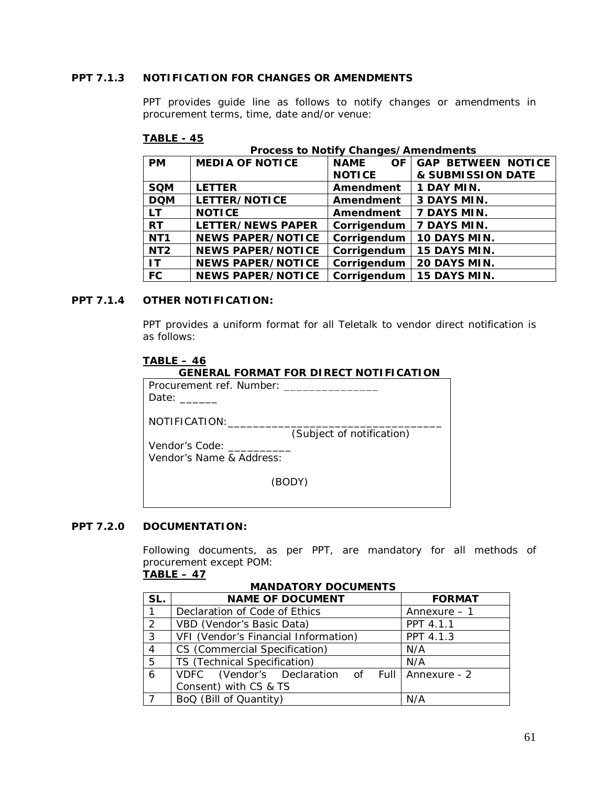# **PPT 7.1.3 NOTIFICATION FOR CHANGES OR AMENDMENTS**

PPT provides guide line as follows to notify changes or amendments in procurement terms, time, date and/or venue:

#### **TABLE - 45**

**Process to Notify Changes/Amendments**

| <b>PM</b>       | <b>MEDIA OF NOTICE</b>   | <b>NAME</b><br>OF | <b>GAP BETWEEN NOTICE</b>  |
|-----------------|--------------------------|-------------------|----------------------------|
|                 |                          | <b>NOTICE</b>     | & SUBMISSION DATE          |
| <b>SQM</b>      | <b>LETTER</b>            | Amendment         | 1 DAY MIN.                 |
| <b>DOM</b>      | LETTER/NOTICE            | Amendment         | 3 DAYS MIN.                |
| LT.             | <b>NOTICE</b>            | Amendment         | 7 DAYS MIN.                |
| <b>RT</b>       | LETTER/NEWS PAPER        | Corrigendum       | 7 DAYS MIN.                |
| NT <sub>1</sub> | <b>NEWS PAPER/NOTICE</b> | Corrigendum       | 10 DAYS MIN.               |
| NT <sub>2</sub> | <b>NEWS PAPER/NOTICE</b> | Corrigendum       | 15 DAYS MIN.               |
| $\mathbf{I}$    | <b>NEWS PAPER/NOTICE</b> | Corrigendum       | 20 DAYS MIN.               |
| <b>FC</b>       | <b>NEWS PAPER/NOTICE</b> |                   | Corrigendum   15 DAYS MIN. |

### **PPT 7.1.4 OTHER NOTIFICATION:**

PPT provides a uniform format for all Teletalk to vendor direct notification is as follows:

# **TABLE – 46**

# **GENERAL FORMAT FOR DIRECT NOTIFICATION**

| Procurement ref. Number: ____<br>Date: ______ |                           |
|-----------------------------------------------|---------------------------|
| NOTIFICATION:_____________________            |                           |
|                                               | (Subject of notification) |
| Vendor's Code:<br>Vendor's Name & Address:    |                           |
|                                               | (BODY)                    |
|                                               |                           |

# **PPT 7.2.0 DOCUMENTATION:**

Following documents, as per PPT, are mandatory for all methods of procurement except POM:

# **TABLE – 47**

# **MANDATORY DOCUMENTS**

| SL.            | <b>NAME OF DOCUMENT</b>                         | <b>FORMAT</b> |
|----------------|-------------------------------------------------|---------------|
| 1              | Declaration of Code of Ethics                   | Annexure - 1  |
| 2              | VBD (Vendor's Basic Data)                       | PPT 4.1.1     |
| 3              | VFI (Vendor's Financial Information)            | PPT 4.1.3     |
| $\overline{4}$ | CS (Commercial Specification)                   | N/A           |
| 5              | TS (Technical Specification)                    | N/A           |
| 6              | VDFC (Vendor's Declaration of Full Annexure - 2 |               |
|                | Consent) with CS & TS                           |               |
|                | BoQ (Bill of Quantity)                          | N/A           |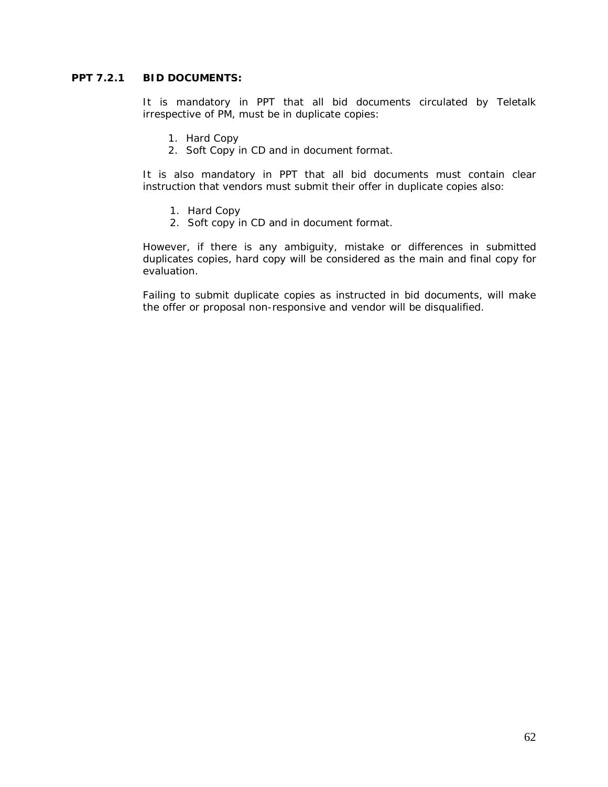# **PPT 7.2.1 BID DOCUMENTS:**

It is mandatory in PPT that all bid documents circulated by Teletalk irrespective of PM, must be in duplicate copies:

- 1. Hard Copy
- 2. Soft Copy in CD and in document format.

It is also mandatory in PPT that all bid documents must contain clear instruction that vendors must submit their offer in duplicate copies also:

- 1. Hard Copy
- 2. Soft copy in CD and in document format.

However, if there is any ambiguity, mistake or differences in submitted duplicates copies, hard copy will be considered as the main and final copy for evaluation.

Failing to submit duplicate copies as instructed in bid documents, will make the offer or proposal non-responsive and vendor will be disqualified.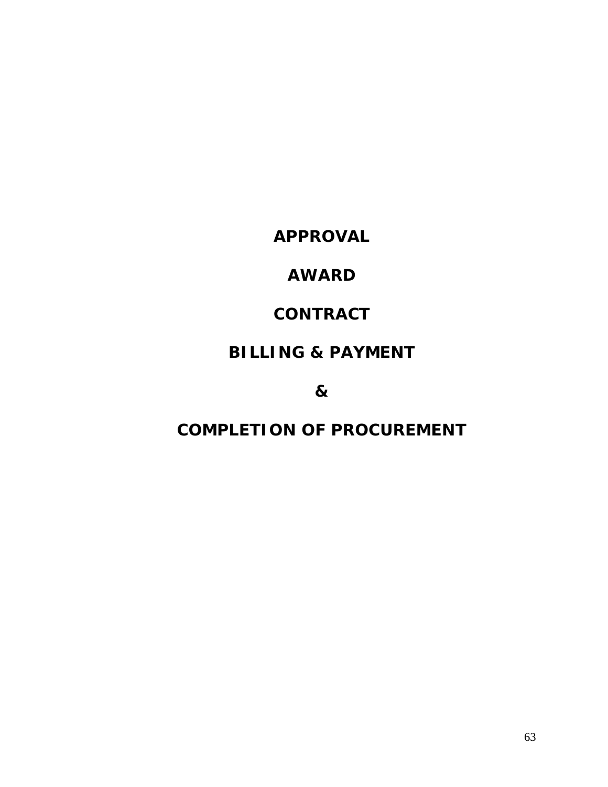**APPROVAL**

# **AWARD**

# **CONTRACT**

# **BILLING & PAYMENT**

**&**

# **COMPLETION OF PROCUREMENT**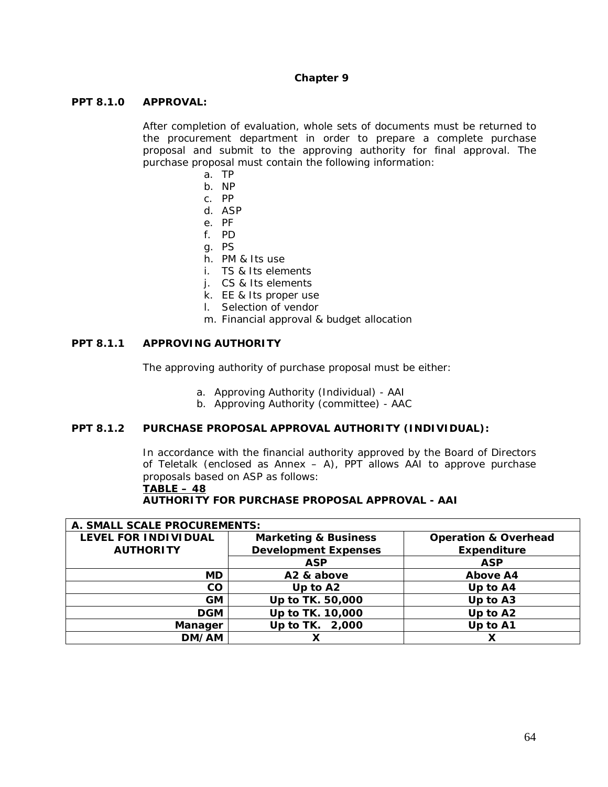#### **Chapter 9**

#### **PPT 8.1.0 APPROVAL:**

After completion of evaluation, whole sets of documents must be returned to the procurement department in order to prepare a complete purchase proposal and submit to the approving authority for final approval. The purchase proposal must contain the following information:

- a. TP
- b. NP
- c. PP
- d. ASP
- e. PF
- f. PD
- g. PS
- h. PM & Its use
- i. TS & Its elements
- j. CS & Its elements
- k. EE & Its proper use
- l. Selection of vendor
- m. Financial approval & budget allocation

### **PPT 8.1.1 APPROVING AUTHORITY**

The approving authority of purchase proposal must be either:

- a. Approving Authority (Individual) AAI
- b. Approving Authority (committee) AAC

### **PPT 8.1.2 PURCHASE PROPOSAL APPROVAL AUTHORITY (INDIVIDUAL):**

In accordance with the financial authority approved by the Board of Directors of Teletalk *(enclosed as Annex – A)*, PPT allows AAI to approve purchase proposals based on ASP as follows:

**TABLE – 48**

**AUTHORITY FOR PURCHASE PROPOSAL APPROVAL - AAI**

| A. SMALL SCALE PROCUREMENTS: |                                 |                                 |  |  |
|------------------------------|---------------------------------|---------------------------------|--|--|
| LEVEL FOR INDIVIDUAL         | <b>Marketing &amp; Business</b> | <b>Operation &amp; Overhead</b> |  |  |
| <b>AUTHORITY</b>             | <b>Development Expenses</b>     | <b>Expenditure</b>              |  |  |
|                              | <b>ASP</b>                      | <b>ASP</b>                      |  |  |
| <b>MD</b>                    | A2 & above                      | Above A4                        |  |  |
| $\rm CO$                     | Up to A2                        | Up to A4                        |  |  |
| <b>GM</b>                    | Up to TK. 50,000                | Up to A3                        |  |  |
| <b>DGM</b>                   | Up to TK. 10,000                | Up to A2                        |  |  |
| Manager                      | Up to TK. 2,000                 | Up to A1                        |  |  |
| DM/AM                        |                                 |                                 |  |  |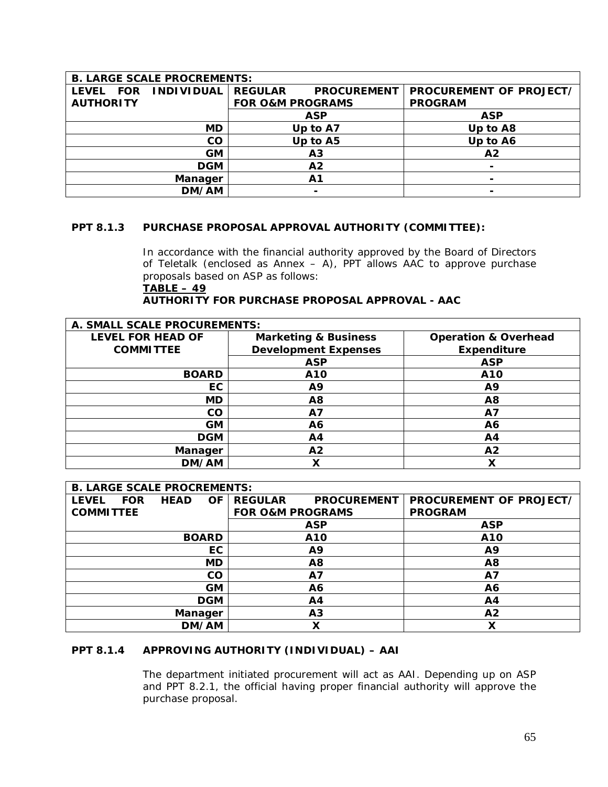| <b>B. LARGE SCALE PROCREMENTS:</b> |                   |                             |                    |                         |  |
|------------------------------------|-------------------|-----------------------------|--------------------|-------------------------|--|
| LEVEL FOR                          | <b>INDIVIDUAL</b> | <b>REGULAR</b>              | <b>PROCUREMENT</b> | PROCUREMENT OF PROJECT/ |  |
| <b>AUTHORITY</b>                   |                   | <b>FOR O&amp;M PROGRAMS</b> |                    | <b>PROGRAM</b>          |  |
|                                    |                   |                             | <b>ASP</b>         | <b>ASP</b>              |  |
|                                    | MD                | Up to A7                    |                    | Up to A8                |  |
|                                    | CO                | Up to A5                    |                    | Up to A6                |  |
|                                    | <b>GM</b>         | A <sub>3</sub>              |                    | A <sub>2</sub>          |  |
|                                    | <b>DGM</b>        | A <sub>2</sub>              |                    |                         |  |
|                                    | Manager           | A1                          |                    |                         |  |
|                                    | DM/AM             |                             | $\blacksquare$     |                         |  |

# **PPT 8.1.3 PURCHASE PROPOSAL APPROVAL AUTHORITY (COMMITTEE):**

In accordance with the financial authority approved by the Board of Directors of Teletalk *(enclosed as Annex – A)*, PPT allows AAC to approve purchase proposals based on ASP as follows:

# **TABLE – 49 AUTHORITY FOR PURCHASE PROPOSAL APPROVAL - AAC**

| A. SMALL SCALE PROCUREMENTS: |                                 |                                 |  |  |  |
|------------------------------|---------------------------------|---------------------------------|--|--|--|
| <b>LEVEL FOR HEAD OF</b>     | <b>Marketing &amp; Business</b> | <b>Operation &amp; Overhead</b> |  |  |  |
| <b>COMMITTEE</b>             | <b>Development Expenses</b>     | Expenditure                     |  |  |  |
|                              | <b>ASP</b>                      | <b>ASP</b>                      |  |  |  |
| <b>BOARD</b>                 | A10                             | A10                             |  |  |  |
| EC                           | A9                              | Α9                              |  |  |  |
| MD                           | A <sub>8</sub>                  | A8                              |  |  |  |
| CO                           | A7                              | Α7                              |  |  |  |
| <b>GM</b>                    | A6                              | Α6                              |  |  |  |
| <b>DGM</b>                   | A4                              | Α4                              |  |  |  |
| Manager                      | A <sub>2</sub>                  | A2                              |  |  |  |
| DM/AM                        | Χ                               | Χ                               |  |  |  |

|                  | <b>B. LARGE SCALE PROCREMENTS:</b> |                |              |                             |                    |                         |
|------------------|------------------------------------|----------------|--------------|-----------------------------|--------------------|-------------------------|
| <b>LEVEL</b>     | <b>FOR</b>                         | <b>HEAD</b>    | <b>OF</b>    | <b>REGULAR</b>              | <b>PROCUREMENT</b> | PROCUREMENT OF PROJECT/ |
| <b>COMMITTEE</b> |                                    |                |              | <b>FOR O&amp;M PROGRAMS</b> |                    | <b>PROGRAM</b>          |
|                  |                                    |                |              |                             | <b>ASP</b>         | <b>ASP</b>              |
|                  |                                    |                | <b>BOARD</b> |                             | A10                | A10                     |
| EC               |                                    |                | A9           |                             | A9                 |                         |
| MD               |                                    | A <sub>8</sub> |              | Α8                          |                    |                         |
|                  |                                    |                | CO           |                             | A7                 | A7                      |
|                  |                                    |                | <b>GM</b>    | A6                          |                    | A6                      |
|                  | <b>DGM</b>                         |                |              | A4                          |                    | Α4                      |
|                  |                                    | Manager        |              | A <sub>3</sub>              |                    | A2                      |
|                  |                                    |                | DM/AM        | Χ                           |                    | X                       |

# **PPT 8.1.4 APPROVING AUTHORITY (INDIVIDUAL) – AAI**

The department initiated procurement will act as AAI. Depending up on ASP and PPT 8.2.1, the official having proper financial authority will approve the purchase proposal.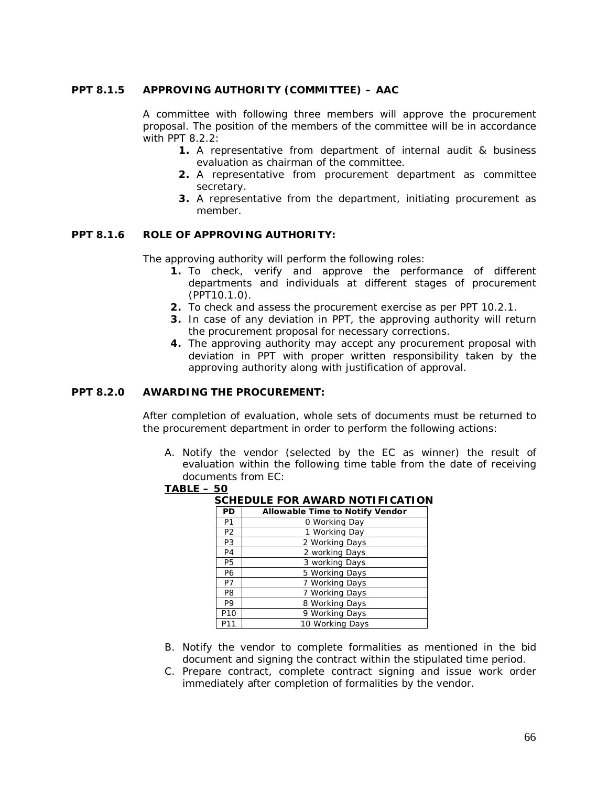# **PPT 8.1.5 APPROVING AUTHORITY (COMMITTEE) – AAC**

A committee with following three members will approve the procurement proposal. The position of the members of the committee will be in accordance with PPT 8.2.2:

- **1.** A representative from department of internal audit & business evaluation as chairman of the committee.
- **2.** A representative from procurement department as committee secretary.
- **3.** A representative from the department, initiating procurement as member.

#### **PPT 8.1.6 ROLE OF APPROVING AUTHORITY:**

The approving authority will perform the following roles:

- **1.** To check, verify and approve the performance of different departments and individuals at different stages of procurement (PPT10.1.0).
- **2.** To check and assess the procurement exercise as per PPT 10.2.1.
- **3.** In case of any deviation in PPT, the approving authority will return the procurement proposal for necessary corrections.
- **4.** The approving authority may accept any procurement proposal with deviation in PPT with proper written responsibility taken by the approving authority along with justification of approval.

### **PPT 8.2.0 AWARDING THE PROCUREMENT:**

After completion of evaluation, whole sets of documents must be returned to the procurement department in order to perform the following actions:

A. Notify the vendor (selected by the EC as winner) the result of evaluation within the following time table from the date of receiving documents from EC:

#### **TABLE – 50**

| SCHEDULE FOR AWARD NOTIFICATION |                                        |  |  |  |  |
|---------------------------------|----------------------------------------|--|--|--|--|
| PD                              | <b>Allowable Time to Notify Vendor</b> |  |  |  |  |
| P <sub>1</sub>                  | 0 Working Day                          |  |  |  |  |
| P <sub>2</sub>                  | 1 Working Day                          |  |  |  |  |
| P3                              | 2 Working Days                         |  |  |  |  |
| P <sub>4</sub>                  | 2 working Days                         |  |  |  |  |
| P <sub>5</sub>                  | 3 working Days                         |  |  |  |  |
| P6                              | 5 Working Days                         |  |  |  |  |
| P7                              | 7 Working Days                         |  |  |  |  |
| P <sub>8</sub>                  | 7 Working Days                         |  |  |  |  |
| P9                              | 8 Working Days                         |  |  |  |  |
| P <sub>10</sub>                 | 9 Working Days                         |  |  |  |  |
| P11                             | 10 Working Days                        |  |  |  |  |

- B. Notify the vendor to complete formalities as mentioned in the bid
- document and signing the contract within the stipulated time period.
- C. Prepare contract, complete contract signing and issue work order immediately after completion of formalities by the vendor.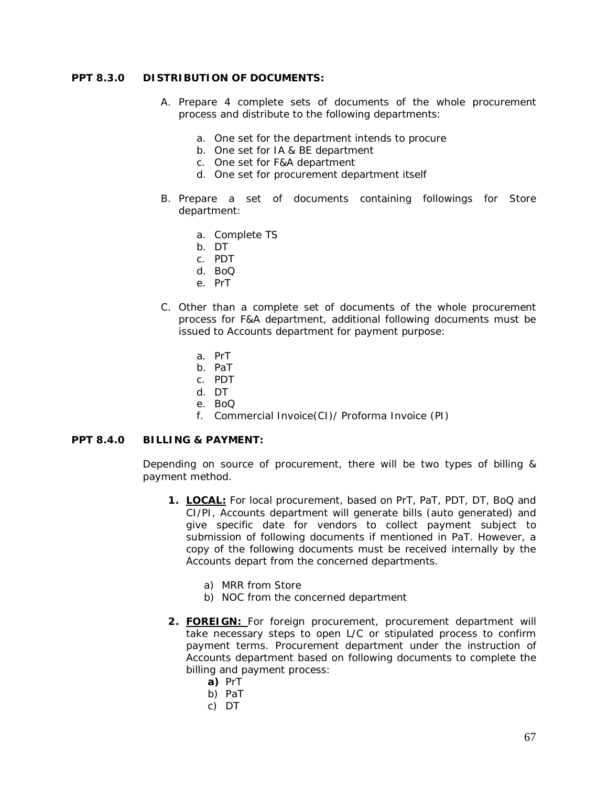#### **PPT 8.3.0 DISTRIBUTION OF DOCUMENTS:**

- A. Prepare 4 complete sets of documents of the whole procurement process and distribute to the following departments:
	- a. One set for the department intends to procure
	- b. One set for IA & BE department
	- c. One set for F&A department
	- d. One set for procurement department itself
- B. Prepare a set of documents containing followings for Store department:
	- a. Complete TS
	- b. DT
	- c. PDT
	- d. BoQ
	- e. PrT
- C. Other than a complete set of documents of the whole procurement process for F&A department, additional following documents must be issued to Accounts department for payment purpose:
	- a. PrT
	- b. PaT
	- c. PDT
	- d. DT
	- e. BoQ
	- f. Commercial Invoice(CI)/ Proforma Invoice (PI)

#### **PPT 8.4.0 BILLING & PAYMENT:**

Depending on source of procurement, there will be two types of billing & payment method.

- **1. LOCAL:** For local procurement, based on PrT, PaT, PDT, DT, BoQ and CI/PI, Accounts department will generate bills (auto generated) and give specific date for vendors to collect payment subject to submission of following documents if mentioned in PaT. However, a copy of the following documents must be received internally by the Accounts depart from the concerned departments.
	- a) MRR from Store
	- b) NOC from the concerned department
- **2. FOREIGN:** For foreign procurement, procurement department will take necessary steps to open L/C or stipulated process to confirm payment terms. Procurement department under the instruction of Accounts department based on following documents to complete the billing and payment process:
	- **a)** PrT
	- b) PaT
	- c) DT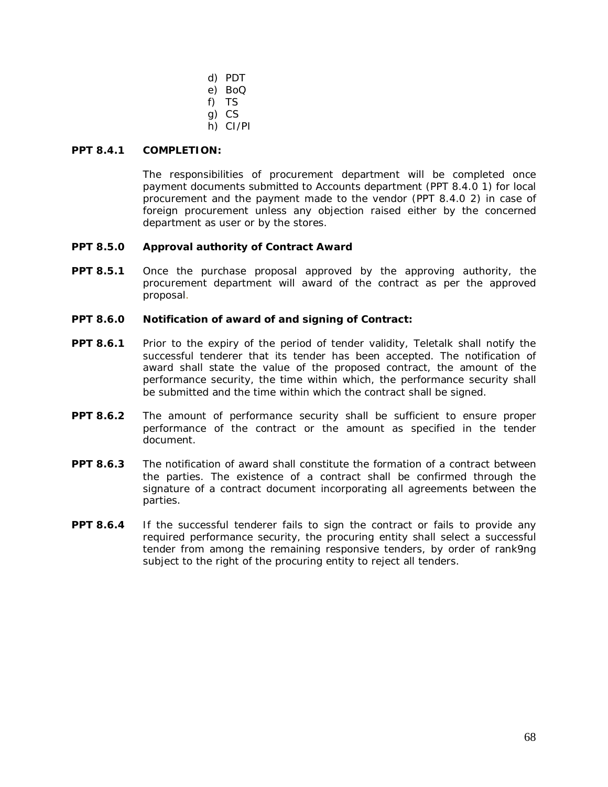- d) PDT
- e) BoQ
- f) TS
- g) CS
- h) CI/PI

# **PPT 8.4.1 COMPLETION:**

The responsibilities of procurement department will be completed once payment documents submitted to Accounts department (PPT 8.4.0 1) for local procurement and the payment made to the vendor (PPT 8.4.0 2) in case of foreign procurement unless any objection raised either by the concerned department as user or by the stores.

# **PPT 8.5.0 Approval authority of Contract Award**

**PPT 8.5.1** Once the purchase proposal approved by the approving authority, the procurement department will award of the contract as per the approved proposal.

# **PPT 8.6.0 Notification of award of and signing of Contract:**

- **PPT 8.6.1** Prior to the expiry of the period of tender validity, Teletalk shall notify the successful tenderer that its tender has been accepted. The notification of award shall state the value of the proposed contract, the amount of the performance security, the time within which, the performance security shall be submitted and the time within which the contract shall be signed.
- **PPT 8.6.2** The amount of performance security shall be sufficient to ensure proper performance of the contract or the amount as specified in the tender document.
- **PPT 8.6.3** The notification of award shall constitute the formation of a contract between the parties. The existence of a contract shall be confirmed through the signature of a contract document incorporating all agreements between the parties.
- **PPT 8.6.4** If the successful tenderer fails to sign the contract or fails to provide any required performance security, the procuring entity shall select a successful tender from among the remaining responsive tenders, by order of rank9ng subject to the right of the procuring entity to reject all tenders.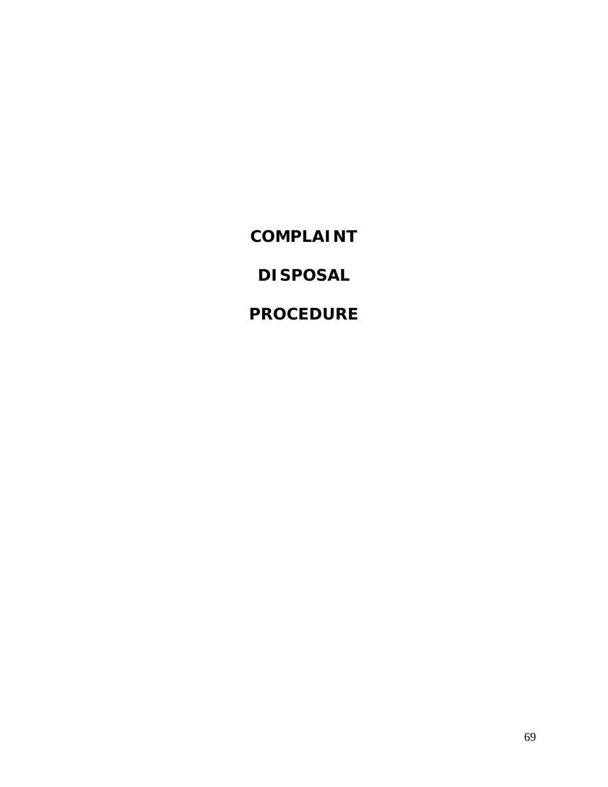**COMPLAINT**

**DISPOSAL**

**PROCEDURE**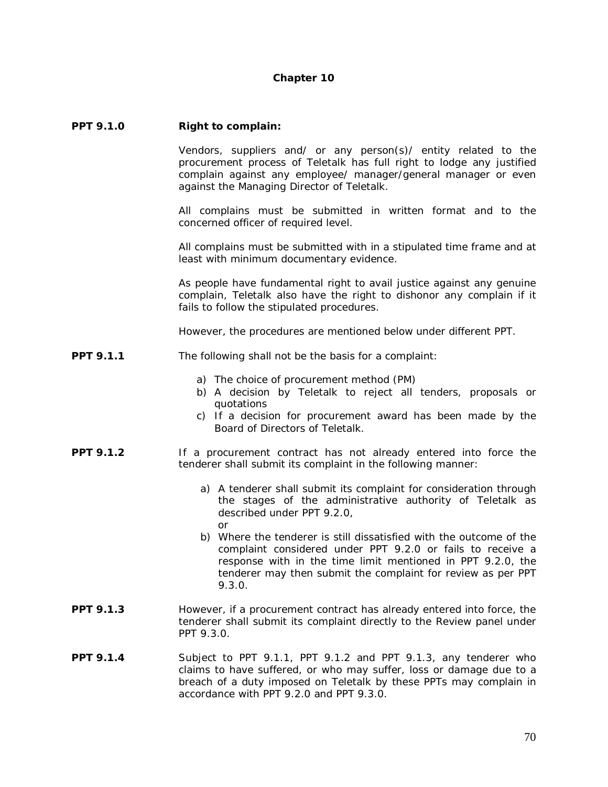#### **Chapter 10**

#### **PPT 9.1.0 Right to complain:**

Vendors, suppliers and/ or any person(s)/ entity related to the procurement process of Teletalk has full right to lodge any justified complain against any employee/ manager/general manager or even against the Managing Director of Teletalk.

All complains must be submitted in written format and to the concerned officer of required level.

All complains must be submitted with in a stipulated time frame and at least with minimum documentary evidence.

As people have fundamental right to avail justice against any genuine complain, Teletalk also have the right to dishonor any complain if it fails to follow the stipulated procedures.

However, the procedures are mentioned below under different PPT.

- **PPT 9.1.1** The following shall not be the basis for a complaint:
	- a) The choice of procurement method (PM)
	- b) A decision by Teletalk to reject all tenders, proposals or quotations
	- c) If a decision for procurement award has been made by the Board of Directors of Teletalk.
- **PPT 9.1.2** If a procurement contract has not already entered into force the tenderer shall submit its complaint in the following manner:
	- a) A tenderer shall submit its complaint for consideration through the stages of the administrative authority of Teletalk as described under PPT 9.2.0, or
	- b) Where the tenderer is still dissatisfied with the outcome of the complaint considered under PPT 9.2.0 or fails to receive a response with in the time limit mentioned in PPT 9.2.0, the tenderer may then submit the complaint for review as per PPT 9.3.0.
- **PPT 9.1.3** However, if a procurement contract has already entered into force, the tenderer shall submit its complaint directly to the Review panel under PPT 9.3.0.
- **PPT 9.1.4** Subject to PPT 9.1.1, PPT 9.1.2 and PPT 9.1.3, any tenderer who claims to have suffered, or who may suffer, loss or damage due to a breach of a duty imposed on Teletalk by these PPTs may complain in accordance with PPT 9.2.0 and PPT 9.3.0.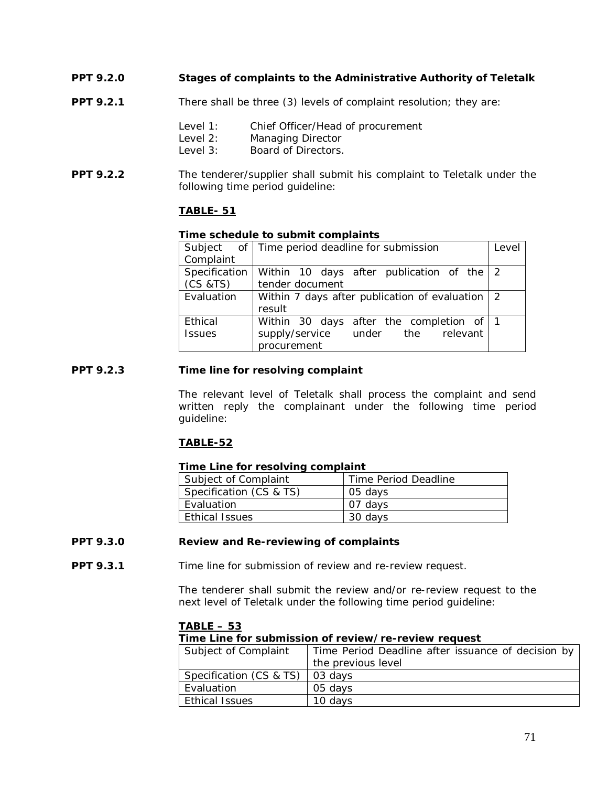- **PPT 9.2.0 Stages of complaints to the Administrative Authority of Teletalk**
- **PPT 9.2.1** There shall be three (3) levels of complaint resolution; they are:
	- Level 1: Chief Officer/Head of procurement<br>Level 2: Managing Director
	- Managing Director
	- Level 3: Board of Directors.
- **PPT 9.2.2** The tenderer/supplier shall submit his complaint to Teletalk under the following time period guideline:

# **TABLE- 51**

#### **Time schedule to submit complaints**

|               | Subject of Time period deadline for submission  | Level |  |  |
|---------------|-------------------------------------------------|-------|--|--|
| Complaint     |                                                 |       |  |  |
| Specification | Within 10 days after publication of the 2       |       |  |  |
| (CS & TS)     | tender document                                 |       |  |  |
| Evaluation    | Within 7 days after publication of evaluation 2 |       |  |  |
|               | result                                          |       |  |  |
| Ethical       | Within 30 days after the completion of 1        |       |  |  |
| <b>Issues</b> | supply/service under the relevant               |       |  |  |
|               | procurement                                     |       |  |  |

#### **PPT 9.2.3 Time line for resolving complaint**

The relevant level of Teletalk shall process the complaint and send written reply the complainant under the following time period guideline:

# **TABLE-52**

#### **Time Line for resolving complaint**

| Subject of Complaint    | Time Period Deadline |
|-------------------------|----------------------|
| Specification (CS & TS) | 05 days              |
| Evaluation              | 07 davs              |
| Ethical Issues          | 30 days              |

# **PPT 9.3.0 Review and Re-reviewing of complaints**

**PPT 9.3.1** Time line for submission of review and re-review request.

The tenderer shall submit the review and/or re-review request to the next level of Teletalk under the following time period guideline:

#### **TABLE – 53**

**Time Line for submission of review/re-review request**

| Subject of Complaint    | Time Period Deadline after issuance of decision by |
|-------------------------|----------------------------------------------------|
|                         | the previous level                                 |
| Specification (CS & TS) | 03 days                                            |
| Evaluation              | 05 davs                                            |
| <b>Ethical Issues</b>   | 10 davs                                            |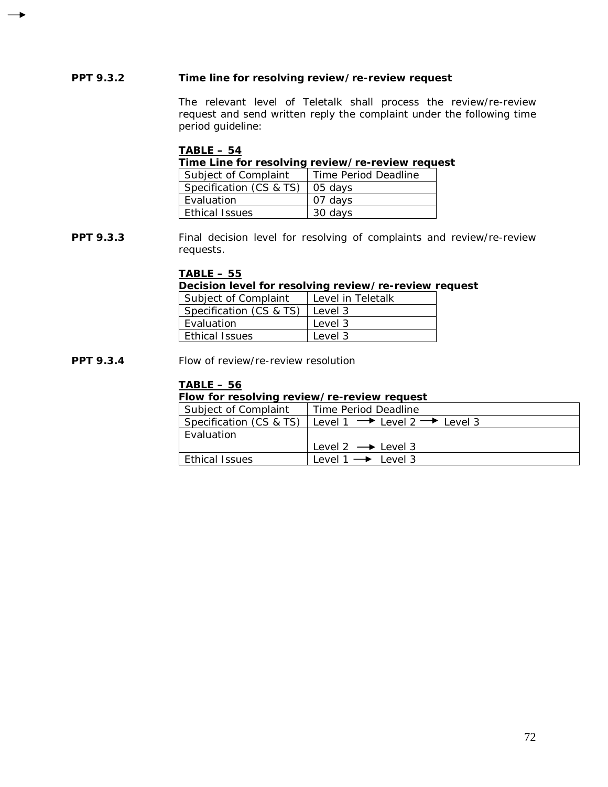# **PPT 9.3.2 Time line for resolving review/re-review request**

The relevant level of Teletalk shall process the review/re-review request and send written reply the complaint under the following time period guideline:

#### **TABLE – 54**

**Time Line for resolving review/re-review request**

| Subject of Complaint              | Time Period Deadline |
|-----------------------------------|----------------------|
| Specification (CS & TS)   05 days |                      |
| Evaluation                        | 07 davs              |
| <b>Ethical Issues</b>             | 30 days              |

**PPT 9.3.3** Final decision level for resolving of complaints and review/re-review requests.

# **TABLE – 55**

**Decision level for resolving review/re-review request**

| Subject of Complaint    | Level in Teletalk |
|-------------------------|-------------------|
| Specification (CS & TS) | l Level 3         |
| Evaluation              | Level 3           |
| <b>Fthical Issues</b>   | Level 3           |

**PPT 9.3.4** Flow of review/re-review resolution

# **TABLE – 56**

# **Flow for resolving review/re-review request**

| Subject of Complaint    | Time Period Deadline                                |
|-------------------------|-----------------------------------------------------|
| Specification (CS & TS) | Level 1 $\rightarrow$ Level 2 $\rightarrow$ Level 3 |
| Evaluation              |                                                     |
|                         | Level 2 $\rightarrow$ Level 3                       |
| <b>Ethical Issues</b>   | $level 1 \rightarrow level 3$                       |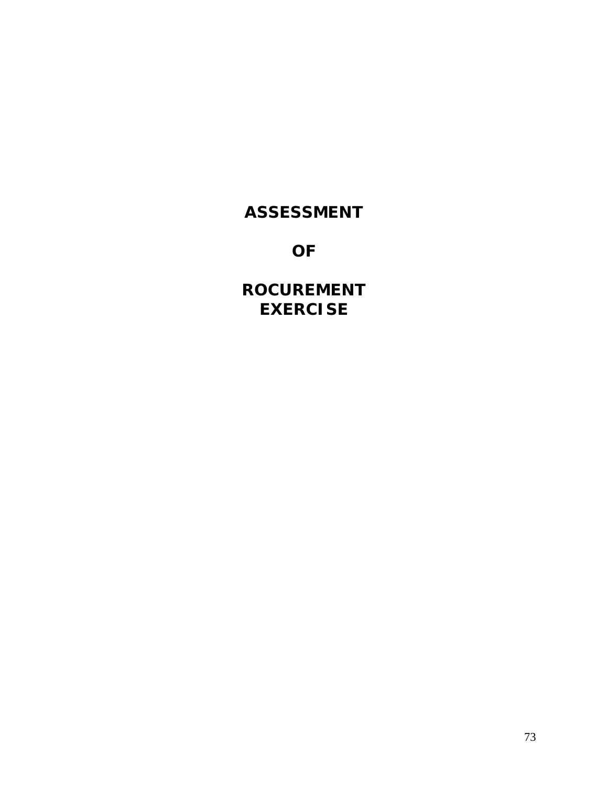# **ASSESSMENT**

**OF**

**ROCUREMENT EXERCISE**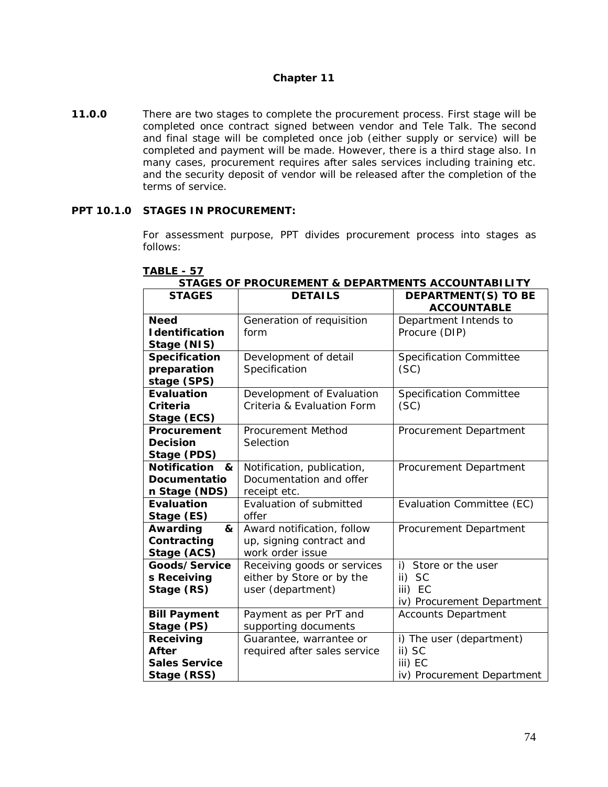## **Chapter 11**

**11.0.0** There are two stages to complete the procurement process. First stage will be completed once contract signed between vendor and Tele Talk. The second and final stage will be completed once job (either supply or service) will be completed and payment will be made. However, there is a third stage also. In many cases, procurement requires after sales services including training etc. and the security deposit of vendor will be released after the completion of the terms of service.

#### **PPT 10.1.0 STAGES IN PROCUREMENT:**

For assessment purpose, PPT divides procurement process into stages as follows:

| יט טביטהו ט<br><b>STAGES</b>          | <b>INVOUNCIVIERT &amp; DETAINTMENTS AUVOURTABLE</b><br><b>DETAILS</b> | <b>DEPARTMENT(S) TO BE</b>     |
|---------------------------------------|-----------------------------------------------------------------------|--------------------------------|
|                                       |                                                                       | <b>ACCOUNTABLE</b>             |
| <b>Need</b><br><b>I</b> dentification | Generation of requisition                                             | Department Intends to          |
|                                       | form                                                                  | Procure (DIP)                  |
| Stage (NIS)                           |                                                                       |                                |
| Specification                         | Development of detail                                                 | <b>Specification Committee</b> |
| preparation                           | Specification                                                         | (SC)                           |
| stage (SPS)                           |                                                                       |                                |
| Evaluation                            | Development of Evaluation                                             | <b>Specification Committee</b> |
| Criteria                              | Criteria & Evaluation Form                                            | (SC)                           |
| Stage (ECS)                           |                                                                       |                                |
| Procurement                           | Procurement Method                                                    | Procurement Department         |
| <b>Decision</b>                       | Selection                                                             |                                |
| Stage (PDS)                           |                                                                       |                                |
| Notification<br>&                     | Notification, publication,                                            | Procurement Department         |
| Documentatio                          | Documentation and offer                                               |                                |
| n Stage (NDS)                         | receipt etc.                                                          |                                |
| Evaluation                            | Evaluation of submitted                                               | Evaluation Committee (EC)      |
| Stage (ES)                            | offer                                                                 |                                |
| Awarding<br>&                         | Award notification, follow                                            | Procurement Department         |
| Contracting                           | up, signing contract and                                              |                                |
| Stage (ACS)                           | work order issue                                                      |                                |
| Goods/Service                         | Receiving goods or services                                           | i) Store or the user           |
| s Receiving                           | either by Store or by the                                             | ii) SC                         |
| Stage (RS)                            | user (department)                                                     | iii) EC                        |
|                                       |                                                                       | iv) Procurement Department     |
| <b>Bill Payment</b>                   | Payment as per PrT and                                                | <b>Accounts Department</b>     |
| Stage (PS)                            | supporting documents                                                  |                                |
| Receiving                             | Guarantee, warrantee or                                               | i) The user (department)       |
| After                                 | required after sales service                                          | ii) SC                         |
| <b>Sales Service</b>                  |                                                                       | iii) EC                        |
| Stage (RSS)                           |                                                                       | iv) Procurement Department     |

## **TABLE - 57**

| STAGES OF PROCUREMENT & DEPARTMENTS ACCOUNTABILITY |  |  |
|----------------------------------------------------|--|--|
|                                                    |  |  |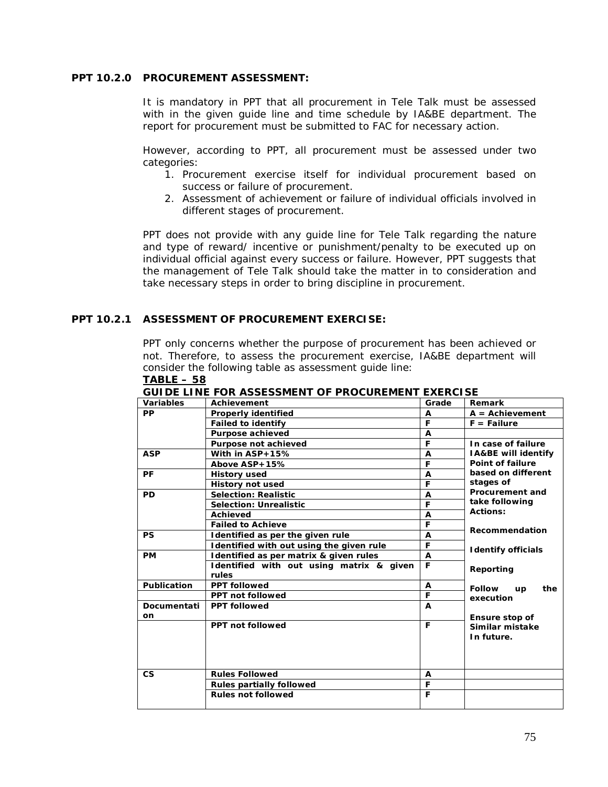## **PPT 10.2.0 PROCUREMENT ASSESSMENT:**

It is mandatory in PPT that all procurement in Tele Talk must be assessed with in the given guide line and time schedule by IA&BE department. The report for procurement must be submitted to FAC for necessary action.

However, according to PPT, all procurement must be assessed under two categories:

- 1. Procurement exercise itself for individual procurement based on success or failure of procurement.
- 2. Assessment of achievement or failure of individual officials involved in different stages of procurement.

PPT does not provide with any guide line for Tele Talk regarding the nature and type of reward/ incentive or punishment/penalty to be executed up on individual official against every success or failure. However, PPT suggests that the management of Tele Talk should take the matter in to consideration and take necessary steps in order to bring discipline in procurement.

#### **PPT 10.2.1 ASSESSMENT OF PROCUREMENT EXERCISE:**

PPT only concerns whether the purpose of procurement has been achieved or not. Therefore, to assess the procurement exercise, IA&BE department will consider the following table as assessment guide line:

| Variables   | GUIDE EINE I UN AJJEJJIVIEN I UI FRUCUREIVIEN I EAERCIJE<br>Achievement | Grade | Remark                            |
|-------------|-------------------------------------------------------------------------|-------|-----------------------------------|
|             |                                                                         |       |                                   |
| <b>PP</b>   | <b>Properly identified</b>                                              | A     | $A =$ Achievement                 |
|             | <b>Failed to identify</b>                                               | F     | $F =$ Failure                     |
|             | Purpose achieved                                                        | A     |                                   |
|             | Purpose not achieved                                                    | F     | In case of failure                |
| <b>ASP</b>  | With in ASP+15%                                                         | A     | IA&BE will identify               |
|             | Above ASP+15%                                                           | F     | Point of failure                  |
| PF          | <b>History used</b>                                                     | A     | based on different                |
|             | <b>History not used</b>                                                 | F     | stages of                         |
| <b>PD</b>   | <b>Selection: Realistic</b>                                             | A     | <b>Procurement and</b>            |
|             | <b>Selection: Unrealistic</b>                                           | F     | take following                    |
|             | Achieved                                                                | A     | Actions:                          |
|             | <b>Failed to Achieve</b>                                                | F     |                                   |
| <b>PS</b>   | Identified as per the given rule                                        | A     | Recommendation                    |
|             | Identified with out using the given rule                                | F     |                                   |
| <b>PM</b>   | Identified as per matrix & given rules                                  | A     | <b>Identify officials</b>         |
|             | Identified with out using matrix & given<br>rules                       | F     | Reporting                         |
| Publication | <b>PPT followed</b>                                                     | A     | <b>Follow</b><br>the<br><b>up</b> |
|             | <b>PPT not followed</b>                                                 | F     | execution                         |
| Documentati | <b>PPT followed</b>                                                     | A     |                                   |
| on          |                                                                         |       | Ensure stop of                    |
|             | <b>PPT not followed</b>                                                 | F     | Similar mistake                   |
|             |                                                                         |       | In future.                        |
|             |                                                                         |       |                                   |
|             |                                                                         |       |                                   |
|             |                                                                         |       |                                   |
| CS          | <b>Rules Followed</b>                                                   | A     |                                   |
|             | <b>Rules partially followed</b>                                         | F     |                                   |
|             | <b>Rules not followed</b>                                               | F     |                                   |
|             |                                                                         |       |                                   |

#### **TABLE – 58**

**GUIDE LINE FOR ASSESSMENT OF PROCUREMENT EXERCISE**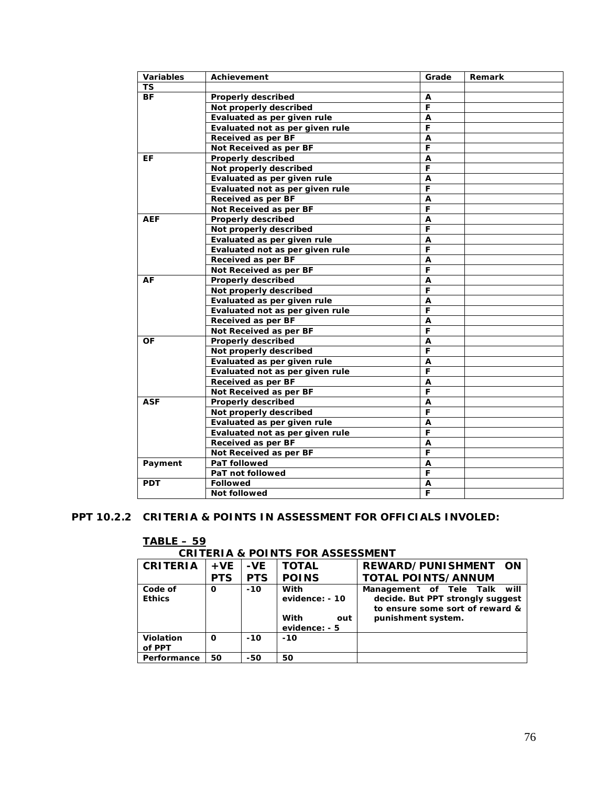| ΤS<br>BF<br>Properly described<br>A<br>F<br>Not properly described<br>Evaluated as per given rule<br>A<br>F<br>Evaluated not as per given rule<br>Received as per BF<br>A<br>F<br>Not Received as per BF<br><b>Properly described</b><br>EF<br>Α<br>F<br>Not properly described<br>Evaluated as per given rule<br>A<br>F<br>Evaluated not as per given rule<br>Received as per BF<br>A<br>F<br>Not Received as per BF<br>Properly described<br>AEF<br>A<br>F<br>Not properly described<br>Evaluated as per given rule<br>Α<br>Evaluated not as per given rule<br>F<br>A<br>Received as per BF<br>F<br>Not Received as per BF<br>AF<br>A<br>Properly described<br>F<br>Not properly described<br>Evaluated as per given rule<br>A<br>F<br>Evaluated not as per given rule<br>Received as per BF<br>A<br>F<br>Not Received as per BF<br>OF<br>Properly described<br>$\overline{A}$<br>$\overline{\mathsf{F}}$<br>Not properly described<br>Evaluated as per given rule<br>A<br>F<br>Evaluated not as per given rule<br>Received as per BF<br>A<br>F<br>Not Received as per BF<br><b>ASF</b><br>Properly described<br>A<br>F<br>Not properly described<br>Evaluated as per given rule<br>Α<br>F<br>Evaluated not as per given rule<br>$\overline{A}$<br>Received as per BF<br>F<br>Not Received as per BF<br>Payment<br>PaT followed<br>Α<br>F<br>PaT not followed<br><b>PDT</b><br><b>Followed</b><br>A | <b>Variables</b> | Achievement | Grade | Remark |
|-------------------------------------------------------------------------------------------------------------------------------------------------------------------------------------------------------------------------------------------------------------------------------------------------------------------------------------------------------------------------------------------------------------------------------------------------------------------------------------------------------------------------------------------------------------------------------------------------------------------------------------------------------------------------------------------------------------------------------------------------------------------------------------------------------------------------------------------------------------------------------------------------------------------------------------------------------------------------------------------------------------------------------------------------------------------------------------------------------------------------------------------------------------------------------------------------------------------------------------------------------------------------------------------------------------------------------------------------------------------------------------------------------|------------------|-------------|-------|--------|
|                                                                                                                                                                                                                                                                                                                                                                                                                                                                                                                                                                                                                                                                                                                                                                                                                                                                                                                                                                                                                                                                                                                                                                                                                                                                                                                                                                                                       |                  |             |       |        |
|                                                                                                                                                                                                                                                                                                                                                                                                                                                                                                                                                                                                                                                                                                                                                                                                                                                                                                                                                                                                                                                                                                                                                                                                                                                                                                                                                                                                       |                  |             |       |        |
|                                                                                                                                                                                                                                                                                                                                                                                                                                                                                                                                                                                                                                                                                                                                                                                                                                                                                                                                                                                                                                                                                                                                                                                                                                                                                                                                                                                                       |                  |             |       |        |
|                                                                                                                                                                                                                                                                                                                                                                                                                                                                                                                                                                                                                                                                                                                                                                                                                                                                                                                                                                                                                                                                                                                                                                                                                                                                                                                                                                                                       |                  |             |       |        |
|                                                                                                                                                                                                                                                                                                                                                                                                                                                                                                                                                                                                                                                                                                                                                                                                                                                                                                                                                                                                                                                                                                                                                                                                                                                                                                                                                                                                       |                  |             |       |        |
|                                                                                                                                                                                                                                                                                                                                                                                                                                                                                                                                                                                                                                                                                                                                                                                                                                                                                                                                                                                                                                                                                                                                                                                                                                                                                                                                                                                                       |                  |             |       |        |
|                                                                                                                                                                                                                                                                                                                                                                                                                                                                                                                                                                                                                                                                                                                                                                                                                                                                                                                                                                                                                                                                                                                                                                                                                                                                                                                                                                                                       |                  |             |       |        |
|                                                                                                                                                                                                                                                                                                                                                                                                                                                                                                                                                                                                                                                                                                                                                                                                                                                                                                                                                                                                                                                                                                                                                                                                                                                                                                                                                                                                       |                  |             |       |        |
|                                                                                                                                                                                                                                                                                                                                                                                                                                                                                                                                                                                                                                                                                                                                                                                                                                                                                                                                                                                                                                                                                                                                                                                                                                                                                                                                                                                                       |                  |             |       |        |
|                                                                                                                                                                                                                                                                                                                                                                                                                                                                                                                                                                                                                                                                                                                                                                                                                                                                                                                                                                                                                                                                                                                                                                                                                                                                                                                                                                                                       |                  |             |       |        |
|                                                                                                                                                                                                                                                                                                                                                                                                                                                                                                                                                                                                                                                                                                                                                                                                                                                                                                                                                                                                                                                                                                                                                                                                                                                                                                                                                                                                       |                  |             |       |        |
|                                                                                                                                                                                                                                                                                                                                                                                                                                                                                                                                                                                                                                                                                                                                                                                                                                                                                                                                                                                                                                                                                                                                                                                                                                                                                                                                                                                                       |                  |             |       |        |
|                                                                                                                                                                                                                                                                                                                                                                                                                                                                                                                                                                                                                                                                                                                                                                                                                                                                                                                                                                                                                                                                                                                                                                                                                                                                                                                                                                                                       |                  |             |       |        |
|                                                                                                                                                                                                                                                                                                                                                                                                                                                                                                                                                                                                                                                                                                                                                                                                                                                                                                                                                                                                                                                                                                                                                                                                                                                                                                                                                                                                       |                  |             |       |        |
|                                                                                                                                                                                                                                                                                                                                                                                                                                                                                                                                                                                                                                                                                                                                                                                                                                                                                                                                                                                                                                                                                                                                                                                                                                                                                                                                                                                                       |                  |             |       |        |
|                                                                                                                                                                                                                                                                                                                                                                                                                                                                                                                                                                                                                                                                                                                                                                                                                                                                                                                                                                                                                                                                                                                                                                                                                                                                                                                                                                                                       |                  |             |       |        |
|                                                                                                                                                                                                                                                                                                                                                                                                                                                                                                                                                                                                                                                                                                                                                                                                                                                                                                                                                                                                                                                                                                                                                                                                                                                                                                                                                                                                       |                  |             |       |        |
|                                                                                                                                                                                                                                                                                                                                                                                                                                                                                                                                                                                                                                                                                                                                                                                                                                                                                                                                                                                                                                                                                                                                                                                                                                                                                                                                                                                                       |                  |             |       |        |
|                                                                                                                                                                                                                                                                                                                                                                                                                                                                                                                                                                                                                                                                                                                                                                                                                                                                                                                                                                                                                                                                                                                                                                                                                                                                                                                                                                                                       |                  |             |       |        |
|                                                                                                                                                                                                                                                                                                                                                                                                                                                                                                                                                                                                                                                                                                                                                                                                                                                                                                                                                                                                                                                                                                                                                                                                                                                                                                                                                                                                       |                  |             |       |        |
|                                                                                                                                                                                                                                                                                                                                                                                                                                                                                                                                                                                                                                                                                                                                                                                                                                                                                                                                                                                                                                                                                                                                                                                                                                                                                                                                                                                                       |                  |             |       |        |
|                                                                                                                                                                                                                                                                                                                                                                                                                                                                                                                                                                                                                                                                                                                                                                                                                                                                                                                                                                                                                                                                                                                                                                                                                                                                                                                                                                                                       |                  |             |       |        |
|                                                                                                                                                                                                                                                                                                                                                                                                                                                                                                                                                                                                                                                                                                                                                                                                                                                                                                                                                                                                                                                                                                                                                                                                                                                                                                                                                                                                       |                  |             |       |        |
|                                                                                                                                                                                                                                                                                                                                                                                                                                                                                                                                                                                                                                                                                                                                                                                                                                                                                                                                                                                                                                                                                                                                                                                                                                                                                                                                                                                                       |                  |             |       |        |
|                                                                                                                                                                                                                                                                                                                                                                                                                                                                                                                                                                                                                                                                                                                                                                                                                                                                                                                                                                                                                                                                                                                                                                                                                                                                                                                                                                                                       |                  |             |       |        |
|                                                                                                                                                                                                                                                                                                                                                                                                                                                                                                                                                                                                                                                                                                                                                                                                                                                                                                                                                                                                                                                                                                                                                                                                                                                                                                                                                                                                       |                  |             |       |        |
|                                                                                                                                                                                                                                                                                                                                                                                                                                                                                                                                                                                                                                                                                                                                                                                                                                                                                                                                                                                                                                                                                                                                                                                                                                                                                                                                                                                                       |                  |             |       |        |
|                                                                                                                                                                                                                                                                                                                                                                                                                                                                                                                                                                                                                                                                                                                                                                                                                                                                                                                                                                                                                                                                                                                                                                                                                                                                                                                                                                                                       |                  |             |       |        |
|                                                                                                                                                                                                                                                                                                                                                                                                                                                                                                                                                                                                                                                                                                                                                                                                                                                                                                                                                                                                                                                                                                                                                                                                                                                                                                                                                                                                       |                  |             |       |        |
|                                                                                                                                                                                                                                                                                                                                                                                                                                                                                                                                                                                                                                                                                                                                                                                                                                                                                                                                                                                                                                                                                                                                                                                                                                                                                                                                                                                                       |                  |             |       |        |
|                                                                                                                                                                                                                                                                                                                                                                                                                                                                                                                                                                                                                                                                                                                                                                                                                                                                                                                                                                                                                                                                                                                                                                                                                                                                                                                                                                                                       |                  |             |       |        |
|                                                                                                                                                                                                                                                                                                                                                                                                                                                                                                                                                                                                                                                                                                                                                                                                                                                                                                                                                                                                                                                                                                                                                                                                                                                                                                                                                                                                       |                  |             |       |        |
|                                                                                                                                                                                                                                                                                                                                                                                                                                                                                                                                                                                                                                                                                                                                                                                                                                                                                                                                                                                                                                                                                                                                                                                                                                                                                                                                                                                                       |                  |             |       |        |
|                                                                                                                                                                                                                                                                                                                                                                                                                                                                                                                                                                                                                                                                                                                                                                                                                                                                                                                                                                                                                                                                                                                                                                                                                                                                                                                                                                                                       |                  |             |       |        |
|                                                                                                                                                                                                                                                                                                                                                                                                                                                                                                                                                                                                                                                                                                                                                                                                                                                                                                                                                                                                                                                                                                                                                                                                                                                                                                                                                                                                       |                  |             |       |        |
|                                                                                                                                                                                                                                                                                                                                                                                                                                                                                                                                                                                                                                                                                                                                                                                                                                                                                                                                                                                                                                                                                                                                                                                                                                                                                                                                                                                                       |                  |             |       |        |
|                                                                                                                                                                                                                                                                                                                                                                                                                                                                                                                                                                                                                                                                                                                                                                                                                                                                                                                                                                                                                                                                                                                                                                                                                                                                                                                                                                                                       |                  |             |       |        |
|                                                                                                                                                                                                                                                                                                                                                                                                                                                                                                                                                                                                                                                                                                                                                                                                                                                                                                                                                                                                                                                                                                                                                                                                                                                                                                                                                                                                       |                  |             |       |        |
|                                                                                                                                                                                                                                                                                                                                                                                                                                                                                                                                                                                                                                                                                                                                                                                                                                                                                                                                                                                                                                                                                                                                                                                                                                                                                                                                                                                                       |                  |             |       |        |
|                                                                                                                                                                                                                                                                                                                                                                                                                                                                                                                                                                                                                                                                                                                                                                                                                                                                                                                                                                                                                                                                                                                                                                                                                                                                                                                                                                                                       |                  |             |       |        |
| F<br>Not followed                                                                                                                                                                                                                                                                                                                                                                                                                                                                                                                                                                                                                                                                                                                                                                                                                                                                                                                                                                                                                                                                                                                                                                                                                                                                                                                                                                                     |                  |             |       |        |

## **PPT 10.2.2 CRITERIA & POINTS IN ASSESSMENT FOR OFFICIALS INVOLED:**

| <b>CRITERIA &amp; POINTS FOR ASSESSMENT</b> |            |            |                                                        |                                                                                                                           |
|---------------------------------------------|------------|------------|--------------------------------------------------------|---------------------------------------------------------------------------------------------------------------------------|
| <b>CRITERIA</b>                             | $+VE$      | -VE        | <b>TOTAL</b>                                           | REWARD/PUNISHMENT ON                                                                                                      |
|                                             | <b>PTS</b> | <b>PTS</b> | <b>POINS</b>                                           | <b>TOTAL POINTS/ANNUM</b>                                                                                                 |
| Code of<br><b>Ethics</b>                    | $\Omega$   | $-10$      | With<br>evidence: - 10<br>With<br>out<br>evidence: - 5 | Management of Tele Talk will<br>decide. But PPT strongly suggest<br>to ensure some sort of reward &<br>punishment system. |
| <b>Violation</b><br>of PPT                  | $\Omega$   | $-10$      | $-10$                                                  |                                                                                                                           |
| Performance                                 | 50         | -50        | 50                                                     |                                                                                                                           |

## **TABLE – 59**

**CRITERIA & POINTS FOR ASSESSMENT**